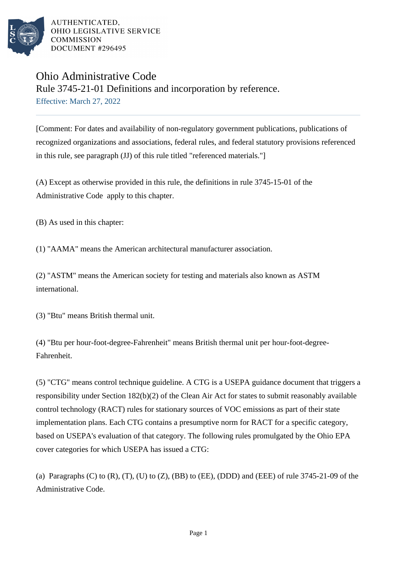

# Ohio Administrative Code Rule 3745-21-01 Definitions and incorporation by reference.

Effective: March 27, 2022

[Comment: For dates and availability of non-regulatory government publications, publications of recognized organizations and associations, federal rules, and federal statutory provisions referenced in this rule, see paragraph (JJ) of this rule titled "referenced materials."]

(A) Except as otherwise provided in this rule, the definitions in rule 3745-15-01 of the Administrative Code apply to this chapter.

(B) As used in this chapter:

(1) "AAMA" means the American architectural manufacturer association.

(2) "ASTM" means the American society for testing and materials also known as ASTM international.

(3) "Btu" means British thermal unit.

(4) "Btu per hour-foot-degree-Fahrenheit" means British thermal unit per hour-foot-degree-Fahrenheit.

(5) "CTG" means control technique guideline. A CTG is a USEPA guidance document that triggers a responsibility under Section 182(b)(2) of the Clean Air Act for states to submit reasonably available control technology (RACT) rules for stationary sources of VOC emissions as part of their state implementation plans. Each CTG contains a presumptive norm for RACT for a specific category, based on USEPA's evaluation of that category. The following rules promulgated by the Ohio EPA cover categories for which USEPA has issued a CTG:

(a) Paragraphs  $(C)$  to  $(R)$ ,  $(T)$ ,  $(U)$  to  $(Z)$ ,  $(BB)$  to  $(EE)$ ,  $(DDD)$  and  $(EEE)$  of rule 3745-21-09 of the Administrative Code.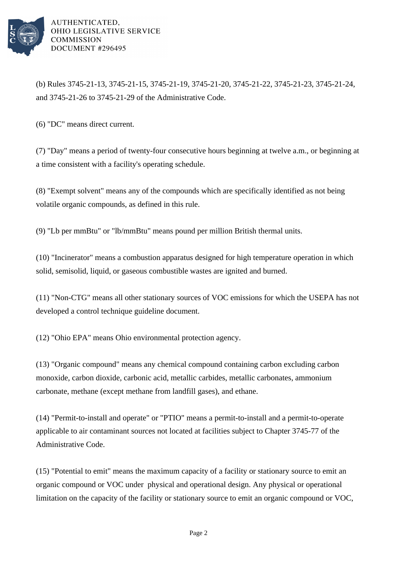

(b) Rules 3745-21-13, 3745-21-15, 3745-21-19, 3745-21-20, 3745-21-22, 3745-21-23, 3745-21-24, and 3745-21-26 to 3745-21-29 of the Administrative Code.

(6) "DC" means direct current.

(7) "Day" means a period of twenty-four consecutive hours beginning at twelve a.m., or beginning at a time consistent with a facility's operating schedule.

(8) "Exempt solvent" means any of the compounds which are specifically identified as not being volatile organic compounds, as defined in this rule.

(9) "Lb per mmBtu" or "lb/mmBtu" means pound per million British thermal units.

(10) "Incinerator" means a combustion apparatus designed for high temperature operation in which solid, semisolid, liquid, or gaseous combustible wastes are ignited and burned.

(11) "Non-CTG" means all other stationary sources of VOC emissions for which the USEPA has not developed a control technique guideline document.

(12) "Ohio EPA" means Ohio environmental protection agency.

(13) "Organic compound" means any chemical compound containing carbon excluding carbon monoxide, carbon dioxide, carbonic acid, metallic carbides, metallic carbonates, ammonium carbonate, methane (except methane from landfill gases), and ethane.

(14) "Permit-to-install and operate" or "PTIO" means a permit-to-install and a permit-to-operate applicable to air contaminant sources not located at facilities subject to Chapter 3745-77 of the Administrative Code.

(15) "Potential to emit" means the maximum capacity of a facility or stationary source to emit an organic compound or VOC under physical and operational design. Any physical or operational limitation on the capacity of the facility or stationary source to emit an organic compound or VOC,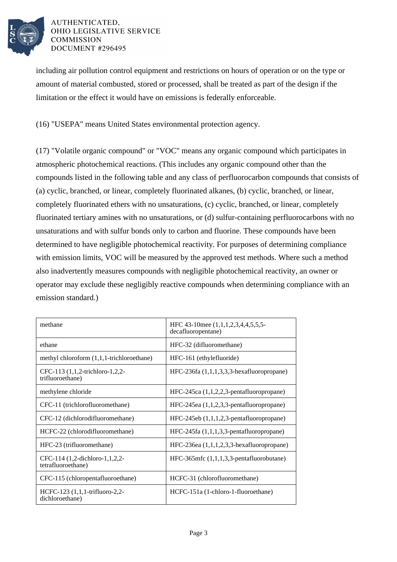

including air pollution control equipment and restrictions on hours of operation or on the type or amount of material combusted, stored or processed, shall be treated as part of the design if the limitation or the effect it would have on emissions is federally enforceable.

(16) "USEPA" means United States environmental protection agency.

(17) "Volatile organic compound" or "VOC" means any organic compound which participates in atmospheric photochemical reactions. (This includes any organic compound other than the compounds listed in the following table and any class of perfluorocarbon compounds that consists of (a) cyclic, branched, or linear, completely fluorinated alkanes, (b) cyclic, branched, or linear, completely fluorinated ethers with no unsaturations, (c) cyclic, branched, or linear, completely fluorinated tertiary amines with no unsaturations, or (d) sulfur-containing perfluorocarbons with no unsaturations and with sulfur bonds only to carbon and fluorine. These compounds have been determined to have negligible photochemical reactivity. For purposes of determining compliance with emission limits, VOC will be measured by the approved test methods. Where such a method also inadvertently measures compounds with negligible photochemical reactivity, an owner or operator may exclude these negligibly reactive compounds when determining compliance with an emission standard.)

| methane                                              | HFC 43-10mee (1,1,1,2,3,4,4,5,5,5-<br>decafluoropentane) |
|------------------------------------------------------|----------------------------------------------------------|
| ethane                                               | HFC-32 (difluoromethane)                                 |
| methyl chloroform $(1,1,1$ -trichloroethane)         | HFC-161 (ethylefluoride)                                 |
| CFC-113 (1,1,2-trichloro-1,2,2-<br>trifluoroethane)  | HFC-236fa (1,1,1,3,3,3-hexafluoropropane)                |
| methylene chloride                                   | $HFC-245ca$ $(1,1,2,2,3$ -pentafluoropropane)            |
| CFC-11 (trichlorofluoromethane)                      | $HFC-245ea$ $(1,1,2,3,3$ -pentafluoropropane)            |
| CFC-12 (dichlorodifluoromethane)                     | $HFC-245eb (1,1,1,2,3-pentafluoropropane)$               |
| HCFC-22 (chlorodifluoromethane)                      | HFC-245fa (1,1,1,3,3-pentafluoropropane)                 |
| HFC-23 (trifluoromethane)                            | $HFC-236ea(1,1,1,2,3,3-hexafluoropropane)$               |
| CFC-114 (1,2-dichloro-1,1,2,2-<br>tetrafluoroethane) | $HFC-365mfc(1,1,1,3,3-pentafluorobutane)$                |
| CFC-115 (chloropentafluoroethane)                    | HCFC-31 (chlorofluoromethane)                            |
| HCFC-123 (1,1,1-trifluoro-2,2-<br>dichloroethane)    | HCFC-151a (1-chloro-1-fluoroethane)                      |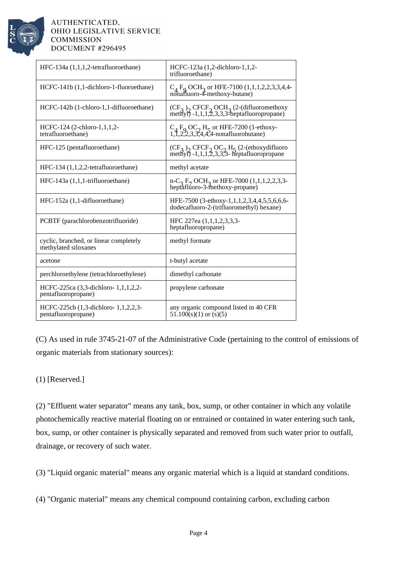

| HFC-134a (1,1,1,2-tetrafluoroethane)                           | HCFC-123a (1,2-dichloro-1,1,2-<br>trifluoroethane)                                                   |
|----------------------------------------------------------------|------------------------------------------------------------------------------------------------------|
| HCFC-141b (1,1-dichloro-1-fluoroethane)                        | $C_A F_O OCH_3$ or HFE-7100 (1,1,1,2,2,3,3,4,4-<br>nonafluoro-4-methoxy-butane)                      |
| HCFC-142b (1-chloro-1,1-difluoroethane)                        | $(CF_2)$ , CFCF, OCH <sub>2</sub> (2-(difluoromethoxy<br>methyl) -1,1,1,2,3,3,3-heptafluoropropane)  |
| HCFC-124 (2-chloro-1,1,1,2-<br>tetrafluoroethane)              | $C_4 F_9 OC_2 H_5$ or HFE-7200 (1-ethoxy-<br>1,1,2,2,3,3,4,4,4-nonafluorobutane)                     |
| HFC-125 (pentafluoroethane)                                    | $(CF_3)$ , CFCF, OC, H <sub>5</sub> (2-(ethoxydifluoro<br>methyl) -1,1,1,2,3,3,3- heptafluoropropane |
| HFC-134 (1,1,2,2-tetrafluoroethane)                            | methyl acetate                                                                                       |
| $HFC-143a(1,1,1-trifluoroethane)$                              | $n-C_3 F_7 OCH_3$ or HFE-7000 (1,1,1,2,2,3,3-<br>heptafluoro-3-methoxy-propane)                      |
| HFC-152a (1,1-difluoroethane)                                  | HFE-7500 (3-ethoxy-1,1,1,2,3,4,4,5,5,6,6,6-<br>dodecafluoro-2-(trifluoromethyl) hexane)              |
| PCBTF (parachlorobenzotrifluoride)                             | HFC 227ea (1,1,1,2,3,3,3-<br>heptafluoropropane)                                                     |
| cyclic, branched, or linear completely<br>methylated siloxanes | methyl formate                                                                                       |
| acetone                                                        | t-butyl acetate                                                                                      |
| perchloroethylene (tetrachloroethylene)                        | dimethyl carbonate                                                                                   |
| HCFC-225ca (3,3-dichloro-1,1,1,2,2-<br>pentafluoropropane)     | propylene carbonate                                                                                  |
| HCFC-225cb (1,3-dichloro-1,1,2,2,3-<br>pentafluoropropane)     | any organic compound listed in 40 CFR<br>$51.100(s)(1)$ or $(s)(5)$                                  |

(C) As used in rule 3745-21-07 of the Administrative Code (pertaining to the control of emissions of organic materials from stationary sources):

# (1) [Reserved.]

(2) "Effluent water separator" means any tank, box, sump, or other container in which any volatile photochemically reactive material floating on or entrained or contained in water entering such tank, box, sump, or other container is physically separated and removed from such water prior to outfall, drainage, or recovery of such water.

(3) "Liquid organic material" means any organic material which is a liquid at standard conditions.

(4) "Organic material" means any chemical compound containing carbon, excluding carbon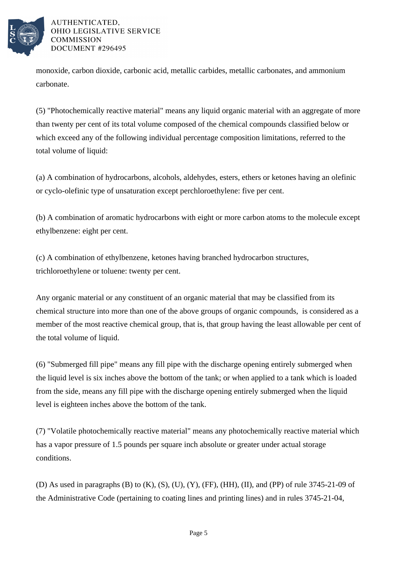

monoxide, carbon dioxide, carbonic acid, metallic carbides, metallic carbonates, and ammonium carbonate.

(5) "Photochemically reactive material" means any liquid organic material with an aggregate of more than twenty per cent of its total volume composed of the chemical compounds classified below or which exceed any of the following individual percentage composition limitations, referred to the total volume of liquid:

(a) A combination of hydrocarbons, alcohols, aldehydes, esters, ethers or ketones having an olefinic or cyclo-olefinic type of unsaturation except perchloroethylene: five per cent.

(b) A combination of aromatic hydrocarbons with eight or more carbon atoms to the molecule except ethylbenzene: eight per cent.

(c) A combination of ethylbenzene, ketones having branched hydrocarbon structures, trichloroethylene or toluene: twenty per cent.

Any organic material or any constituent of an organic material that may be classified from its chemical structure into more than one of the above groups of organic compounds, is considered as a member of the most reactive chemical group, that is, that group having the least allowable per cent of the total volume of liquid.

(6) "Submerged fill pipe" means any fill pipe with the discharge opening entirely submerged when the liquid level is six inches above the bottom of the tank; or when applied to a tank which is loaded from the side, means any fill pipe with the discharge opening entirely submerged when the liquid level is eighteen inches above the bottom of the tank.

(7) "Volatile photochemically reactive material" means any photochemically reactive material which has a vapor pressure of 1.5 pounds per square inch absolute or greater under actual storage conditions.

(D) As used in paragraphs (B) to  $(K)$ ,  $(S)$ ,  $(U)$ ,  $(Y)$ ,  $(FF)$ ,  $(HH)$ ,  $(II)$ , and  $(PP)$  of rule 3745-21-09 of the Administrative Code (pertaining to coating lines and printing lines) and in rules 3745-21-04,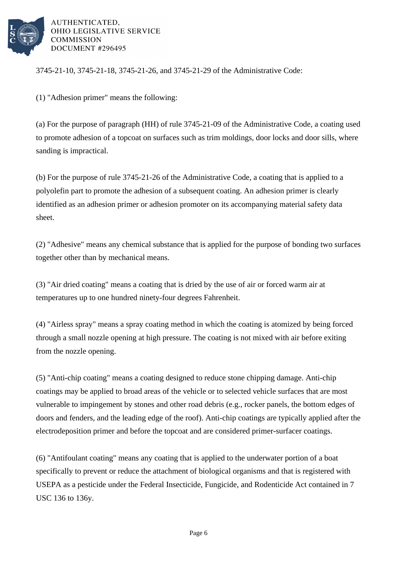

3745-21-10, 3745-21-18, 3745-21-26, and 3745-21-29 of the Administrative Code:

(1) "Adhesion primer" means the following:

(a) For the purpose of paragraph (HH) of rule 3745-21-09 of the Administrative Code, a coating used to promote adhesion of a topcoat on surfaces such as trim moldings, door locks and door sills, where sanding is impractical.

(b) For the purpose of rule 3745-21-26 of the Administrative Code, a coating that is applied to a polyolefin part to promote the adhesion of a subsequent coating. An adhesion primer is clearly identified as an adhesion primer or adhesion promoter on its accompanying material safety data sheet.

(2) "Adhesive" means any chemical substance that is applied for the purpose of bonding two surfaces together other than by mechanical means.

(3) "Air dried coating" means a coating that is dried by the use of air or forced warm air at temperatures up to one hundred ninety-four degrees Fahrenheit.

(4) "Airless spray" means a spray coating method in which the coating is atomized by being forced through a small nozzle opening at high pressure. The coating is not mixed with air before exiting from the nozzle opening.

(5) "Anti-chip coating" means a coating designed to reduce stone chipping damage. Anti-chip coatings may be applied to broad areas of the vehicle or to selected vehicle surfaces that are most vulnerable to impingement by stones and other road debris (e.g., rocker panels, the bottom edges of doors and fenders, and the leading edge of the roof). Anti-chip coatings are typically applied after the electrodeposition primer and before the topcoat and are considered primer-surfacer coatings.

(6) "Antifoulant coating" means any coating that is applied to the underwater portion of a boat specifically to prevent or reduce the attachment of biological organisms and that is registered with USEPA as a pesticide under the Federal Insecticide, Fungicide, and Rodenticide Act contained in 7 USC 136 to 136y.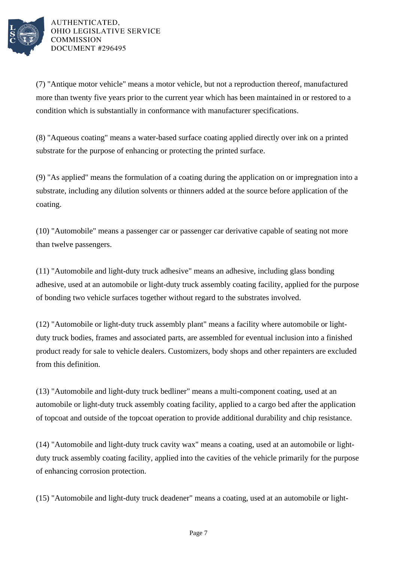

(7) "Antique motor vehicle" means a motor vehicle, but not a reproduction thereof, manufactured more than twenty five years prior to the current year which has been maintained in or restored to a condition which is substantially in conformance with manufacturer specifications.

(8) "Aqueous coating" means a water-based surface coating applied directly over ink on a printed substrate for the purpose of enhancing or protecting the printed surface.

(9) "As applied" means the formulation of a coating during the application on or impregnation into a substrate, including any dilution solvents or thinners added at the source before application of the coating.

(10) "Automobile" means a passenger car or passenger car derivative capable of seating not more than twelve passengers.

(11) "Automobile and light-duty truck adhesive" means an adhesive, including glass bonding adhesive, used at an automobile or light-duty truck assembly coating facility, applied for the purpose of bonding two vehicle surfaces together without regard to the substrates involved.

(12) "Automobile or light-duty truck assembly plant" means a facility where automobile or lightduty truck bodies, frames and associated parts, are assembled for eventual inclusion into a finished product ready for sale to vehicle dealers. Customizers, body shops and other repainters are excluded from this definition.

(13) "Automobile and light-duty truck bedliner" means a multi-component coating, used at an automobile or light-duty truck assembly coating facility, applied to a cargo bed after the application of topcoat and outside of the topcoat operation to provide additional durability and chip resistance.

(14) "Automobile and light-duty truck cavity wax" means a coating, used at an automobile or lightduty truck assembly coating facility, applied into the cavities of the vehicle primarily for the purpose of enhancing corrosion protection.

(15) "Automobile and light-duty truck deadener" means a coating, used at an automobile or light-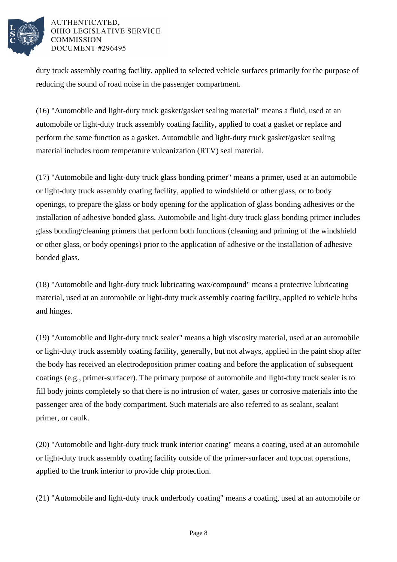

duty truck assembly coating facility, applied to selected vehicle surfaces primarily for the purpose of reducing the sound of road noise in the passenger compartment.

(16) "Automobile and light-duty truck gasket/gasket sealing material" means a fluid, used at an automobile or light-duty truck assembly coating facility, applied to coat a gasket or replace and perform the same function as a gasket. Automobile and light-duty truck gasket/gasket sealing material includes room temperature vulcanization (RTV) seal material.

(17) "Automobile and light-duty truck glass bonding primer" means a primer, used at an automobile or light-duty truck assembly coating facility, applied to windshield or other glass, or to body openings, to prepare the glass or body opening for the application of glass bonding adhesives or the installation of adhesive bonded glass. Automobile and light-duty truck glass bonding primer includes glass bonding/cleaning primers that perform both functions (cleaning and priming of the windshield or other glass, or body openings) prior to the application of adhesive or the installation of adhesive bonded glass.

(18) "Automobile and light-duty truck lubricating wax/compound" means a protective lubricating material, used at an automobile or light-duty truck assembly coating facility, applied to vehicle hubs and hinges.

(19) "Automobile and light-duty truck sealer" means a high viscosity material, used at an automobile or light-duty truck assembly coating facility, generally, but not always, applied in the paint shop after the body has received an electrodeposition primer coating and before the application of subsequent coatings (e.g., primer-surfacer). The primary purpose of automobile and light-duty truck sealer is to fill body joints completely so that there is no intrusion of water, gases or corrosive materials into the passenger area of the body compartment. Such materials are also referred to as sealant, sealant primer, or caulk.

(20) "Automobile and light-duty truck trunk interior coating" means a coating, used at an automobile or light-duty truck assembly coating facility outside of the primer-surfacer and topcoat operations, applied to the trunk interior to provide chip protection.

(21) "Automobile and light-duty truck underbody coating" means a coating, used at an automobile or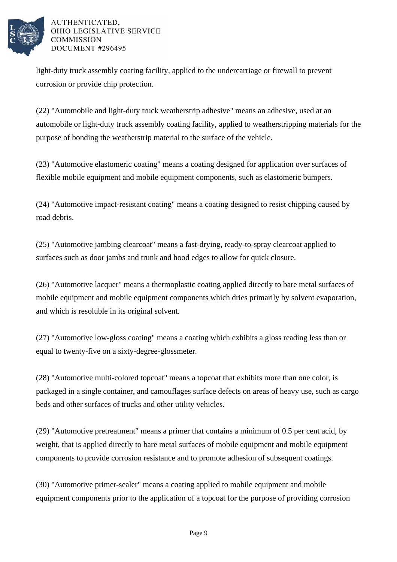

light-duty truck assembly coating facility, applied to the undercarriage or firewall to prevent corrosion or provide chip protection.

(22) "Automobile and light-duty truck weatherstrip adhesive" means an adhesive, used at an automobile or light-duty truck assembly coating facility, applied to weatherstripping materials for the purpose of bonding the weatherstrip material to the surface of the vehicle.

(23) "Automotive elastomeric coating" means a coating designed for application over surfaces of flexible mobile equipment and mobile equipment components, such as elastomeric bumpers.

(24) "Automotive impact-resistant coating" means a coating designed to resist chipping caused by road debris.

(25) "Automotive jambing clearcoat" means a fast-drying, ready-to-spray clearcoat applied to surfaces such as door jambs and trunk and hood edges to allow for quick closure.

(26) "Automotive lacquer" means a thermoplastic coating applied directly to bare metal surfaces of mobile equipment and mobile equipment components which dries primarily by solvent evaporation, and which is resoluble in its original solvent.

(27) "Automotive low-gloss coating" means a coating which exhibits a gloss reading less than or equal to twenty-five on a sixty-degree-glossmeter.

(28) "Automotive multi-colored topcoat" means a topcoat that exhibits more than one color, is packaged in a single container, and camouflages surface defects on areas of heavy use, such as cargo beds and other surfaces of trucks and other utility vehicles.

(29) "Automotive pretreatment" means a primer that contains a minimum of 0.5 per cent acid, by weight, that is applied directly to bare metal surfaces of mobile equipment and mobile equipment components to provide corrosion resistance and to promote adhesion of subsequent coatings.

(30) "Automotive primer-sealer" means a coating applied to mobile equipment and mobile equipment components prior to the application of a topcoat for the purpose of providing corrosion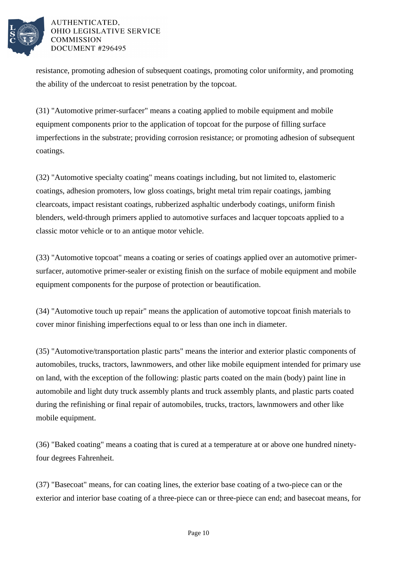

resistance, promoting adhesion of subsequent coatings, promoting color uniformity, and promoting the ability of the undercoat to resist penetration by the topcoat.

(31) "Automotive primer-surfacer" means a coating applied to mobile equipment and mobile equipment components prior to the application of topcoat for the purpose of filling surface imperfections in the substrate; providing corrosion resistance; or promoting adhesion of subsequent coatings.

(32) "Automotive specialty coating" means coatings including, but not limited to, elastomeric coatings, adhesion promoters, low gloss coatings, bright metal trim repair coatings, jambing clearcoats, impact resistant coatings, rubberized asphaltic underbody coatings, uniform finish blenders, weld-through primers applied to automotive surfaces and lacquer topcoats applied to a classic motor vehicle or to an antique motor vehicle.

(33) "Automotive topcoat" means a coating or series of coatings applied over an automotive primersurfacer, automotive primer-sealer or existing finish on the surface of mobile equipment and mobile equipment components for the purpose of protection or beautification.

(34) "Automotive touch up repair" means the application of automotive topcoat finish materials to cover minor finishing imperfections equal to or less than one inch in diameter.

(35) "Automotive/transportation plastic parts" means the interior and exterior plastic components of automobiles, trucks, tractors, lawnmowers, and other like mobile equipment intended for primary use on land, with the exception of the following: plastic parts coated on the main (body) paint line in automobile and light duty truck assembly plants and truck assembly plants, and plastic parts coated during the refinishing or final repair of automobiles, trucks, tractors, lawnmowers and other like mobile equipment.

(36) "Baked coating" means a coating that is cured at a temperature at or above one hundred ninetyfour degrees Fahrenheit.

(37) "Basecoat" means, for can coating lines, the exterior base coating of a two-piece can or the exterior and interior base coating of a three-piece can or three-piece can end; and basecoat means, for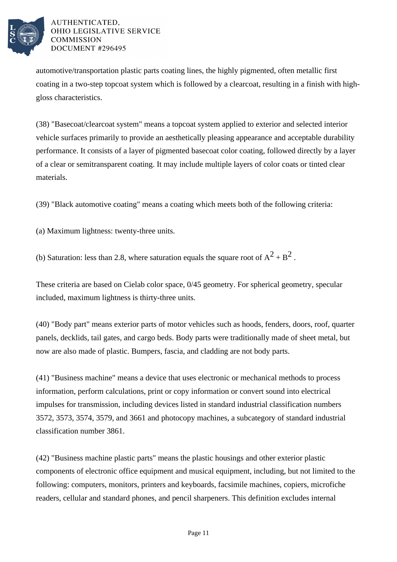

automotive/transportation plastic parts coating lines, the highly pigmented, often metallic first coating in a two-step topcoat system which is followed by a clearcoat, resulting in a finish with highgloss characteristics.

(38) "Basecoat/clearcoat system" means a topcoat system applied to exterior and selected interior vehicle surfaces primarily to provide an aesthetically pleasing appearance and acceptable durability performance. It consists of a layer of pigmented basecoat color coating, followed directly by a layer of a clear or semitransparent coating. It may include multiple layers of color coats or tinted clear materials.

(39) "Black automotive coating" means a coating which meets both of the following criteria:

(a) Maximum lightness: twenty-three units.

(b) Saturation: less than 2.8, where saturation equals the square root of  $A^2 + B^2$ .

These criteria are based on Cielab color space, 0/45 geometry. For spherical geometry, specular included, maximum lightness is thirty-three units.

(40) "Body part" means exterior parts of motor vehicles such as hoods, fenders, doors, roof, quarter panels, decklids, tail gates, and cargo beds. Body parts were traditionally made of sheet metal, but now are also made of plastic. Bumpers, fascia, and cladding are not body parts.

(41) "Business machine" means a device that uses electronic or mechanical methods to process information, perform calculations, print or copy information or convert sound into electrical impulses for transmission, including devices listed in standard industrial classification numbers 3572, 3573, 3574, 3579, and 3661 and photocopy machines, a subcategory of standard industrial classification number 3861.

(42) "Business machine plastic parts" means the plastic housings and other exterior plastic components of electronic office equipment and musical equipment, including, but not limited to the following: computers, monitors, printers and keyboards, facsimile machines, copiers, microfiche readers, cellular and standard phones, and pencil sharpeners. This definition excludes internal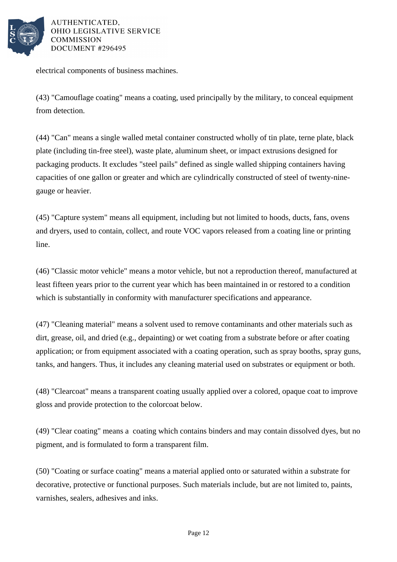

electrical components of business machines.

(43) "Camouflage coating" means a coating, used principally by the military, to conceal equipment from detection.

(44) "Can" means a single walled metal container constructed wholly of tin plate, terne plate, black plate (including tin-free steel), waste plate, aluminum sheet, or impact extrusions designed for packaging products. It excludes "steel pails" defined as single walled shipping containers having capacities of one gallon or greater and which are cylindrically constructed of steel of twenty-ninegauge or heavier.

(45) "Capture system" means all equipment, including but not limited to hoods, ducts, fans, ovens and dryers, used to contain, collect, and route VOC vapors released from a coating line or printing line.

(46) "Classic motor vehicle" means a motor vehicle, but not a reproduction thereof, manufactured at least fifteen years prior to the current year which has been maintained in or restored to a condition which is substantially in conformity with manufacturer specifications and appearance.

(47) "Cleaning material" means a solvent used to remove contaminants and other materials such as dirt, grease, oil, and dried (e.g., depainting) or wet coating from a substrate before or after coating application; or from equipment associated with a coating operation, such as spray booths, spray guns, tanks, and hangers. Thus, it includes any cleaning material used on substrates or equipment or both.

(48) "Clearcoat" means a transparent coating usually applied over a colored, opaque coat to improve gloss and provide protection to the colorcoat below.

(49) "Clear coating" means a coating which contains binders and may contain dissolved dyes, but no pigment, and is formulated to form a transparent film.

(50) "Coating or surface coating" means a material applied onto or saturated within a substrate for decorative, protective or functional purposes. Such materials include, but are not limited to, paints, varnishes, sealers, adhesives and inks.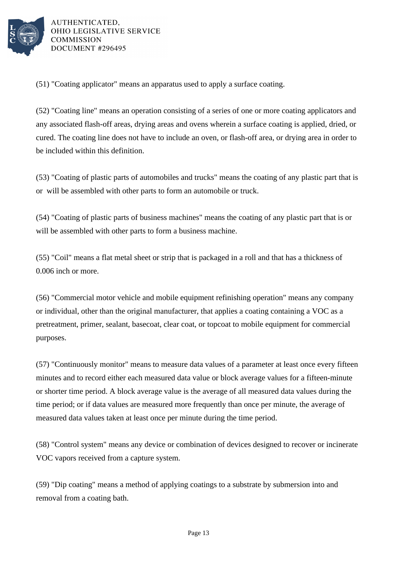

(51) "Coating applicator" means an apparatus used to apply a surface coating.

(52) "Coating line" means an operation consisting of a series of one or more coating applicators and any associated flash-off areas, drying areas and ovens wherein a surface coating is applied, dried, or cured. The coating line does not have to include an oven, or flash-off area, or drying area in order to be included within this definition.

(53) "Coating of plastic parts of automobiles and trucks" means the coating of any plastic part that is or will be assembled with other parts to form an automobile or truck.

(54) "Coating of plastic parts of business machines" means the coating of any plastic part that is or will be assembled with other parts to form a business machine.

(55) "Coil" means a flat metal sheet or strip that is packaged in a roll and that has a thickness of 0.006 inch or more.

(56) "Commercial motor vehicle and mobile equipment refinishing operation" means any company or individual, other than the original manufacturer, that applies a coating containing a VOC as a pretreatment, primer, sealant, basecoat, clear coat, or topcoat to mobile equipment for commercial purposes.

(57) "Continuously monitor" means to measure data values of a parameter at least once every fifteen minutes and to record either each measured data value or block average values for a fifteen-minute or shorter time period. A block average value is the average of all measured data values during the time period; or if data values are measured more frequently than once per minute, the average of measured data values taken at least once per minute during the time period.

(58) "Control system" means any device or combination of devices designed to recover or incinerate VOC vapors received from a capture system.

(59) "Dip coating" means a method of applying coatings to a substrate by submersion into and removal from a coating bath.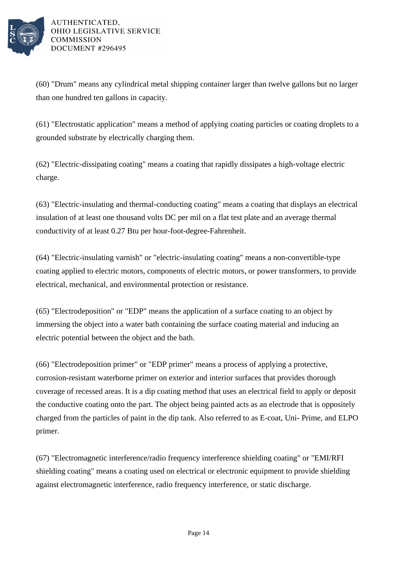

(60) "Drum" means any cylindrical metal shipping container larger than twelve gallons but no larger than one hundred ten gallons in capacity.

(61) "Electrostatic application" means a method of applying coating particles or coating droplets to a grounded substrate by electrically charging them.

(62) "Electric-dissipating coating" means a coating that rapidly dissipates a high-voltage electric charge.

(63) "Electric-insulating and thermal-conducting coating" means a coating that displays an electrical insulation of at least one thousand volts DC per mil on a flat test plate and an average thermal conductivity of at least 0.27 Btu per hour-foot-degree-Fahrenheit.

(64) "Electric-insulating varnish" or "electric-insulating coating" means a non-convertible-type coating applied to electric motors, components of electric motors, or power transformers, to provide electrical, mechanical, and environmental protection or resistance.

(65) "Electrodeposition" or "EDP" means the application of a surface coating to an object by immersing the object into a water bath containing the surface coating material and inducing an electric potential between the object and the bath.

(66) "Electrodeposition primer" or "EDP primer" means a process of applying a protective, corrosion-resistant waterborne primer on exterior and interior surfaces that provides thorough coverage of recessed areas. It is a dip coating method that uses an electrical field to apply or deposit the conductive coating onto the part. The object being painted acts as an electrode that is oppositely charged from the particles of paint in the dip tank. Also referred to as E-coat, Uni- Prime, and ELPO primer.

(67) "Electromagnetic interference/radio frequency interference shielding coating" or "EMI/RFI shielding coating" means a coating used on electrical or electronic equipment to provide shielding against electromagnetic interference, radio frequency interference, or static discharge.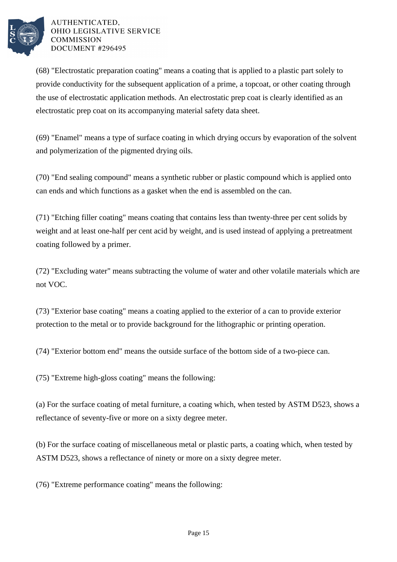

(68) "Electrostatic preparation coating" means a coating that is applied to a plastic part solely to provide conductivity for the subsequent application of a prime, a topcoat, or other coating through the use of electrostatic application methods. An electrostatic prep coat is clearly identified as an electrostatic prep coat on its accompanying material safety data sheet.

(69) "Enamel" means a type of surface coating in which drying occurs by evaporation of the solvent and polymerization of the pigmented drying oils.

(70) "End sealing compound" means a synthetic rubber or plastic compound which is applied onto can ends and which functions as a gasket when the end is assembled on the can.

(71) "Etching filler coating" means coating that contains less than twenty-three per cent solids by weight and at least one-half per cent acid by weight, and is used instead of applying a pretreatment coating followed by a primer.

(72) "Excluding water" means subtracting the volume of water and other volatile materials which are not VOC.

(73) "Exterior base coating" means a coating applied to the exterior of a can to provide exterior protection to the metal or to provide background for the lithographic or printing operation.

(74) "Exterior bottom end" means the outside surface of the bottom side of a two-piece can.

(75) "Extreme high-gloss coating" means the following:

(a) For the surface coating of metal furniture, a coating which, when tested by ASTM D523, shows a reflectance of seventy-five or more on a sixty degree meter.

(b) For the surface coating of miscellaneous metal or plastic parts, a coating which, when tested by ASTM D523, shows a reflectance of ninety or more on a sixty degree meter.

(76) "Extreme performance coating" means the following: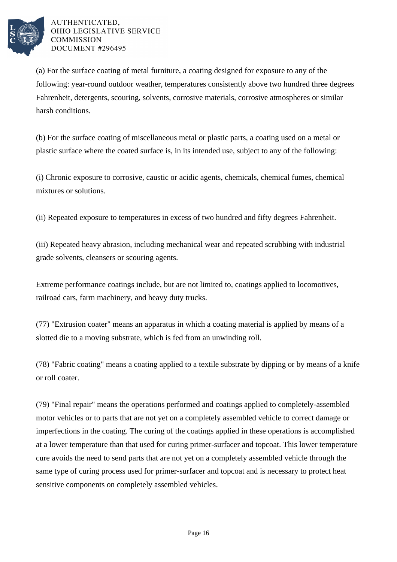

(a) For the surface coating of metal furniture, a coating designed for exposure to any of the following: year-round outdoor weather, temperatures consistently above two hundred three degrees Fahrenheit, detergents, scouring, solvents, corrosive materials, corrosive atmospheres or similar harsh conditions.

(b) For the surface coating of miscellaneous metal or plastic parts, a coating used on a metal or plastic surface where the coated surface is, in its intended use, subject to any of the following:

(i) Chronic exposure to corrosive, caustic or acidic agents, chemicals, chemical fumes, chemical mixtures or solutions.

(ii) Repeated exposure to temperatures in excess of two hundred and fifty degrees Fahrenheit.

(iii) Repeated heavy abrasion, including mechanical wear and repeated scrubbing with industrial grade solvents, cleansers or scouring agents.

Extreme performance coatings include, but are not limited to, coatings applied to locomotives, railroad cars, farm machinery, and heavy duty trucks.

(77) "Extrusion coater" means an apparatus in which a coating material is applied by means of a slotted die to a moving substrate, which is fed from an unwinding roll.

(78) "Fabric coating" means a coating applied to a textile substrate by dipping or by means of a knife or roll coater.

(79) "Final repair" means the operations performed and coatings applied to completely-assembled motor vehicles or to parts that are not yet on a completely assembled vehicle to correct damage or imperfections in the coating. The curing of the coatings applied in these operations is accomplished at a lower temperature than that used for curing primer-surfacer and topcoat. This lower temperature cure avoids the need to send parts that are not yet on a completely assembled vehicle through the same type of curing process used for primer-surfacer and topcoat and is necessary to protect heat sensitive components on completely assembled vehicles.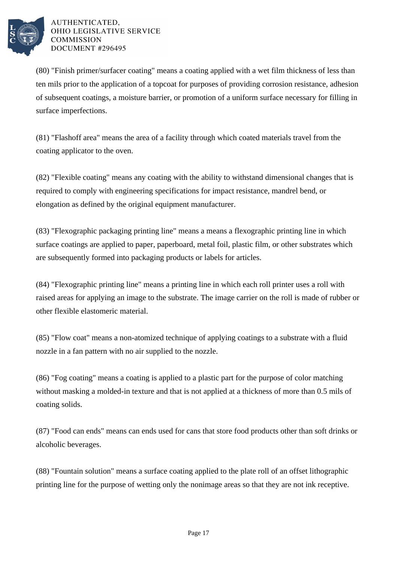

(80) "Finish primer/surfacer coating" means a coating applied with a wet film thickness of less than ten mils prior to the application of a topcoat for purposes of providing corrosion resistance, adhesion of subsequent coatings, a moisture barrier, or promotion of a uniform surface necessary for filling in surface imperfections.

(81) "Flashoff area" means the area of a facility through which coated materials travel from the coating applicator to the oven.

(82) "Flexible coating" means any coating with the ability to withstand dimensional changes that is required to comply with engineering specifications for impact resistance, mandrel bend, or elongation as defined by the original equipment manufacturer.

(83) "Flexographic packaging printing line" means a means a flexographic printing line in which surface coatings are applied to paper, paperboard, metal foil, plastic film, or other substrates which are subsequently formed into packaging products or labels for articles.

(84) "Flexographic printing line" means a printing line in which each roll printer uses a roll with raised areas for applying an image to the substrate. The image carrier on the roll is made of rubber or other flexible elastomeric material.

(85) "Flow coat" means a non-atomized technique of applying coatings to a substrate with a fluid nozzle in a fan pattern with no air supplied to the nozzle.

(86) "Fog coating" means a coating is applied to a plastic part for the purpose of color matching without masking a molded-in texture and that is not applied at a thickness of more than 0.5 mils of coating solids.

(87) "Food can ends" means can ends used for cans that store food products other than soft drinks or alcoholic beverages.

(88) "Fountain solution" means a surface coating applied to the plate roll of an offset lithographic printing line for the purpose of wetting only the nonimage areas so that they are not ink receptive.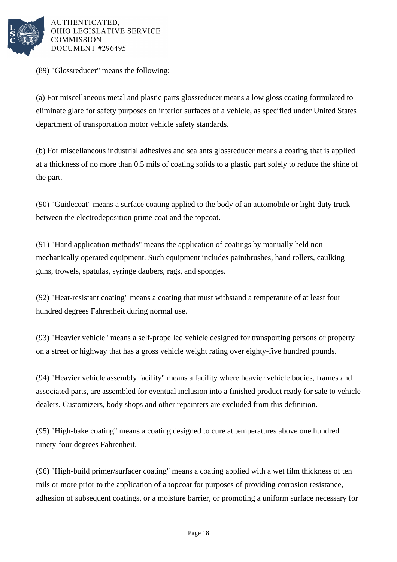

(89) "Glossreducer" means the following:

(a) For miscellaneous metal and plastic parts glossreducer means a low gloss coating formulated to eliminate glare for safety purposes on interior surfaces of a vehicle, as specified under United States department of transportation motor vehicle safety standards.

(b) For miscellaneous industrial adhesives and sealants glossreducer means a coating that is applied at a thickness of no more than 0.5 mils of coating solids to a plastic part solely to reduce the shine of the part.

(90) "Guidecoat" means a surface coating applied to the body of an automobile or light-duty truck between the electrodeposition prime coat and the topcoat.

(91) "Hand application methods" means the application of coatings by manually held nonmechanically operated equipment. Such equipment includes paintbrushes, hand rollers, caulking guns, trowels, spatulas, syringe daubers, rags, and sponges.

(92) "Heat-resistant coating" means a coating that must withstand a temperature of at least four hundred degrees Fahrenheit during normal use.

(93) "Heavier vehicle" means a self-propelled vehicle designed for transporting persons or property on a street or highway that has a gross vehicle weight rating over eighty-five hundred pounds.

(94) "Heavier vehicle assembly facility" means a facility where heavier vehicle bodies, frames and associated parts, are assembled for eventual inclusion into a finished product ready for sale to vehicle dealers. Customizers, body shops and other repainters are excluded from this definition.

(95) "High-bake coating" means a coating designed to cure at temperatures above one hundred ninety-four degrees Fahrenheit.

(96) "High-build primer/surfacer coating" means a coating applied with a wet film thickness of ten mils or more prior to the application of a topcoat for purposes of providing corrosion resistance, adhesion of subsequent coatings, or a moisture barrier, or promoting a uniform surface necessary for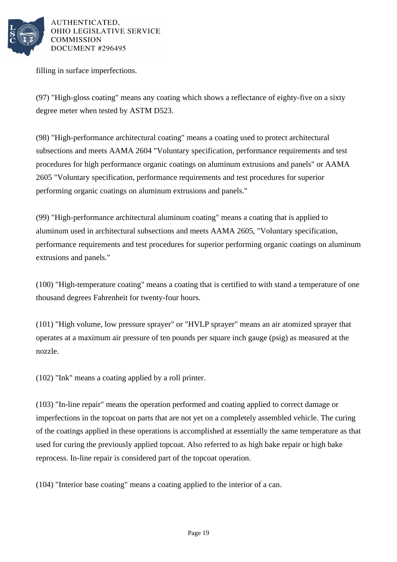

filling in surface imperfections.

(97) "High-gloss coating" means any coating which shows a reflectance of eighty-five on a sixty degree meter when tested by ASTM D523.

(98) "High-performance architectural coating" means a coating used to protect architectural subsections and meets AAMA 2604 "Voluntary specification, performance requirements and test procedures for high performance organic coatings on aluminum extrusions and panels" or AAMA 2605 "Voluntary specification, performance requirements and test procedures for superior performing organic coatings on aluminum extrusions and panels."

(99) "High-performance architectural aluminum coating" means a coating that is applied to aluminum used in architectural subsections and meets AAMA 2605, "Voluntary specification, performance requirements and test procedures for superior performing organic coatings on aluminum extrusions and panels."

(100) "High-temperature coating" means a coating that is certified to with stand a temperature of one thousand degrees Fahrenheit for twenty-four hours.

(101) "High volume, low pressure sprayer" or "HVLP sprayer" means an air atomized sprayer that operates at a maximum air pressure of ten pounds per square inch gauge (psig) as measured at the nozzle.

(102) "Ink" means a coating applied by a roll printer.

(103) "In-line repair" means the operation performed and coating applied to correct damage or imperfections in the topcoat on parts that are not yet on a completely assembled vehicle. The curing of the coatings applied in these operations is accomplished at essentially the same temperature as that used for curing the previously applied topcoat. Also referred to as high bake repair or high bake reprocess. In-line repair is considered part of the topcoat operation.

(104) "Interior base coating" means a coating applied to the interior of a can.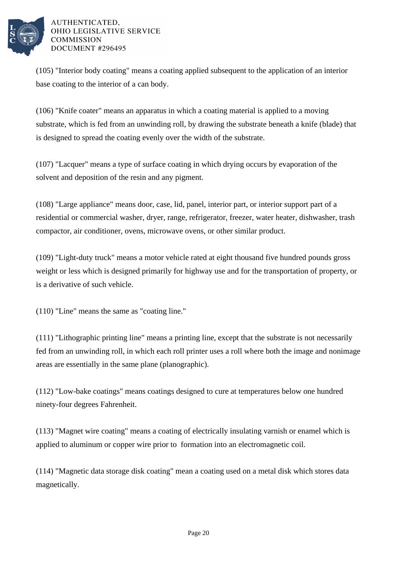

(105) "Interior body coating" means a coating applied subsequent to the application of an interior base coating to the interior of a can body.

(106) "Knife coater" means an apparatus in which a coating material is applied to a moving substrate, which is fed from an unwinding roll, by drawing the substrate beneath a knife (blade) that is designed to spread the coating evenly over the width of the substrate.

(107) "Lacquer" means a type of surface coating in which drying occurs by evaporation of the solvent and deposition of the resin and any pigment.

(108) "Large appliance" means door, case, lid, panel, interior part, or interior support part of a residential or commercial washer, dryer, range, refrigerator, freezer, water heater, dishwasher, trash compactor, air conditioner, ovens, microwave ovens, or other similar product.

(109) "Light-duty truck" means a motor vehicle rated at eight thousand five hundred pounds gross weight or less which is designed primarily for highway use and for the transportation of property, or is a derivative of such vehicle.

(110) "Line" means the same as "coating line."

(111) "Lithographic printing line" means a printing line, except that the substrate is not necessarily fed from an unwinding roll, in which each roll printer uses a roll where both the image and nonimage areas are essentially in the same plane (planographic).

(112) "Low-bake coatings" means coatings designed to cure at temperatures below one hundred ninety-four degrees Fahrenheit.

(113) "Magnet wire coating" means a coating of electrically insulating varnish or enamel which is applied to aluminum or copper wire prior to formation into an electromagnetic coil.

(114) "Magnetic data storage disk coating" mean a coating used on a metal disk which stores data magnetically.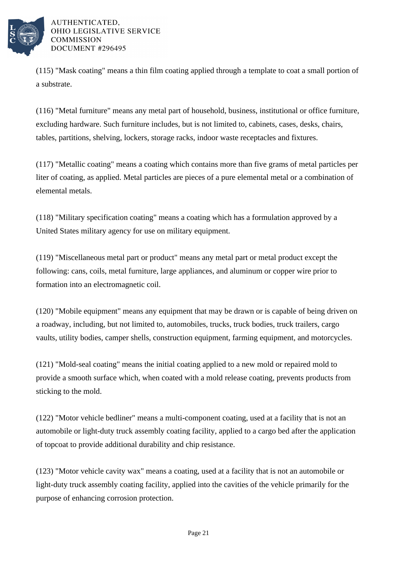

(115) "Mask coating" means a thin film coating applied through a template to coat a small portion of a substrate.

(116) "Metal furniture" means any metal part of household, business, institutional or office furniture, excluding hardware. Such furniture includes, but is not limited to, cabinets, cases, desks, chairs, tables, partitions, shelving, lockers, storage racks, indoor waste receptacles and fixtures.

(117) "Metallic coating" means a coating which contains more than five grams of metal particles per liter of coating, as applied. Metal particles are pieces of a pure elemental metal or a combination of elemental metals.

(118) "Military specification coating" means a coating which has a formulation approved by a United States military agency for use on military equipment.

(119) "Miscellaneous metal part or product" means any metal part or metal product except the following: cans, coils, metal furniture, large appliances, and aluminum or copper wire prior to formation into an electromagnetic coil.

(120) "Mobile equipment" means any equipment that may be drawn or is capable of being driven on a roadway, including, but not limited to, automobiles, trucks, truck bodies, truck trailers, cargo vaults, utility bodies, camper shells, construction equipment, farming equipment, and motorcycles.

(121) "Mold-seal coating" means the initial coating applied to a new mold or repaired mold to provide a smooth surface which, when coated with a mold release coating, prevents products from sticking to the mold.

(122) "Motor vehicle bedliner" means a multi-component coating, used at a facility that is not an automobile or light-duty truck assembly coating facility, applied to a cargo bed after the application of topcoat to provide additional durability and chip resistance.

(123) "Motor vehicle cavity wax" means a coating, used at a facility that is not an automobile or light-duty truck assembly coating facility, applied into the cavities of the vehicle primarily for the purpose of enhancing corrosion protection.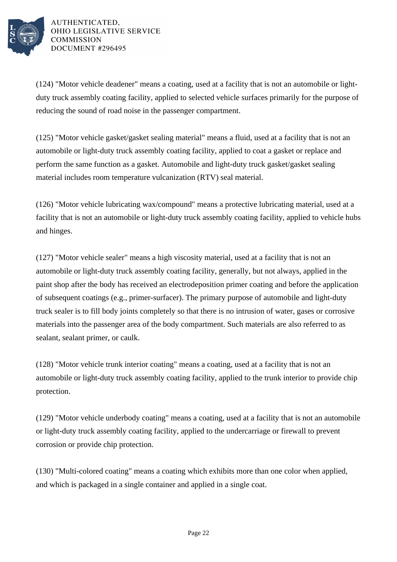

(124) "Motor vehicle deadener" means a coating, used at a facility that is not an automobile or lightduty truck assembly coating facility, applied to selected vehicle surfaces primarily for the purpose of reducing the sound of road noise in the passenger compartment.

(125) "Motor vehicle gasket/gasket sealing material" means a fluid, used at a facility that is not an automobile or light-duty truck assembly coating facility, applied to coat a gasket or replace and perform the same function as a gasket. Automobile and light-duty truck gasket/gasket sealing material includes room temperature vulcanization (RTV) seal material.

(126) "Motor vehicle lubricating wax/compound" means a protective lubricating material, used at a facility that is not an automobile or light-duty truck assembly coating facility, applied to vehicle hubs and hinges.

(127) "Motor vehicle sealer" means a high viscosity material, used at a facility that is not an automobile or light-duty truck assembly coating facility, generally, but not always, applied in the paint shop after the body has received an electrodeposition primer coating and before the application of subsequent coatings (e.g., primer-surfacer). The primary purpose of automobile and light-duty truck sealer is to fill body joints completely so that there is no intrusion of water, gases or corrosive materials into the passenger area of the body compartment. Such materials are also referred to as sealant, sealant primer, or caulk.

(128) "Motor vehicle trunk interior coating" means a coating, used at a facility that is not an automobile or light-duty truck assembly coating facility, applied to the trunk interior to provide chip protection.

(129) "Motor vehicle underbody coating" means a coating, used at a facility that is not an automobile or light-duty truck assembly coating facility, applied to the undercarriage or firewall to prevent corrosion or provide chip protection.

(130) "Multi-colored coating" means a coating which exhibits more than one color when applied, and which is packaged in a single container and applied in a single coat.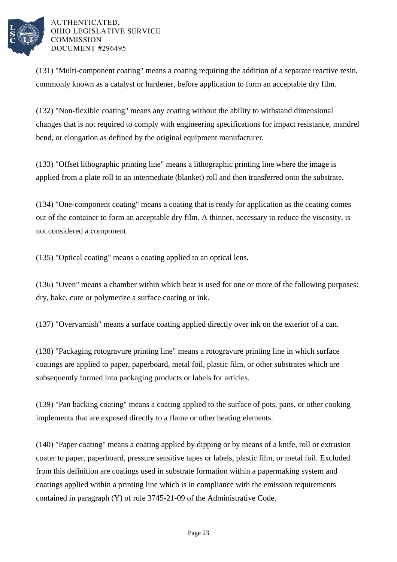

(131) "Multi-component coating" means a coating requiring the addition of a separate reactive resin, commonly known as a catalyst or hardener, before application to form an acceptable dry film.

(132) "Non-flexible coating" means any coating without the ability to withstand dimensional changes that is not required to comply with engineering specifications for impact resistance, mandrel bend, or elongation as defined by the original equipment manufacturer.

(133) "Offset lithographic printing line" means a lithographic printing line where the image is applied from a plate roll to an intermediate (blanket) roll and then transferred onto the substrate.

(134) "One-component coating" means a coating that is ready for application as the coating comes out of the container to form an acceptable dry film. A thinner, necessary to reduce the viscosity, is not considered a component.

(135) "Optical coating" means a coating applied to an optical lens.

(136) "Oven" means a chamber within which heat is used for one or more of the following purposes: dry, bake, cure or polymerize a surface coating or ink.

(137) "Overvarnish" means a surface coating applied directly over ink on the exterior of a can.

(138) "Packaging rotogravure printing line" means a rotogravure printing line in which surface coatings are applied to paper, paperboard, metal foil, plastic film, or other substrates which are subsequently formed into packaging products or labels for articles.

(139) "Pan backing coating" means a coating applied to the surface of pots, pans, or other cooking implements that are exposed directly to a flame or other heating elements.

(140) "Paper coating" means a coating applied by dipping or by means of a knife, roll or extrusion coater to paper, paperboard, pressure sensitive tapes or labels, plastic film, or metal foil. Excluded from this definition are coatings used in substrate formation within a papermaking system and coatings applied within a printing line which is in compliance with the emission requirements contained in paragraph (Y) of rule 3745-21-09 of the Administrative Code.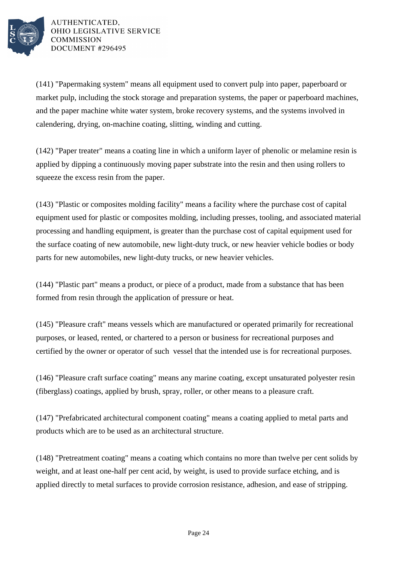

(141) "Papermaking system" means all equipment used to convert pulp into paper, paperboard or market pulp, including the stock storage and preparation systems, the paper or paperboard machines, and the paper machine white water system, broke recovery systems, and the systems involved in calendering, drying, on-machine coating, slitting, winding and cutting.

(142) "Paper treater" means a coating line in which a uniform layer of phenolic or melamine resin is applied by dipping a continuously moving paper substrate into the resin and then using rollers to squeeze the excess resin from the paper.

(143) "Plastic or composites molding facility" means a facility where the purchase cost of capital equipment used for plastic or composites molding, including presses, tooling, and associated material processing and handling equipment, is greater than the purchase cost of capital equipment used for the surface coating of new automobile, new light-duty truck, or new heavier vehicle bodies or body parts for new automobiles, new light-duty trucks, or new heavier vehicles.

(144) "Plastic part" means a product, or piece of a product, made from a substance that has been formed from resin through the application of pressure or heat.

(145) "Pleasure craft" means vessels which are manufactured or operated primarily for recreational purposes, or leased, rented, or chartered to a person or business for recreational purposes and certified by the owner or operator of such vessel that the intended use is for recreational purposes.

(146) "Pleasure craft surface coating" means any marine coating, except unsaturated polyester resin (fiberglass) coatings, applied by brush, spray, roller, or other means to a pleasure craft.

(147) "Prefabricated architectural component coating" means a coating applied to metal parts and products which are to be used as an architectural structure.

(148) "Pretreatment coating" means a coating which contains no more than twelve per cent solids by weight, and at least one-half per cent acid, by weight, is used to provide surface etching, and is applied directly to metal surfaces to provide corrosion resistance, adhesion, and ease of stripping.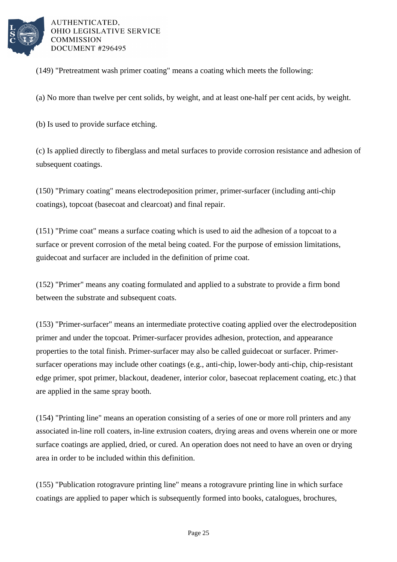

(149) "Pretreatment wash primer coating" means a coating which meets the following:

(a) No more than twelve per cent solids, by weight, and at least one-half per cent acids, by weight.

(b) Is used to provide surface etching.

(c) Is applied directly to fiberglass and metal surfaces to provide corrosion resistance and adhesion of subsequent coatings.

(150) "Primary coating" means electrodeposition primer, primer-surfacer (including anti-chip coatings), topcoat (basecoat and clearcoat) and final repair.

(151) "Prime coat" means a surface coating which is used to aid the adhesion of a topcoat to a surface or prevent corrosion of the metal being coated. For the purpose of emission limitations, guidecoat and surfacer are included in the definition of prime coat.

(152) "Primer" means any coating formulated and applied to a substrate to provide a firm bond between the substrate and subsequent coats.

(153) "Primer-surfacer" means an intermediate protective coating applied over the electrodeposition primer and under the topcoat. Primer-surfacer provides adhesion, protection, and appearance properties to the total finish. Primer-surfacer may also be called guidecoat or surfacer. Primersurfacer operations may include other coatings (e.g., anti-chip, lower-body anti-chip, chip-resistant edge primer, spot primer, blackout, deadener, interior color, basecoat replacement coating, etc.) that are applied in the same spray booth.

(154) "Printing line" means an operation consisting of a series of one or more roll printers and any associated in-line roll coaters, in-line extrusion coaters, drying areas and ovens wherein one or more surface coatings are applied, dried, or cured. An operation does not need to have an oven or drying area in order to be included within this definition.

(155) "Publication rotogravure printing line" means a rotogravure printing line in which surface coatings are applied to paper which is subsequently formed into books, catalogues, brochures,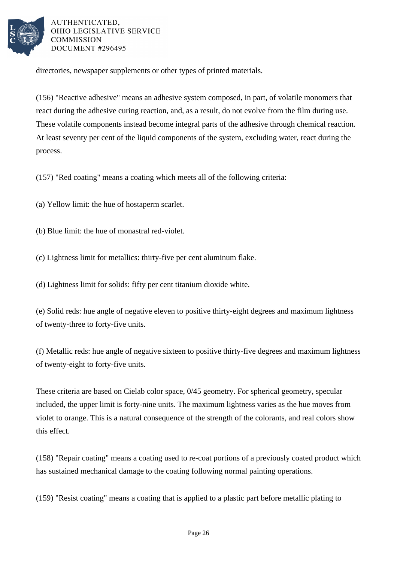

directories, newspaper supplements or other types of printed materials.

(156) "Reactive adhesive" means an adhesive system composed, in part, of volatile monomers that react during the adhesive curing reaction, and, as a result, do not evolve from the film during use. These volatile components instead become integral parts of the adhesive through chemical reaction. At least seventy per cent of the liquid components of the system, excluding water, react during the process.

(157) "Red coating" means a coating which meets all of the following criteria:

(a) Yellow limit: the hue of hostaperm scarlet.

(b) Blue limit: the hue of monastral red-violet.

(c) Lightness limit for metallics: thirty-five per cent aluminum flake.

(d) Lightness limit for solids: fifty per cent titanium dioxide white.

(e) Solid reds: hue angle of negative eleven to positive thirty-eight degrees and maximum lightness of twenty-three to forty-five units.

(f) Metallic reds: hue angle of negative sixteen to positive thirty-five degrees and maximum lightness of twenty-eight to forty-five units.

These criteria are based on Cielab color space, 0/45 geometry. For spherical geometry, specular included, the upper limit is forty-nine units. The maximum lightness varies as the hue moves from violet to orange. This is a natural consequence of the strength of the colorants, and real colors show this effect.

(158) "Repair coating" means a coating used to re-coat portions of a previously coated product which has sustained mechanical damage to the coating following normal painting operations.

(159) "Resist coating" means a coating that is applied to a plastic part before metallic plating to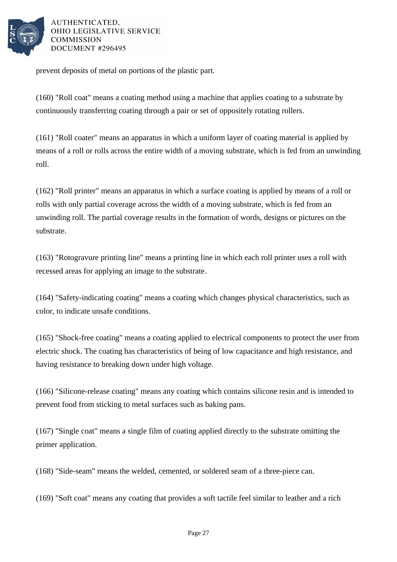

prevent deposits of metal on portions of the plastic part.

(160) "Roll coat" means a coating method using a machine that applies coating to a substrate by continuously transferring coating through a pair or set of oppositely rotating rollers.

(161) "Roll coater" means an apparatus in which a uniform layer of coating material is applied by means of a roll or rolls across the entire width of a moving substrate, which is fed from an unwinding roll.

(162) "Roll printer" means an apparatus in which a surface coating is applied by means of a roll or rolls with only partial coverage across the width of a moving substrate, which is fed from an unwinding roll. The partial coverage results in the formation of words, designs or pictures on the substrate.

(163) "Rotogravure printing line" means a printing line in which each roll printer uses a roll with recessed areas for applying an image to the substrate.

(164) "Safety-indicating coating" means a coating which changes physical characteristics, such as color, to indicate unsafe conditions.

(165) "Shock-free coating" means a coating applied to electrical components to protect the user from electric shock. The coating has characteristics of being of low capacitance and high resistance, and having resistance to breaking down under high voltage.

(166) "Silicone-release coating" means any coating which contains silicone resin and is intended to prevent food from sticking to metal surfaces such as baking pans.

(167) "Single coat" means a single film of coating applied directly to the substrate omitting the primer application.

(168) "Side-seam" means the welded, cemented, or soldered seam of a three-piece can.

(169) "Soft coat" means any coating that provides a soft tactile feel similar to leather and a rich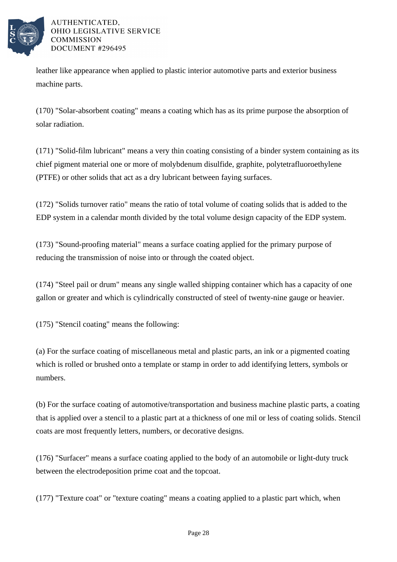

leather like appearance when applied to plastic interior automotive parts and exterior business machine parts.

(170) "Solar-absorbent coating" means a coating which has as its prime purpose the absorption of solar radiation.

(171) "Solid-film lubricant" means a very thin coating consisting of a binder system containing as its chief pigment material one or more of molybdenum disulfide, graphite, polytetrafluoroethylene (PTFE) or other solids that act as a dry lubricant between faying surfaces.

(172) "Solids turnover ratio" means the ratio of total volume of coating solids that is added to the EDP system in a calendar month divided by the total volume design capacity of the EDP system.

(173) "Sound-proofing material" means a surface coating applied for the primary purpose of reducing the transmission of noise into or through the coated object.

(174) "Steel pail or drum" means any single walled shipping container which has a capacity of one gallon or greater and which is cylindrically constructed of steel of twenty-nine gauge or heavier.

(175) "Stencil coating" means the following:

(a) For the surface coating of miscellaneous metal and plastic parts, an ink or a pigmented coating which is rolled or brushed onto a template or stamp in order to add identifying letters, symbols or numbers.

(b) For the surface coating of automotive/transportation and business machine plastic parts, a coating that is applied over a stencil to a plastic part at a thickness of one mil or less of coating solids. Stencil coats are most frequently letters, numbers, or decorative designs.

(176) "Surfacer" means a surface coating applied to the body of an automobile or light-duty truck between the electrodeposition prime coat and the topcoat.

(177) "Texture coat" or "texture coating" means a coating applied to a plastic part which, when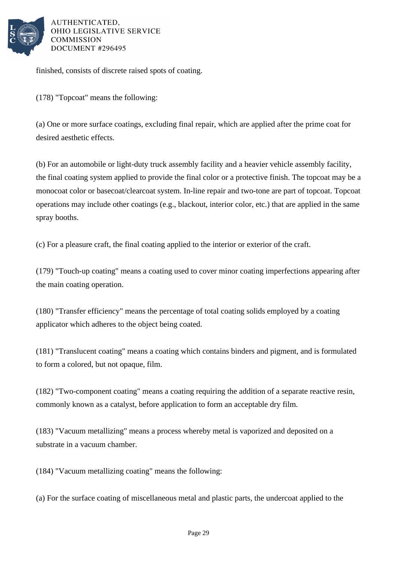

finished, consists of discrete raised spots of coating.

(178) "Topcoat" means the following:

(a) One or more surface coatings, excluding final repair, which are applied after the prime coat for desired aesthetic effects.

(b) For an automobile or light-duty truck assembly facility and a heavier vehicle assembly facility, the final coating system applied to provide the final color or a protective finish. The topcoat may be a monocoat color or basecoat/clearcoat system. In-line repair and two-tone are part of topcoat. Topcoat operations may include other coatings (e.g., blackout, interior color, etc.) that are applied in the same spray booths.

(c) For a pleasure craft, the final coating applied to the interior or exterior of the craft.

(179) "Touch-up coating" means a coating used to cover minor coating imperfections appearing after the main coating operation.

(180) "Transfer efficiency" means the percentage of total coating solids employed by a coating applicator which adheres to the object being coated.

(181) "Translucent coating" means a coating which contains binders and pigment, and is formulated to form a colored, but not opaque, film.

(182) "Two-component coating" means a coating requiring the addition of a separate reactive resin, commonly known as a catalyst, before application to form an acceptable dry film.

(183) "Vacuum metallizing" means a process whereby metal is vaporized and deposited on a substrate in a vacuum chamber.

(184) "Vacuum metallizing coating" means the following:

(a) For the surface coating of miscellaneous metal and plastic parts, the undercoat applied to the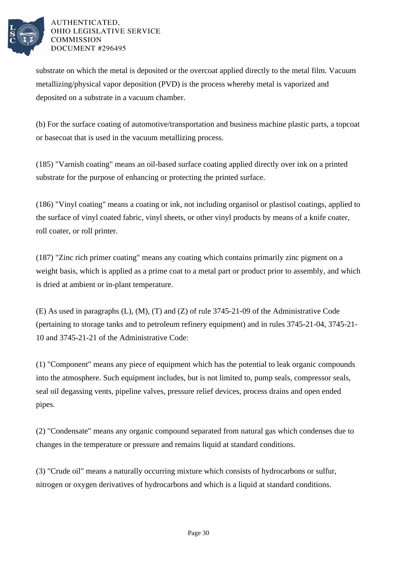

substrate on which the metal is deposited or the overcoat applied directly to the metal film. Vacuum metallizing/physical vapor deposition (PVD) is the process whereby metal is vaporized and deposited on a substrate in a vacuum chamber.

(b) For the surface coating of automotive/transportation and business machine plastic parts, a topcoat or basecoat that is used in the vacuum metallizing process.

(185) "Varnish coating" means an oil-based surface coating applied directly over ink on a printed substrate for the purpose of enhancing or protecting the printed surface.

(186) "Vinyl coating" means a coating or ink, not including organisol or plastisol coatings, applied to the surface of vinyl coated fabric, vinyl sheets, or other vinyl products by means of a knife coater, roll coater, or roll printer.

(187) "Zinc rich primer coating" means any coating which contains primarily zinc pigment on a weight basis, which is applied as a prime coat to a metal part or product prior to assembly, and which is dried at ambient or in-plant temperature.

(E) As used in paragraphs (L), (M), (T) and (Z) of rule 3745-21-09 of the Administrative Code (pertaining to storage tanks and to petroleum refinery equipment) and in rules 3745-21-04, 3745-21- 10 and 3745-21-21 of the Administrative Code:

(1) "Component" means any piece of equipment which has the potential to leak organic compounds into the atmosphere. Such equipment includes, but is not limited to, pump seals, compressor seals, seal oil degassing vents, pipeline valves, pressure relief devices, process drains and open ended pipes.

(2) "Condensate" means any organic compound separated from natural gas which condenses due to changes in the temperature or pressure and remains liquid at standard conditions.

(3) "Crude oil" means a naturally occurring mixture which consists of hydrocarbons or sulfur, nitrogen or oxygen derivatives of hydrocarbons and which is a liquid at standard conditions.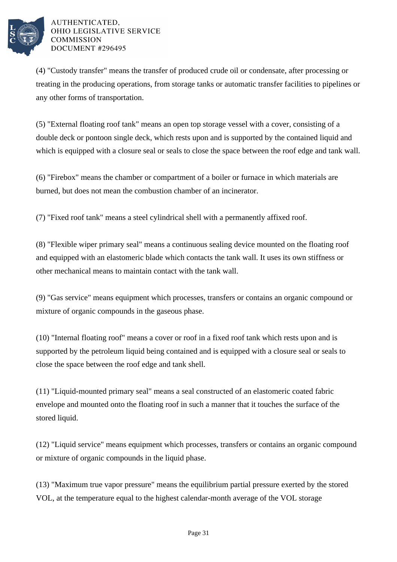

(4) "Custody transfer" means the transfer of produced crude oil or condensate, after processing or treating in the producing operations, from storage tanks or automatic transfer facilities to pipelines or any other forms of transportation.

(5) "External floating roof tank" means an open top storage vessel with a cover, consisting of a double deck or pontoon single deck, which rests upon and is supported by the contained liquid and which is equipped with a closure seal or seals to close the space between the roof edge and tank wall.

(6) "Firebox" means the chamber or compartment of a boiler or furnace in which materials are burned, but does not mean the combustion chamber of an incinerator.

(7) "Fixed roof tank" means a steel cylindrical shell with a permanently affixed roof.

(8) "Flexible wiper primary seal" means a continuous sealing device mounted on the floating roof and equipped with an elastomeric blade which contacts the tank wall. It uses its own stiffness or other mechanical means to maintain contact with the tank wall.

(9) "Gas service" means equipment which processes, transfers or contains an organic compound or mixture of organic compounds in the gaseous phase.

(10) "Internal floating roof" means a cover or roof in a fixed roof tank which rests upon and is supported by the petroleum liquid being contained and is equipped with a closure seal or seals to close the space between the roof edge and tank shell.

(11) "Liquid-mounted primary seal" means a seal constructed of an elastomeric coated fabric envelope and mounted onto the floating roof in such a manner that it touches the surface of the stored liquid.

(12) "Liquid service" means equipment which processes, transfers or contains an organic compound or mixture of organic compounds in the liquid phase.

(13) "Maximum true vapor pressure" means the equilibrium partial pressure exerted by the stored VOL, at the temperature equal to the highest calendar-month average of the VOL storage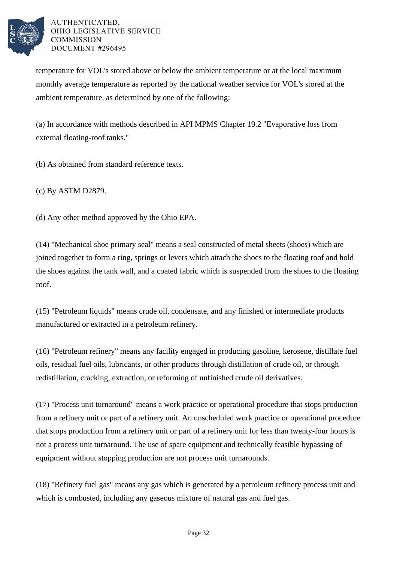

temperature for VOL's stored above or below the ambient temperature or at the local maximum monthly average temperature as reported by the national weather service for VOL's stored at the ambient temperature, as determined by one of the following:

(a) In accordance with methods described in API MPMS Chapter 19.2 "Evaporative loss from external floating-roof tanks."

(b) As obtained from standard reference texts.

(c) By ASTM D2879.

(d) Any other method approved by the Ohio EPA.

(14) "Mechanical shoe primary seal" means a seal constructed of metal sheets (shoes) which are joined together to form a ring, springs or levers which attach the shoes to the floating roof and hold the shoes against the tank wall, and a coated fabric which is suspended from the shoes to the floating roof.

(15) "Petroleum liquids" means crude oil, condensate, and any finished or intermediate products manufactured or extracted in a petroleum refinery.

(16) "Petroleum refinery" means any facility engaged in producing gasoline, kerosene, distillate fuel oils, residual fuel oils, lubricants, or other products through distillation of crude oil, or through redistillation, cracking, extraction, or reforming of unfinished crude oil derivatives.

(17) "Process unit turnaround" means a work practice or operational procedure that stops production from a refinery unit or part of a refinery unit. An unscheduled work practice or operational procedure that stops production from a refinery unit or part of a refinery unit for less than twenty-four hours is not a process unit turnaround. The use of spare equipment and technically feasible bypassing of equipment without stopping production are not process unit turnarounds.

(18) "Refinery fuel gas" means any gas which is generated by a petroleum refinery process unit and which is combusted, including any gaseous mixture of natural gas and fuel gas.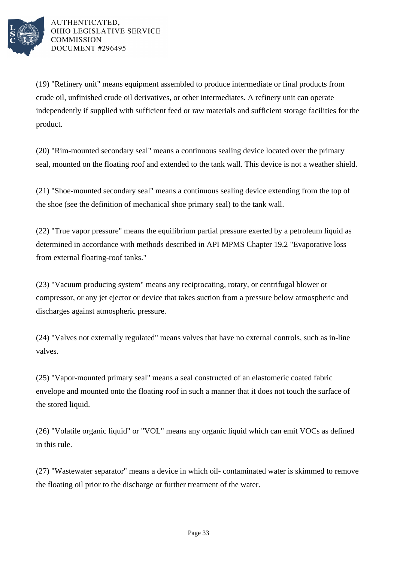

(19) "Refinery unit" means equipment assembled to produce intermediate or final products from crude oil, unfinished crude oil derivatives, or other intermediates. A refinery unit can operate independently if supplied with sufficient feed or raw materials and sufficient storage facilities for the product.

(20) "Rim-mounted secondary seal" means a continuous sealing device located over the primary seal, mounted on the floating roof and extended to the tank wall. This device is not a weather shield.

(21) "Shoe-mounted secondary seal" means a continuous sealing device extending from the top of the shoe (see the definition of mechanical shoe primary seal) to the tank wall.

(22) "True vapor pressure" means the equilibrium partial pressure exerted by a petroleum liquid as determined in accordance with methods described in API MPMS Chapter 19.2 "Evaporative loss from external floating-roof tanks."

(23) "Vacuum producing system" means any reciprocating, rotary, or centrifugal blower or compressor, or any jet ejector or device that takes suction from a pressure below atmospheric and discharges against atmospheric pressure.

(24) "Valves not externally regulated" means valves that have no external controls, such as in-line valves.

(25) "Vapor-mounted primary seal" means a seal constructed of an elastomeric coated fabric envelope and mounted onto the floating roof in such a manner that it does not touch the surface of the stored liquid.

(26) "Volatile organic liquid" or "VOL" means any organic liquid which can emit VOCs as defined in this rule.

(27) "Wastewater separator" means a device in which oil- contaminated water is skimmed to remove the floating oil prior to the discharge or further treatment of the water.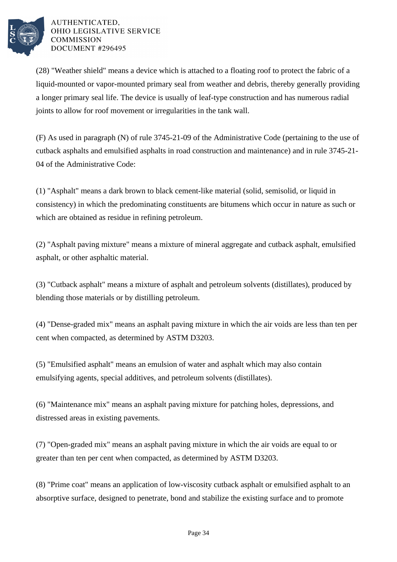

(28) "Weather shield" means a device which is attached to a floating roof to protect the fabric of a liquid-mounted or vapor-mounted primary seal from weather and debris, thereby generally providing a longer primary seal life. The device is usually of leaf-type construction and has numerous radial joints to allow for roof movement or irregularities in the tank wall.

(F) As used in paragraph (N) of rule 3745-21-09 of the Administrative Code (pertaining to the use of cutback asphalts and emulsified asphalts in road construction and maintenance) and in rule 3745-21- 04 of the Administrative Code:

(1) "Asphalt" means a dark brown to black cement-like material (solid, semisolid, or liquid in consistency) in which the predominating constituents are bitumens which occur in nature as such or which are obtained as residue in refining petroleum.

(2) "Asphalt paving mixture" means a mixture of mineral aggregate and cutback asphalt, emulsified asphalt, or other asphaltic material.

(3) "Cutback asphalt" means a mixture of asphalt and petroleum solvents (distillates), produced by blending those materials or by distilling petroleum.

(4) "Dense-graded mix" means an asphalt paving mixture in which the air voids are less than ten per cent when compacted, as determined by ASTM D3203.

(5) "Emulsified asphalt" means an emulsion of water and asphalt which may also contain emulsifying agents, special additives, and petroleum solvents (distillates).

(6) "Maintenance mix" means an asphalt paving mixture for patching holes, depressions, and distressed areas in existing pavements.

(7) "Open-graded mix" means an asphalt paving mixture in which the air voids are equal to or greater than ten per cent when compacted, as determined by ASTM D3203.

(8) "Prime coat" means an application of low-viscosity cutback asphalt or emulsified asphalt to an absorptive surface, designed to penetrate, bond and stabilize the existing surface and to promote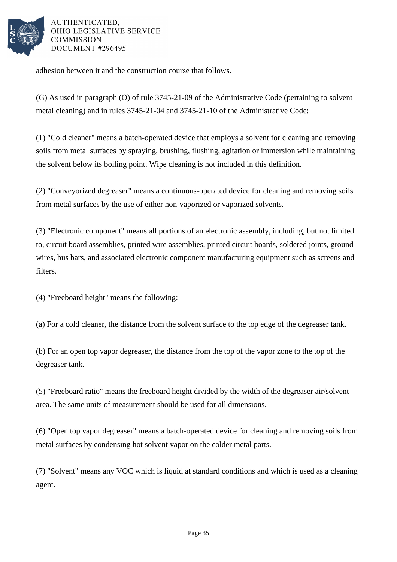

adhesion between it and the construction course that follows.

(G) As used in paragraph (O) of rule 3745-21-09 of the Administrative Code (pertaining to solvent metal cleaning) and in rules 3745-21-04 and 3745-21-10 of the Administrative Code:

(1) "Cold cleaner" means a batch-operated device that employs a solvent for cleaning and removing soils from metal surfaces by spraying, brushing, flushing, agitation or immersion while maintaining the solvent below its boiling point. Wipe cleaning is not included in this definition.

(2) "Conveyorized degreaser" means a continuous-operated device for cleaning and removing soils from metal surfaces by the use of either non-vaporized or vaporized solvents.

(3) "Electronic component" means all portions of an electronic assembly, including, but not limited to, circuit board assemblies, printed wire assemblies, printed circuit boards, soldered joints, ground wires, bus bars, and associated electronic component manufacturing equipment such as screens and filters.

(4) "Freeboard height" means the following:

(a) For a cold cleaner, the distance from the solvent surface to the top edge of the degreaser tank.

(b) For an open top vapor degreaser, the distance from the top of the vapor zone to the top of the degreaser tank.

(5) "Freeboard ratio" means the freeboard height divided by the width of the degreaser air/solvent area. The same units of measurement should be used for all dimensions.

(6) "Open top vapor degreaser" means a batch-operated device for cleaning and removing soils from metal surfaces by condensing hot solvent vapor on the colder metal parts.

(7) "Solvent" means any VOC which is liquid at standard conditions and which is used as a cleaning agent.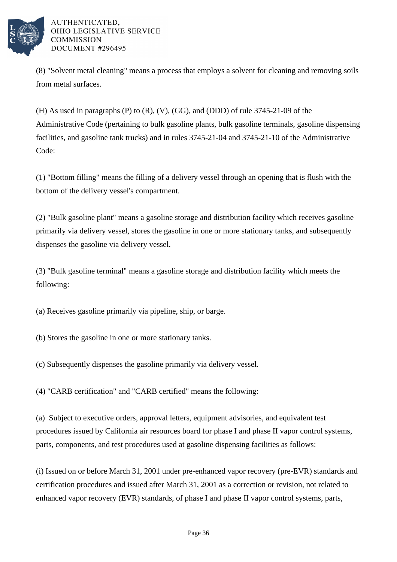

(8) "Solvent metal cleaning" means a process that employs a solvent for cleaning and removing soils from metal surfaces.

(H) As used in paragraphs (P) to (R), (V), (GG), and (DDD) of rule 3745-21-09 of the Administrative Code (pertaining to bulk gasoline plants, bulk gasoline terminals, gasoline dispensing facilities, and gasoline tank trucks) and in rules 3745-21-04 and 3745-21-10 of the Administrative Code:

(1) "Bottom filling" means the filling of a delivery vessel through an opening that is flush with the bottom of the delivery vessel's compartment.

(2) "Bulk gasoline plant" means a gasoline storage and distribution facility which receives gasoline primarily via delivery vessel, stores the gasoline in one or more stationary tanks, and subsequently dispenses the gasoline via delivery vessel.

(3) "Bulk gasoline terminal" means a gasoline storage and distribution facility which meets the following:

(a) Receives gasoline primarily via pipeline, ship, or barge.

(b) Stores the gasoline in one or more stationary tanks.

(c) Subsequently dispenses the gasoline primarily via delivery vessel.

(4) "CARB certification" and "CARB certified" means the following:

(a) Subject to executive orders, approval letters, equipment advisories, and equivalent test procedures issued by California air resources board for phase I and phase II vapor control systems, parts, components, and test procedures used at gasoline dispensing facilities as follows:

(i) Issued on or before March 31, 2001 under pre-enhanced vapor recovery (pre-EVR) standards and certification procedures and issued after March 31, 2001 as a correction or revision, not related to enhanced vapor recovery (EVR) standards, of phase I and phase II vapor control systems, parts,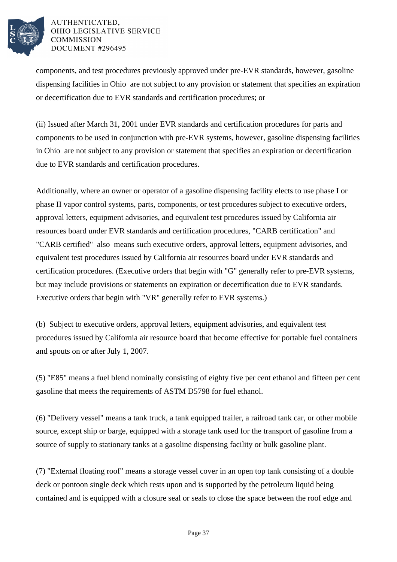

components, and test procedures previously approved under pre-EVR standards, however, gasoline dispensing facilities in Ohio are not subject to any provision or statement that specifies an expiration or decertification due to EVR standards and certification procedures; or

(ii) Issued after March 31, 2001 under EVR standards and certification procedures for parts and components to be used in conjunction with pre-EVR systems, however, gasoline dispensing facilities in Ohio are not subject to any provision or statement that specifies an expiration or decertification due to EVR standards and certification procedures.

Additionally, where an owner or operator of a gasoline dispensing facility elects to use phase I or phase II vapor control systems, parts, components, or test procedures subject to executive orders, approval letters, equipment advisories, and equivalent test procedures issued by California air resources board under EVR standards and certification procedures, "CARB certification" and "CARB certified" also means such executive orders, approval letters, equipment advisories, and equivalent test procedures issued by California air resources board under EVR standards and certification procedures. (Executive orders that begin with "G" generally refer to pre-EVR systems, but may include provisions or statements on expiration or decertification due to EVR standards. Executive orders that begin with "VR" generally refer to EVR systems.)

(b) Subject to executive orders, approval letters, equipment advisories, and equivalent test procedures issued by California air resource board that become effective for portable fuel containers and spouts on or after July 1, 2007.

(5) "E85" means a fuel blend nominally consisting of eighty five per cent ethanol and fifteen per cent gasoline that meets the requirements of ASTM D5798 for fuel ethanol.

(6) "Delivery vessel" means a tank truck, a tank equipped trailer, a railroad tank car, or other mobile source, except ship or barge, equipped with a storage tank used for the transport of gasoline from a source of supply to stationary tanks at a gasoline dispensing facility or bulk gasoline plant.

(7) "External floating roof" means a storage vessel cover in an open top tank consisting of a double deck or pontoon single deck which rests upon and is supported by the petroleum liquid being contained and is equipped with a closure seal or seals to close the space between the roof edge and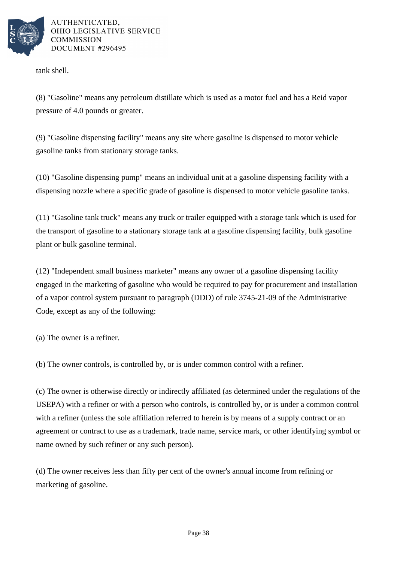

tank shell.

(8) "Gasoline" means any petroleum distillate which is used as a motor fuel and has a Reid vapor pressure of 4.0 pounds or greater.

(9) "Gasoline dispensing facility" means any site where gasoline is dispensed to motor vehicle gasoline tanks from stationary storage tanks.

(10) "Gasoline dispensing pump" means an individual unit at a gasoline dispensing facility with a dispensing nozzle where a specific grade of gasoline is dispensed to motor vehicle gasoline tanks.

(11) "Gasoline tank truck" means any truck or trailer equipped with a storage tank which is used for the transport of gasoline to a stationary storage tank at a gasoline dispensing facility, bulk gasoline plant or bulk gasoline terminal.

(12) "Independent small business marketer" means any owner of a gasoline dispensing facility engaged in the marketing of gasoline who would be required to pay for procurement and installation of a vapor control system pursuant to paragraph (DDD) of rule 3745-21-09 of the Administrative Code, except as any of the following:

(a) The owner is a refiner.

(b) The owner controls, is controlled by, or is under common control with a refiner.

(c) The owner is otherwise directly or indirectly affiliated (as determined under the regulations of the USEPA) with a refiner or with a person who controls, is controlled by, or is under a common control with a refiner (unless the sole affiliation referred to herein is by means of a supply contract or an agreement or contract to use as a trademark, trade name, service mark, or other identifying symbol or name owned by such refiner or any such person).

(d) The owner receives less than fifty per cent of the owner's annual income from refining or marketing of gasoline.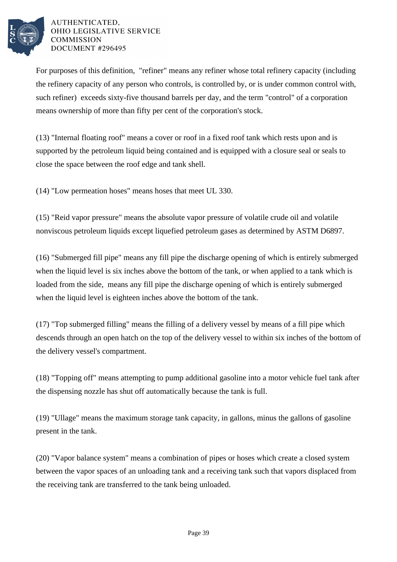

For purposes of this definition, "refiner" means any refiner whose total refinery capacity (including the refinery capacity of any person who controls, is controlled by, or is under common control with, such refiner) exceeds sixty-five thousand barrels per day, and the term "control" of a corporation means ownership of more than fifty per cent of the corporation's stock.

(13) "Internal floating roof" means a cover or roof in a fixed roof tank which rests upon and is supported by the petroleum liquid being contained and is equipped with a closure seal or seals to close the space between the roof edge and tank shell.

(14) "Low permeation hoses" means hoses that meet UL 330.

(15) "Reid vapor pressure" means the absolute vapor pressure of volatile crude oil and volatile nonviscous petroleum liquids except liquefied petroleum gases as determined by ASTM D6897.

(16) "Submerged fill pipe" means any fill pipe the discharge opening of which is entirely submerged when the liquid level is six inches above the bottom of the tank, or when applied to a tank which is loaded from the side, means any fill pipe the discharge opening of which is entirely submerged when the liquid level is eighteen inches above the bottom of the tank.

(17) "Top submerged filling" means the filling of a delivery vessel by means of a fill pipe which descends through an open hatch on the top of the delivery vessel to within six inches of the bottom of the delivery vessel's compartment.

(18) "Topping off" means attempting to pump additional gasoline into a motor vehicle fuel tank after the dispensing nozzle has shut off automatically because the tank is full.

(19) "Ullage" means the maximum storage tank capacity, in gallons, minus the gallons of gasoline present in the tank.

(20) "Vapor balance system" means a combination of pipes or hoses which create a closed system between the vapor spaces of an unloading tank and a receiving tank such that vapors displaced from the receiving tank are transferred to the tank being unloaded.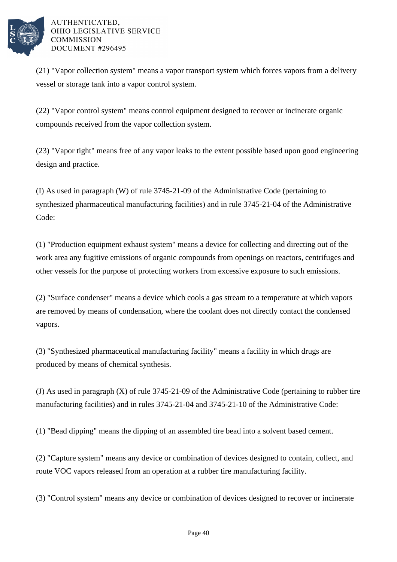

(21) "Vapor collection system" means a vapor transport system which forces vapors from a delivery vessel or storage tank into a vapor control system.

(22) "Vapor control system" means control equipment designed to recover or incinerate organic compounds received from the vapor collection system.

(23) "Vapor tight" means free of any vapor leaks to the extent possible based upon good engineering design and practice.

(I) As used in paragraph (W) of rule 3745-21-09 of the Administrative Code (pertaining to synthesized pharmaceutical manufacturing facilities) and in rule 3745-21-04 of the Administrative Code:

(1) "Production equipment exhaust system" means a device for collecting and directing out of the work area any fugitive emissions of organic compounds from openings on reactors, centrifuges and other vessels for the purpose of protecting workers from excessive exposure to such emissions.

(2) "Surface condenser" means a device which cools a gas stream to a temperature at which vapors are removed by means of condensation, where the coolant does not directly contact the condensed vapors.

(3) "Synthesized pharmaceutical manufacturing facility" means a facility in which drugs are produced by means of chemical synthesis.

(J) As used in paragraph (X) of rule 3745-21-09 of the Administrative Code (pertaining to rubber tire manufacturing facilities) and in rules 3745-21-04 and 3745-21-10 of the Administrative Code:

(1) "Bead dipping" means the dipping of an assembled tire bead into a solvent based cement.

(2) "Capture system" means any device or combination of devices designed to contain, collect, and route VOC vapors released from an operation at a rubber tire manufacturing facility.

(3) "Control system" means any device or combination of devices designed to recover or incinerate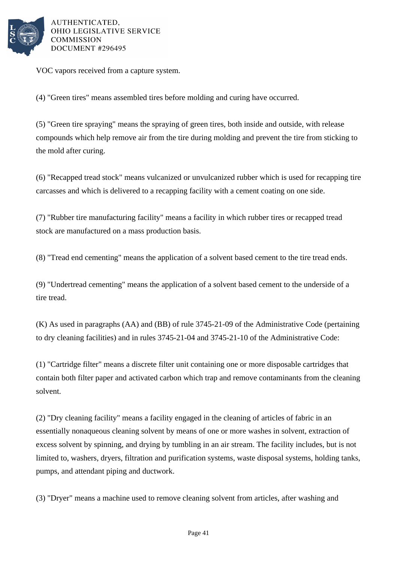

VOC vapors received from a capture system.

(4) "Green tires" means assembled tires before molding and curing have occurred.

(5) "Green tire spraying" means the spraying of green tires, both inside and outside, with release compounds which help remove air from the tire during molding and prevent the tire from sticking to the mold after curing.

(6) "Recapped tread stock" means vulcanized or unvulcanized rubber which is used for recapping tire carcasses and which is delivered to a recapping facility with a cement coating on one side.

(7) "Rubber tire manufacturing facility" means a facility in which rubber tires or recapped tread stock are manufactured on a mass production basis.

(8) "Tread end cementing" means the application of a solvent based cement to the tire tread ends.

(9) "Undertread cementing" means the application of a solvent based cement to the underside of a tire tread.

(K) As used in paragraphs (AA) and (BB) of rule 3745-21-09 of the Administrative Code (pertaining to dry cleaning facilities) and in rules 3745-21-04 and 3745-21-10 of the Administrative Code:

(1) "Cartridge filter" means a discrete filter unit containing one or more disposable cartridges that contain both filter paper and activated carbon which trap and remove contaminants from the cleaning solvent.

(2) "Dry cleaning facility" means a facility engaged in the cleaning of articles of fabric in an essentially nonaqueous cleaning solvent by means of one or more washes in solvent, extraction of excess solvent by spinning, and drying by tumbling in an air stream. The facility includes, but is not limited to, washers, dryers, filtration and purification systems, waste disposal systems, holding tanks, pumps, and attendant piping and ductwork.

(3) "Dryer" means a machine used to remove cleaning solvent from articles, after washing and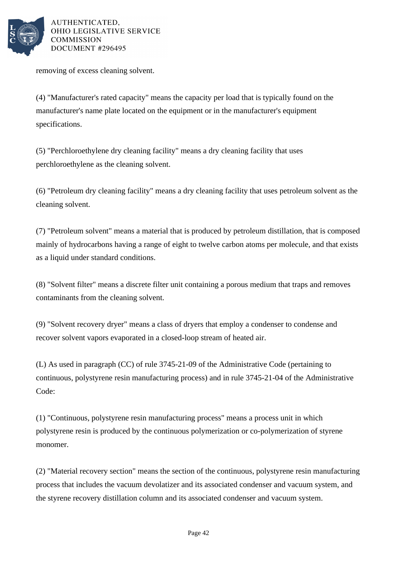

removing of excess cleaning solvent.

(4) "Manufacturer's rated capacity" means the capacity per load that is typically found on the manufacturer's name plate located on the equipment or in the manufacturer's equipment specifications.

(5) "Perchloroethylene dry cleaning facility" means a dry cleaning facility that uses perchloroethylene as the cleaning solvent.

(6) "Petroleum dry cleaning facility" means a dry cleaning facility that uses petroleum solvent as the cleaning solvent.

(7) "Petroleum solvent" means a material that is produced by petroleum distillation, that is composed mainly of hydrocarbons having a range of eight to twelve carbon atoms per molecule, and that exists as a liquid under standard conditions.

(8) "Solvent filter" means a discrete filter unit containing a porous medium that traps and removes contaminants from the cleaning solvent.

(9) "Solvent recovery dryer" means a class of dryers that employ a condenser to condense and recover solvent vapors evaporated in a closed-loop stream of heated air.

(L) As used in paragraph (CC) of rule 3745-21-09 of the Administrative Code (pertaining to continuous, polystyrene resin manufacturing process) and in rule 3745-21-04 of the Administrative Code:

(1) "Continuous, polystyrene resin manufacturing process" means a process unit in which polystyrene resin is produced by the continuous polymerization or co-polymerization of styrene monomer.

(2) "Material recovery section" means the section of the continuous, polystyrene resin manufacturing process that includes the vacuum devolatizer and its associated condenser and vacuum system, and the styrene recovery distillation column and its associated condenser and vacuum system.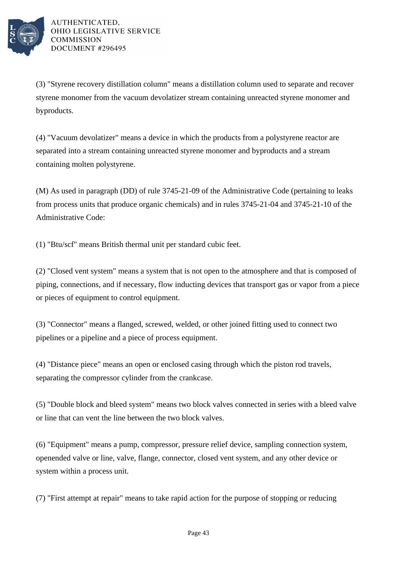

(3) "Styrene recovery distillation column" means a distillation column used to separate and recover styrene monomer from the vacuum devolatizer stream containing unreacted styrene monomer and byproducts.

(4) "Vacuum devolatizer" means a device in which the products from a polystyrene reactor are separated into a stream containing unreacted styrene monomer and byproducts and a stream containing molten polystyrene.

(M) As used in paragraph (DD) of rule 3745-21-09 of the Administrative Code (pertaining to leaks from process units that produce organic chemicals) and in rules 3745-21-04 and 3745-21-10 of the Administrative Code:

(1) "Btu/scf" means British thermal unit per standard cubic feet.

(2) "Closed vent system" means a system that is not open to the atmosphere and that is composed of piping, connections, and if necessary, flow inducting devices that transport gas or vapor from a piece or pieces of equipment to control equipment.

(3) "Connector" means a flanged, screwed, welded, or other joined fitting used to connect two pipelines or a pipeline and a piece of process equipment.

(4) "Distance piece" means an open or enclosed casing through which the piston rod travels, separating the compressor cylinder from the crankcase.

(5) "Double block and bleed system" means two block valves connected in series with a bleed valve or line that can vent the line between the two block valves.

(6) "Equipment" means a pump, compressor, pressure relief device, sampling connection system, openended valve or line, valve, flange, connector, closed vent system, and any other device or system within a process unit.

(7) "First attempt at repair" means to take rapid action for the purpose of stopping or reducing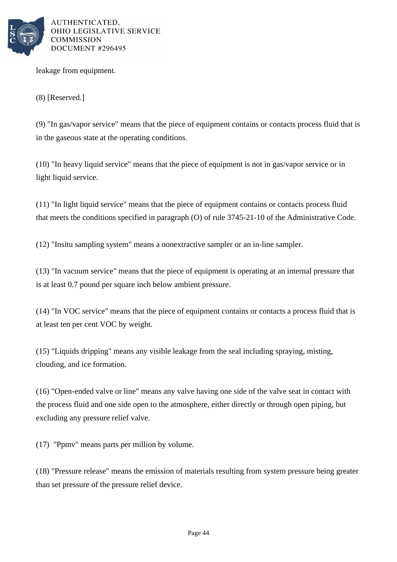

leakage from equipment.

(8) [Reserved.]

(9) "In gas/vapor service" means that the piece of equipment contains or contacts process fluid that is in the gaseous state at the operating conditions.

(10) "In heavy liquid service" means that the piece of equipment is not in gas/vapor service or in light liquid service.

(11) "In light liquid service" means that the piece of equipment contains or contacts process fluid that meets the conditions specified in paragraph (O) of rule 3745-21-10 of the Administrative Code.

(12) "Insitu sampling system" means a nonextractive sampler or an in-line sampler.

(13) "In vacuum service" means that the piece of equipment is operating at an internal pressure that is at least 0.7 pound per square inch below ambient pressure.

(14) "In VOC service" means that the piece of equipment contains or contacts a process fluid that is at least ten per cent VOC by weight.

(15) "Liquids dripping" means any visible leakage from the seal including spraying, misting, clouding, and ice formation.

(16) "Open-ended valve or line" means any valve having one side of the valve seat in contact with the process fluid and one side open to the atmosphere, either directly or through open piping, but excluding any pressure relief valve.

(17) "Ppmv" means parts per million by volume.

(18) "Pressure release" means the emission of materials resulting from system pressure being greater than set pressure of the pressure relief device.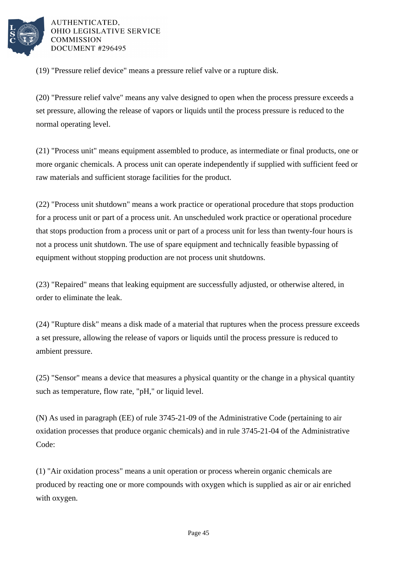

(19) "Pressure relief device" means a pressure relief valve or a rupture disk.

(20) "Pressure relief valve" means any valve designed to open when the process pressure exceeds a set pressure, allowing the release of vapors or liquids until the process pressure is reduced to the normal operating level.

(21) "Process unit" means equipment assembled to produce, as intermediate or final products, one or more organic chemicals. A process unit can operate independently if supplied with sufficient feed or raw materials and sufficient storage facilities for the product.

(22) "Process unit shutdown" means a work practice or operational procedure that stops production for a process unit or part of a process unit. An unscheduled work practice or operational procedure that stops production from a process unit or part of a process unit for less than twenty-four hours is not a process unit shutdown. The use of spare equipment and technically feasible bypassing of equipment without stopping production are not process unit shutdowns.

(23) "Repaired" means that leaking equipment are successfully adjusted, or otherwise altered, in order to eliminate the leak.

(24) "Rupture disk" means a disk made of a material that ruptures when the process pressure exceeds a set pressure, allowing the release of vapors or liquids until the process pressure is reduced to ambient pressure.

(25) "Sensor" means a device that measures a physical quantity or the change in a physical quantity such as temperature, flow rate, "pH," or liquid level.

(N) As used in paragraph (EE) of rule 3745-21-09 of the Administrative Code (pertaining to air oxidation processes that produce organic chemicals) and in rule 3745-21-04 of the Administrative Code:

(1) "Air oxidation process" means a unit operation or process wherein organic chemicals are produced by reacting one or more compounds with oxygen which is supplied as air or air enriched with oxygen.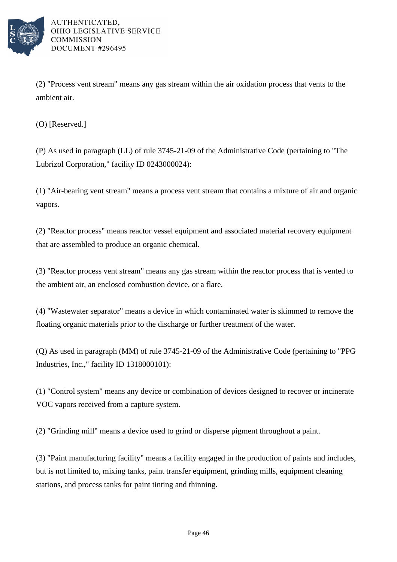

(2) "Process vent stream" means any gas stream within the air oxidation process that vents to the ambient air.

(O) [Reserved.]

(P) As used in paragraph (LL) of rule 3745-21-09 of the Administrative Code (pertaining to "The Lubrizol Corporation," facility ID 0243000024):

(1) "Air-bearing vent stream" means a process vent stream that contains a mixture of air and organic vapors.

(2) "Reactor process" means reactor vessel equipment and associated material recovery equipment that are assembled to produce an organic chemical.

(3) "Reactor process vent stream" means any gas stream within the reactor process that is vented to the ambient air, an enclosed combustion device, or a flare.

(4) "Wastewater separator" means a device in which contaminated water is skimmed to remove the floating organic materials prior to the discharge or further treatment of the water.

(Q) As used in paragraph (MM) of rule 3745-21-09 of the Administrative Code (pertaining to "PPG Industries, Inc.," facility ID 1318000101):

(1) "Control system" means any device or combination of devices designed to recover or incinerate VOC vapors received from a capture system.

(2) "Grinding mill" means a device used to grind or disperse pigment throughout a paint.

(3) "Paint manufacturing facility" means a facility engaged in the production of paints and includes, but is not limited to, mixing tanks, paint transfer equipment, grinding mills, equipment cleaning stations, and process tanks for paint tinting and thinning.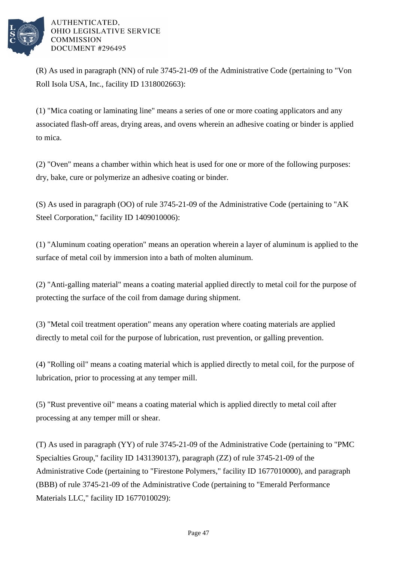

(R) As used in paragraph (NN) of rule 3745-21-09 of the Administrative Code (pertaining to "Von Roll Isola USA, Inc., facility ID 1318002663):

(1) "Mica coating or laminating line" means a series of one or more coating applicators and any associated flash-off areas, drying areas, and ovens wherein an adhesive coating or binder is applied to mica.

(2) "Oven" means a chamber within which heat is used for one or more of the following purposes: dry, bake, cure or polymerize an adhesive coating or binder.

(S) As used in paragraph (OO) of rule 3745-21-09 of the Administrative Code (pertaining to "AK Steel Corporation," facility ID 1409010006):

(1) "Aluminum coating operation" means an operation wherein a layer of aluminum is applied to the surface of metal coil by immersion into a bath of molten aluminum.

(2) "Anti-galling material" means a coating material applied directly to metal coil for the purpose of protecting the surface of the coil from damage during shipment.

(3) "Metal coil treatment operation" means any operation where coating materials are applied directly to metal coil for the purpose of lubrication, rust prevention, or galling prevention.

(4) "Rolling oil" means a coating material which is applied directly to metal coil, for the purpose of lubrication, prior to processing at any temper mill.

(5) "Rust preventive oil" means a coating material which is applied directly to metal coil after processing at any temper mill or shear.

(T) As used in paragraph (YY) of rule 3745-21-09 of the Administrative Code (pertaining to "PMC Specialties Group," facility ID 1431390137), paragraph (ZZ) of rule 3745-21-09 of the Administrative Code (pertaining to "Firestone Polymers," facility ID 1677010000), and paragraph (BBB) of rule 3745-21-09 of the Administrative Code (pertaining to "Emerald Performance Materials LLC," facility ID 1677010029):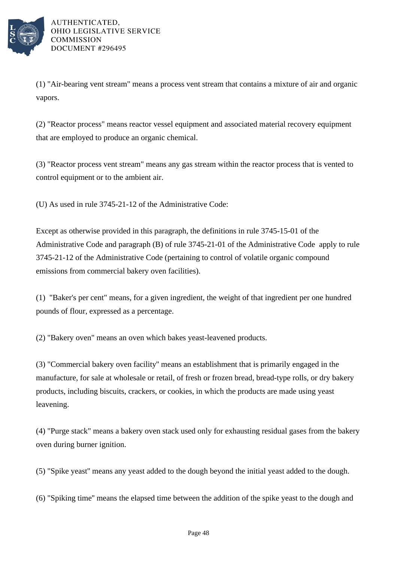

(1) "Air-bearing vent stream" means a process vent stream that contains a mixture of air and organic vapors.

(2) "Reactor process" means reactor vessel equipment and associated material recovery equipment that are employed to produce an organic chemical.

(3) "Reactor process vent stream" means any gas stream within the reactor process that is vented to control equipment or to the ambient air.

(U) As used in rule 3745-21-12 of the Administrative Code:

Except as otherwise provided in this paragraph, the definitions in rule 3745-15-01 of the Administrative Code and paragraph (B) of rule 3745-21-01 of the Administrative Code apply to rule 3745-21-12 of the Administrative Code (pertaining to control of volatile organic compound emissions from commercial bakery oven facilities).

(1) "Baker's per cent" means, for a given ingredient, the weight of that ingredient per one hundred pounds of flour, expressed as a percentage.

(2) "Bakery oven" means an oven which bakes yeast-leavened products.

(3) "Commercial bakery oven facility'' means an establishment that is primarily engaged in the manufacture, for sale at wholesale or retail, of fresh or frozen bread, bread-type rolls, or dry bakery products, including biscuits, crackers, or cookies, in which the products are made using yeast leavening.

(4) "Purge stack" means a bakery oven stack used only for exhausting residual gases from the bakery oven during burner ignition.

(5) "Spike yeast'' means any yeast added to the dough beyond the initial yeast added to the dough.

(6) "Spiking time'' means the elapsed time between the addition of the spike yeast to the dough and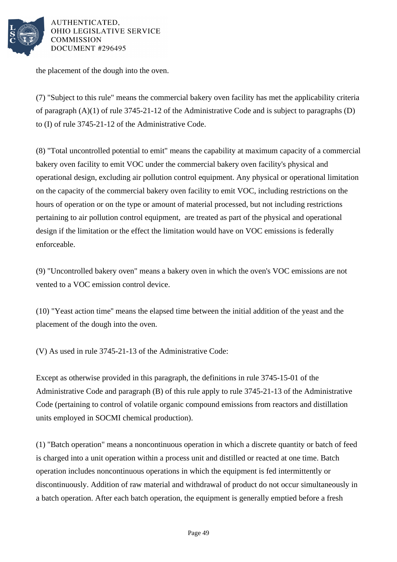

the placement of the dough into the oven.

(7) "Subject to this rule" means the commercial bakery oven facility has met the applicability criteria of paragraph (A)(1) of rule 3745-21-12 of the Administrative Code and is subject to paragraphs (D) to (I) of rule 3745-21-12 of the Administrative Code.

(8) "Total uncontrolled potential to emit" means the capability at maximum capacity of a commercial bakery oven facility to emit VOC under the commercial bakery oven facility's physical and operational design, excluding air pollution control equipment. Any physical or operational limitation on the capacity of the commercial bakery oven facility to emit VOC, including restrictions on the hours of operation or on the type or amount of material processed, but not including restrictions pertaining to air pollution control equipment, are treated as part of the physical and operational design if the limitation or the effect the limitation would have on VOC emissions is federally enforceable.

(9) "Uncontrolled bakery oven" means a bakery oven in which the oven's VOC emissions are not vented to a VOC emission control device.

(10) "Yeast action time'' means the elapsed time between the initial addition of the yeast and the placement of the dough into the oven.

(V) As used in rule 3745-21-13 of the Administrative Code:

Except as otherwise provided in this paragraph, the definitions in rule 3745-15-01 of the Administrative Code and paragraph (B) of this rule apply to rule 3745-21-13 of the Administrative Code (pertaining to control of volatile organic compound emissions from reactors and distillation units employed in SOCMI chemical production).

(1) "Batch operation" means a noncontinuous operation in which a discrete quantity or batch of feed is charged into a unit operation within a process unit and distilled or reacted at one time. Batch operation includes noncontinuous operations in which the equipment is fed intermittently or discontinuously. Addition of raw material and withdrawal of product do not occur simultaneously in a batch operation. After each batch operation, the equipment is generally emptied before a fresh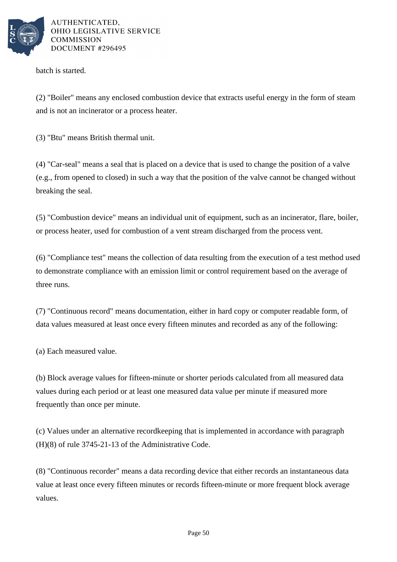

batch is started.

(2) "Boiler" means any enclosed combustion device that extracts useful energy in the form of steam and is not an incinerator or a process heater.

(3) "Btu" means British thermal unit.

(4) "Car-seal" means a seal that is placed on a device that is used to change the position of a valve (e.g., from opened to closed) in such a way that the position of the valve cannot be changed without breaking the seal.

(5) "Combustion device" means an individual unit of equipment, such as an incinerator, flare, boiler, or process heater, used for combustion of a vent stream discharged from the process vent.

(6) "Compliance test" means the collection of data resulting from the execution of a test method used to demonstrate compliance with an emission limit or control requirement based on the average of three runs.

(7) "Continuous record" means documentation, either in hard copy or computer readable form, of data values measured at least once every fifteen minutes and recorded as any of the following:

(a) Each measured value.

(b) Block average values for fifteen-minute or shorter periods calculated from all measured data values during each period or at least one measured data value per minute if measured more frequently than once per minute.

(c) Values under an alternative recordkeeping that is implemented in accordance with paragraph (H)(8) of rule 3745-21-13 of the Administrative Code.

(8) "Continuous recorder" means a data recording device that either records an instantaneous data value at least once every fifteen minutes or records fifteen-minute or more frequent block average values.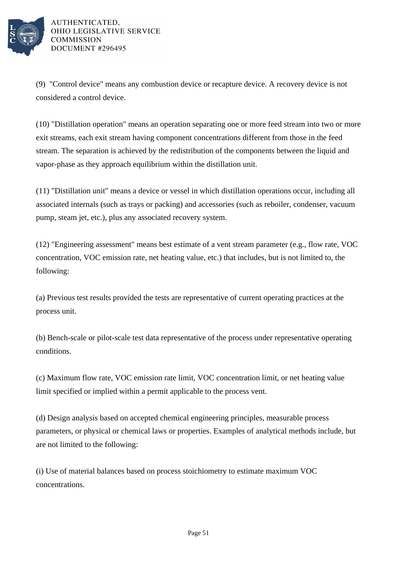

(9) "Control device" means any combustion device or recapture device. A recovery device is not considered a control device.

(10) "Distillation operation" means an operation separating one or more feed stream into two or more exit streams, each exit stream having component concentrations different from those in the feed stream. The separation is achieved by the redistribution of the components between the liquid and vapor-phase as they approach equilibrium within the distillation unit.

(11) "Distillation unit" means a device or vessel in which distillation operations occur, including all associated internals (such as trays or packing) and accessories (such as reboiler, condenser, vacuum pump, steam jet, etc.), plus any associated recovery system.

(12) "Engineering assessment" means best estimate of a vent stream parameter (e.g., flow rate, VOC concentration, VOC emission rate, net heating value, etc.) that includes, but is not limited to, the following:

(a) Previous test results provided the tests are representative of current operating practices at the process unit.

(b) Bench-scale or pilot-scale test data representative of the process under representative operating conditions.

(c) Maximum flow rate, VOC emission rate limit, VOC concentration limit, or net heating value limit specified or implied within a permit applicable to the process vent.

(d) Design analysis based on accepted chemical engineering principles, measurable process parameters, or physical or chemical laws or properties. Examples of analytical methods include, but are not limited to the following:

(i) Use of material balances based on process stoichiometry to estimate maximum VOC concentrations.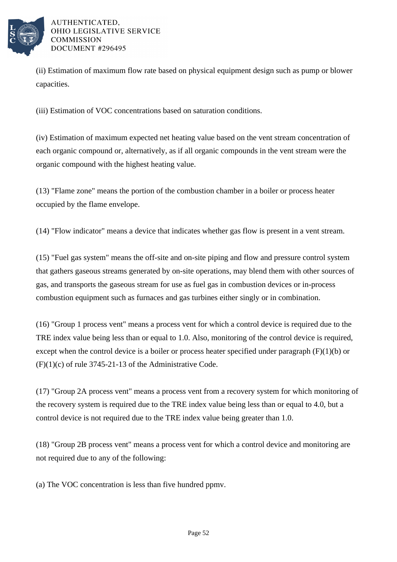

(ii) Estimation of maximum flow rate based on physical equipment design such as pump or blower capacities.

(iii) Estimation of VOC concentrations based on saturation conditions.

(iv) Estimation of maximum expected net heating value based on the vent stream concentration of each organic compound or, alternatively, as if all organic compounds in the vent stream were the organic compound with the highest heating value.

(13) "Flame zone" means the portion of the combustion chamber in a boiler or process heater occupied by the flame envelope.

(14) "Flow indicator" means a device that indicates whether gas flow is present in a vent stream.

(15) "Fuel gas system" means the off-site and on-site piping and flow and pressure control system that gathers gaseous streams generated by on-site operations, may blend them with other sources of gas, and transports the gaseous stream for use as fuel gas in combustion devices or in-process combustion equipment such as furnaces and gas turbines either singly or in combination.

(16) "Group 1 process vent" means a process vent for which a control device is required due to the TRE index value being less than or equal to 1.0. Also, monitoring of the control device is required, except when the control device is a boiler or process heater specified under paragraph  $(F)(1)(b)$  or  $(F)(1)(c)$  of rule 3745-21-13 of the Administrative Code.

(17) "Group 2A process vent" means a process vent from a recovery system for which monitoring of the recovery system is required due to the TRE index value being less than or equal to 4.0, but a control device is not required due to the TRE index value being greater than 1.0.

(18) "Group 2B process vent" means a process vent for which a control device and monitoring are not required due to any of the following:

(a) The VOC concentration is less than five hundred ppmv.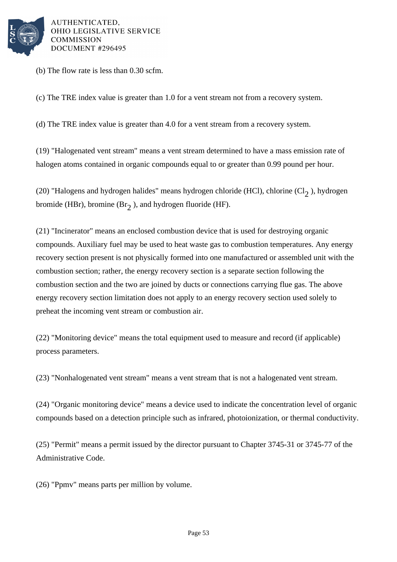

(b) The flow rate is less than 0.30 scfm.

(c) The TRE index value is greater than 1.0 for a vent stream not from a recovery system.

(d) The TRE index value is greater than 4.0 for a vent stream from a recovery system.

(19) "Halogenated vent stream" means a vent stream determined to have a mass emission rate of halogen atoms contained in organic compounds equal to or greater than 0.99 pound per hour.

(20) "Halogens and hydrogen halides" means hydrogen chloride (HCl), chlorine (Cl<sub>2</sub>), hydrogen bromide (HBr), bromine (Br<sub>2</sub>), and hydrogen fluoride (HF).

(21) "Incinerator" means an enclosed combustion device that is used for destroying organic compounds. Auxiliary fuel may be used to heat waste gas to combustion temperatures. Any energy recovery section present is not physically formed into one manufactured or assembled unit with the combustion section; rather, the energy recovery section is a separate section following the combustion section and the two are joined by ducts or connections carrying flue gas. The above energy recovery section limitation does not apply to an energy recovery section used solely to preheat the incoming vent stream or combustion air.

(22) "Monitoring device" means the total equipment used to measure and record (if applicable) process parameters.

(23) "Nonhalogenated vent stream" means a vent stream that is not a halogenated vent stream.

(24) "Organic monitoring device" means a device used to indicate the concentration level of organic compounds based on a detection principle such as infrared, photoionization, or thermal conductivity.

(25) "Permit" means a permit issued by the director pursuant to Chapter 3745-31 or 3745-77 of the Administrative Code.

(26) "Ppmv" means parts per million by volume.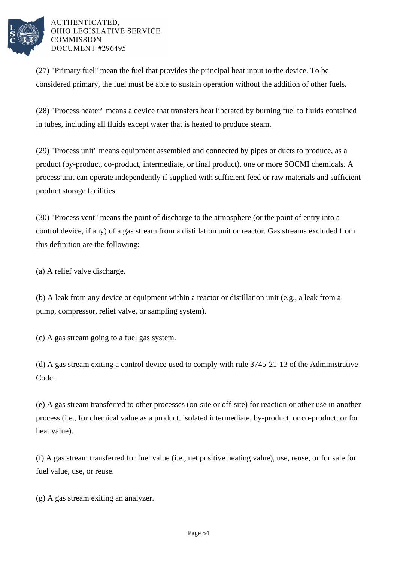

(27) "Primary fuel" mean the fuel that provides the principal heat input to the device. To be considered primary, the fuel must be able to sustain operation without the addition of other fuels.

(28) "Process heater" means a device that transfers heat liberated by burning fuel to fluids contained in tubes, including all fluids except water that is heated to produce steam.

(29) "Process unit" means equipment assembled and connected by pipes or ducts to produce, as a product (by-product, co-product, intermediate, or final product), one or more SOCMI chemicals. A process unit can operate independently if supplied with sufficient feed or raw materials and sufficient product storage facilities.

(30) "Process vent" means the point of discharge to the atmosphere (or the point of entry into a control device, if any) of a gas stream from a distillation unit or reactor. Gas streams excluded from this definition are the following:

(a) A relief valve discharge.

(b) A leak from any device or equipment within a reactor or distillation unit (e.g., a leak from a pump, compressor, relief valve, or sampling system).

(c) A gas stream going to a fuel gas system.

(d) A gas stream exiting a control device used to comply with rule 3745-21-13 of the Administrative Code.

(e) A gas stream transferred to other processes (on-site or off-site) for reaction or other use in another process (i.e., for chemical value as a product, isolated intermediate, by-product, or co-product, or for heat value).

(f) A gas stream transferred for fuel value (i.e., net positive heating value), use, reuse, or for sale for fuel value, use, or reuse.

(g) A gas stream exiting an analyzer.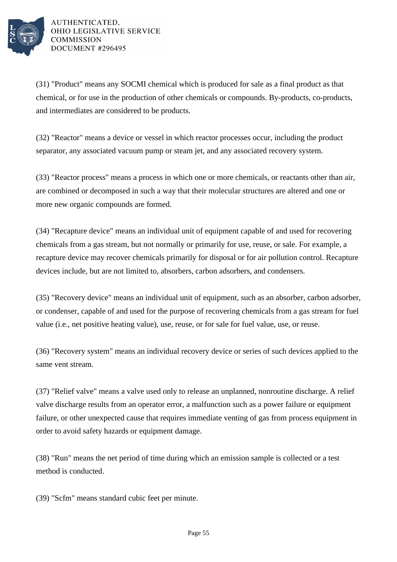

(31) "Product" means any SOCMI chemical which is produced for sale as a final product as that chemical, or for use in the production of other chemicals or compounds. By-products, co-products, and intermediates are considered to be products.

(32) "Reactor" means a device or vessel in which reactor processes occur, including the product separator, any associated vacuum pump or steam jet, and any associated recovery system.

(33) "Reactor process" means a process in which one or more chemicals, or reactants other than air, are combined or decomposed in such a way that their molecular structures are altered and one or more new organic compounds are formed.

(34) "Recapture device" means an individual unit of equipment capable of and used for recovering chemicals from a gas stream, but not normally or primarily for use, reuse, or sale. For example, a recapture device may recover chemicals primarily for disposal or for air pollution control. Recapture devices include, but are not limited to, absorbers, carbon adsorbers, and condensers.

(35) "Recovery device" means an individual unit of equipment, such as an absorber, carbon adsorber, or condenser, capable of and used for the purpose of recovering chemicals from a gas stream for fuel value (i.e., net positive heating value), use, reuse, or for sale for fuel value, use, or reuse.

(36) "Recovery system" means an individual recovery device or series of such devices applied to the same vent stream.

(37) "Relief valve" means a valve used only to release an unplanned, nonroutine discharge. A relief valve discharge results from an operator error, a malfunction such as a power failure or equipment failure, or other unexpected cause that requires immediate venting of gas from process equipment in order to avoid safety hazards or equipment damage.

(38) "Run" means the net period of time during which an emission sample is collected or a test method is conducted.

(39) "Scfm" means standard cubic feet per minute.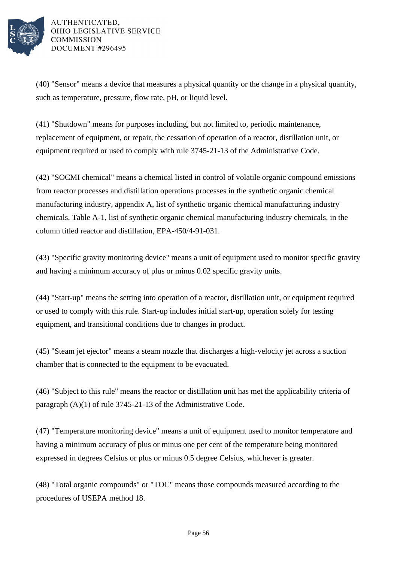

(40) "Sensor" means a device that measures a physical quantity or the change in a physical quantity, such as temperature, pressure, flow rate, pH, or liquid level.

(41) "Shutdown" means for purposes including, but not limited to, periodic maintenance, replacement of equipment, or repair, the cessation of operation of a reactor, distillation unit, or equipment required or used to comply with rule 3745-21-13 of the Administrative Code.

(42) "SOCMI chemical" means a chemical listed in control of volatile organic compound emissions from reactor processes and distillation operations processes in the synthetic organic chemical manufacturing industry, appendix A, list of synthetic organic chemical manufacturing industry chemicals, Table A-1, list of synthetic organic chemical manufacturing industry chemicals, in the column titled reactor and distillation, EPA-450/4-91-031.

(43) "Specific gravity monitoring device" means a unit of equipment used to monitor specific gravity and having a minimum accuracy of plus or minus 0.02 specific gravity units.

(44) "Start-up" means the setting into operation of a reactor, distillation unit, or equipment required or used to comply with this rule. Start-up includes initial start-up, operation solely for testing equipment, and transitional conditions due to changes in product.

(45) "Steam jet ejector" means a steam nozzle that discharges a high-velocity jet across a suction chamber that is connected to the equipment to be evacuated.

(46) "Subject to this rule" means the reactor or distillation unit has met the applicability criteria of paragraph (A)(1) of rule 3745-21-13 of the Administrative Code.

(47) "Temperature monitoring device" means a unit of equipment used to monitor temperature and having a minimum accuracy of plus or minus one per cent of the temperature being monitored expressed in degrees Celsius or plus or minus 0.5 degree Celsius, whichever is greater.

(48) "Total organic compounds" or "TOC" means those compounds measured according to the procedures of USEPA method 18.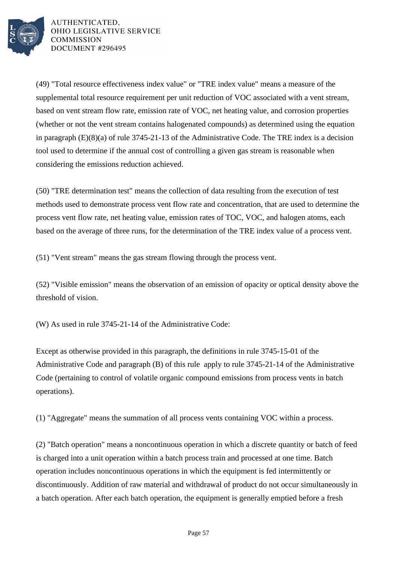

(49) "Total resource effectiveness index value" or "TRE index value" means a measure of the supplemental total resource requirement per unit reduction of VOC associated with a vent stream, based on vent stream flow rate, emission rate of VOC, net heating value, and corrosion properties (whether or not the vent stream contains halogenated compounds) as determined using the equation in paragraph (E)(8)(a) of rule 3745-21-13 of the Administrative Code. The TRE index is a decision tool used to determine if the annual cost of controlling a given gas stream is reasonable when considering the emissions reduction achieved.

(50) "TRE determination test" means the collection of data resulting from the execution of test methods used to demonstrate process vent flow rate and concentration, that are used to determine the process vent flow rate, net heating value, emission rates of TOC, VOC, and halogen atoms, each based on the average of three runs, for the determination of the TRE index value of a process vent.

(51) "Vent stream" means the gas stream flowing through the process vent.

(52) "Visible emission" means the observation of an emission of opacity or optical density above the threshold of vision.

(W) As used in rule 3745-21-14 of the Administrative Code:

Except as otherwise provided in this paragraph, the definitions in rule 3745-15-01 of the Administrative Code and paragraph (B) of this rule apply to rule 3745-21-14 of the Administrative Code (pertaining to control of volatile organic compound emissions from process vents in batch operations).

(1) "Aggregate" means the summation of all process vents containing VOC within a process.

(2) "Batch operation" means a noncontinuous operation in which a discrete quantity or batch of feed is charged into a unit operation within a batch process train and processed at one time. Batch operation includes noncontinuous operations in which the equipment is fed intermittently or discontinuously. Addition of raw material and withdrawal of product do not occur simultaneously in a batch operation. After each batch operation, the equipment is generally emptied before a fresh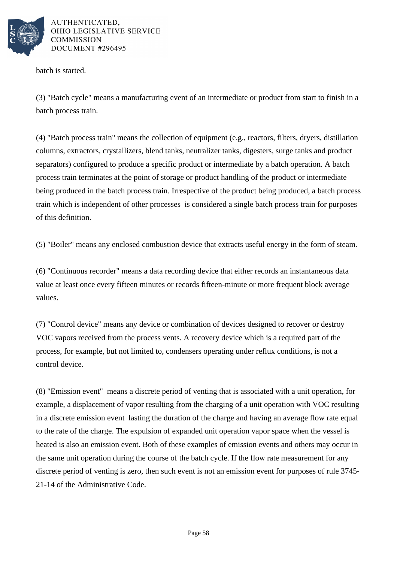

batch is started.

(3) "Batch cycle" means a manufacturing event of an intermediate or product from start to finish in a batch process train.

(4) "Batch process train" means the collection of equipment (e.g., reactors, filters, dryers, distillation columns, extractors, crystallizers, blend tanks, neutralizer tanks, digesters, surge tanks and product separators) configured to produce a specific product or intermediate by a batch operation. A batch process train terminates at the point of storage or product handling of the product or intermediate being produced in the batch process train. Irrespective of the product being produced, a batch process train which is independent of other processes is considered a single batch process train for purposes of this definition.

(5) "Boiler" means any enclosed combustion device that extracts useful energy in the form of steam.

(6) "Continuous recorder" means a data recording device that either records an instantaneous data value at least once every fifteen minutes or records fifteen-minute or more frequent block average values.

(7) "Control device" means any device or combination of devices designed to recover or destroy VOC vapors received from the process vents. A recovery device which is a required part of the process, for example, but not limited to, condensers operating under reflux conditions, is not a control device.

(8) "Emission event" means a discrete period of venting that is associated with a unit operation, for example, a displacement of vapor resulting from the charging of a unit operation with VOC resulting in a discrete emission event lasting the duration of the charge and having an average flow rate equal to the rate of the charge. The expulsion of expanded unit operation vapor space when the vessel is heated is also an emission event. Both of these examples of emission events and others may occur in the same unit operation during the course of the batch cycle. If the flow rate measurement for any discrete period of venting is zero, then such event is not an emission event for purposes of rule 3745- 21-14 of the Administrative Code.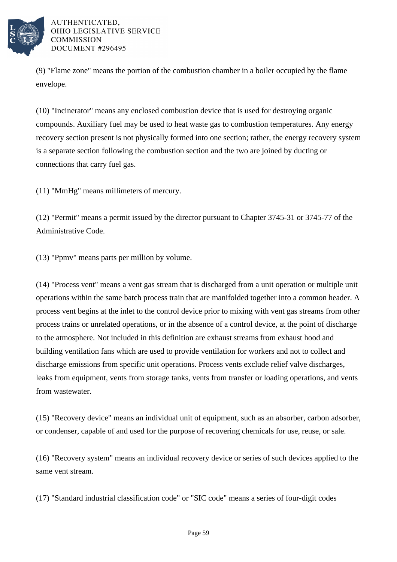

(9) "Flame zone" means the portion of the combustion chamber in a boiler occupied by the flame envelope.

(10) "Incinerator" means any enclosed combustion device that is used for destroying organic compounds. Auxiliary fuel may be used to heat waste gas to combustion temperatures. Any energy recovery section present is not physically formed into one section; rather, the energy recovery system is a separate section following the combustion section and the two are joined by ducting or connections that carry fuel gas.

(11) "MmHg" means millimeters of mercury.

(12) "Permit" means a permit issued by the director pursuant to Chapter 3745-31 or 3745-77 of the Administrative Code.

(13) "Ppmv" means parts per million by volume.

(14) "Process vent" means a vent gas stream that is discharged from a unit operation or multiple unit operations within the same batch process train that are manifolded together into a common header. A process vent begins at the inlet to the control device prior to mixing with vent gas streams from other process trains or unrelated operations, or in the absence of a control device, at the point of discharge to the atmosphere. Not included in this definition are exhaust streams from exhaust hood and building ventilation fans which are used to provide ventilation for workers and not to collect and discharge emissions from specific unit operations. Process vents exclude relief valve discharges, leaks from equipment, vents from storage tanks, vents from transfer or loading operations, and vents from wastewater.

(15) "Recovery device" means an individual unit of equipment, such as an absorber, carbon adsorber, or condenser, capable of and used for the purpose of recovering chemicals for use, reuse, or sale.

(16) "Recovery system" means an individual recovery device or series of such devices applied to the same vent stream.

(17) "Standard industrial classification code" or "SIC code" means a series of four-digit codes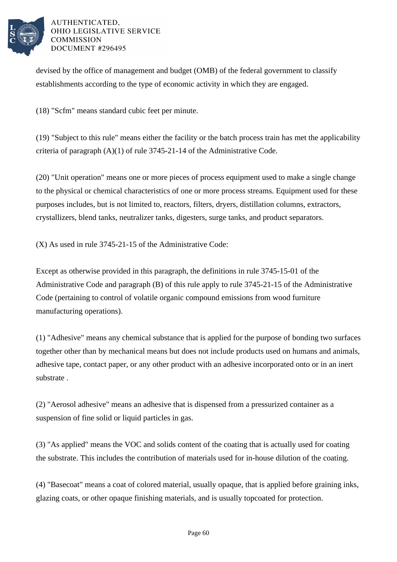

devised by the office of management and budget (OMB) of the federal government to classify establishments according to the type of economic activity in which they are engaged.

(18) "Scfm" means standard cubic feet per minute.

(19) "Subject to this rule" means either the facility or the batch process train has met the applicability criteria of paragraph (A)(1) of rule 3745-21-14 of the Administrative Code.

(20) "Unit operation" means one or more pieces of process equipment used to make a single change to the physical or chemical characteristics of one or more process streams. Equipment used for these purposes includes, but is not limited to, reactors, filters, dryers, distillation columns, extractors, crystallizers, blend tanks, neutralizer tanks, digesters, surge tanks, and product separators.

(X) As used in rule 3745-21-15 of the Administrative Code:

Except as otherwise provided in this paragraph, the definitions in rule 3745-15-01 of the Administrative Code and paragraph (B) of this rule apply to rule 3745-21-15 of the Administrative Code (pertaining to control of volatile organic compound emissions from wood furniture manufacturing operations).

(1) "Adhesive" means any chemical substance that is applied for the purpose of bonding two surfaces together other than by mechanical means but does not include products used on humans and animals, adhesive tape, contact paper, or any other product with an adhesive incorporated onto or in an inert substrate .

(2) "Aerosol adhesive" means an adhesive that is dispensed from a pressurized container as a suspension of fine solid or liquid particles in gas.

(3) "As applied" means the VOC and solids content of the coating that is actually used for coating the substrate. This includes the contribution of materials used for in-house dilution of the coating.

(4) "Basecoat" means a coat of colored material, usually opaque, that is applied before graining inks, glazing coats, or other opaque finishing materials, and is usually topcoated for protection.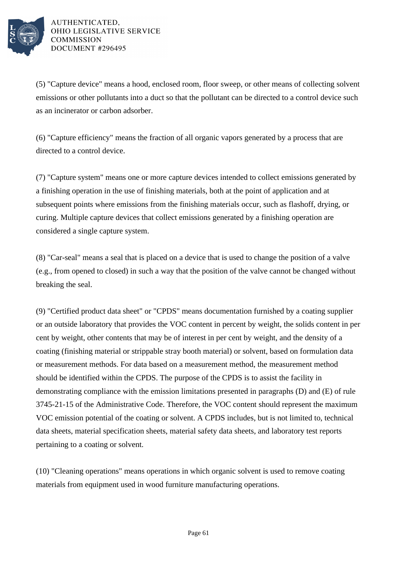

(5) "Capture device" means a hood, enclosed room, floor sweep, or other means of collecting solvent emissions or other pollutants into a duct so that the pollutant can be directed to a control device such as an incinerator or carbon adsorber.

(6) "Capture efficiency" means the fraction of all organic vapors generated by a process that are directed to a control device.

(7) "Capture system" means one or more capture devices intended to collect emissions generated by a finishing operation in the use of finishing materials, both at the point of application and at subsequent points where emissions from the finishing materials occur, such as flashoff, drying, or curing. Multiple capture devices that collect emissions generated by a finishing operation are considered a single capture system.

(8) "Car-seal" means a seal that is placed on a device that is used to change the position of a valve (e.g., from opened to closed) in such a way that the position of the valve cannot be changed without breaking the seal.

(9) "Certified product data sheet" or "CPDS" means documentation furnished by a coating supplier or an outside laboratory that provides the VOC content in percent by weight, the solids content in per cent by weight, other contents that may be of interest in per cent by weight, and the density of a coating (finishing material or strippable stray booth material) or solvent, based on formulation data or measurement methods. For data based on a measurement method, the measurement method should be identified within the CPDS. The purpose of the CPDS is to assist the facility in demonstrating compliance with the emission limitations presented in paragraphs (D) and (E) of rule 3745-21-15 of the Administrative Code. Therefore, the VOC content should represent the maximum VOC emission potential of the coating or solvent. A CPDS includes, but is not limited to, technical data sheets, material specification sheets, material safety data sheets, and laboratory test reports pertaining to a coating or solvent.

(10) "Cleaning operations" means operations in which organic solvent is used to remove coating materials from equipment used in wood furniture manufacturing operations.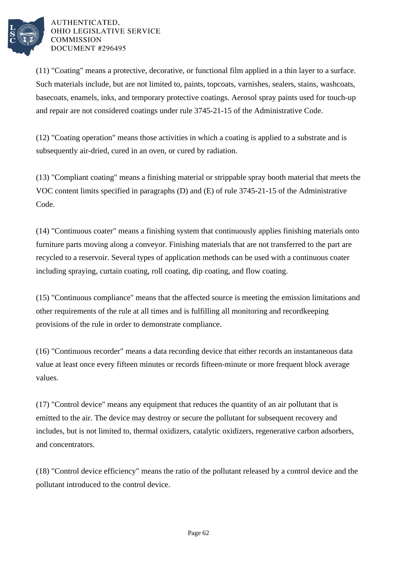

(11) "Coating" means a protective, decorative, or functional film applied in a thin layer to a surface. Such materials include, but are not limited to, paints, topcoats, varnishes, sealers, stains, washcoats, basecoats, enamels, inks, and temporary protective coatings. Aerosol spray paints used for touch-up and repair are not considered coatings under rule 3745-21-15 of the Administrative Code.

(12) "Coating operation" means those activities in which a coating is applied to a substrate and is subsequently air-dried, cured in an oven, or cured by radiation.

(13) "Compliant coating" means a finishing material or strippable spray booth material that meets the VOC content limits specified in paragraphs (D) and (E) of rule 3745-21-15 of the Administrative Code.

(14) "Continuous coater" means a finishing system that continuously applies finishing materials onto furniture parts moving along a conveyor. Finishing materials that are not transferred to the part are recycled to a reservoir. Several types of application methods can be used with a continuous coater including spraying, curtain coating, roll coating, dip coating, and flow coating.

(15) "Continuous compliance" means that the affected source is meeting the emission limitations and other requirements of the rule at all times and is fulfilling all monitoring and recordkeeping provisions of the rule in order to demonstrate compliance.

(16) "Continuous recorder" means a data recording device that either records an instantaneous data value at least once every fifteen minutes or records fifteen-minute or more frequent block average values.

(17) "Control device" means any equipment that reduces the quantity of an air pollutant that is emitted to the air. The device may destroy or secure the pollutant for subsequent recovery and includes, but is not limited to, thermal oxidizers, catalytic oxidizers, regenerative carbon adsorbers, and concentrators.

(18) "Control device efficiency" means the ratio of the pollutant released by a control device and the pollutant introduced to the control device.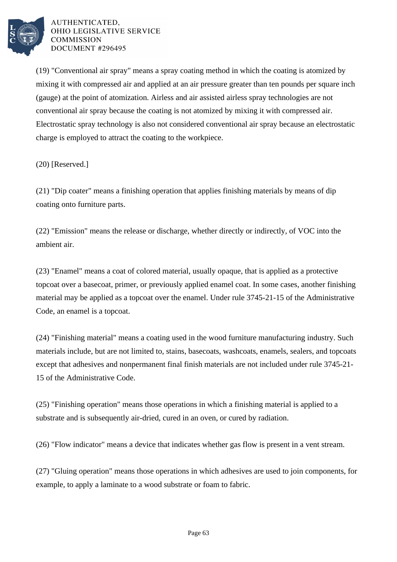

(19) "Conventional air spray" means a spray coating method in which the coating is atomized by mixing it with compressed air and applied at an air pressure greater than ten pounds per square inch (gauge) at the point of atomization. Airless and air assisted airless spray technologies are not conventional air spray because the coating is not atomized by mixing it with compressed air. Electrostatic spray technology is also not considered conventional air spray because an electrostatic charge is employed to attract the coating to the workpiece.

(20) [Reserved.]

(21) "Dip coater" means a finishing operation that applies finishing materials by means of dip coating onto furniture parts.

(22) "Emission" means the release or discharge, whether directly or indirectly, of VOC into the ambient air.

(23) "Enamel" means a coat of colored material, usually opaque, that is applied as a protective topcoat over a basecoat, primer, or previously applied enamel coat. In some cases, another finishing material may be applied as a topcoat over the enamel. Under rule 3745-21-15 of the Administrative Code, an enamel is a topcoat.

(24) "Finishing material" means a coating used in the wood furniture manufacturing industry. Such materials include, but are not limited to, stains, basecoats, washcoats, enamels, sealers, and topcoats except that adhesives and nonpermanent final finish materials are not included under rule 3745-21- 15 of the Administrative Code.

(25) "Finishing operation" means those operations in which a finishing material is applied to a substrate and is subsequently air-dried, cured in an oven, or cured by radiation.

(26) "Flow indicator" means a device that indicates whether gas flow is present in a vent stream.

(27) "Gluing operation" means those operations in which adhesives are used to join components, for example, to apply a laminate to a wood substrate or foam to fabric.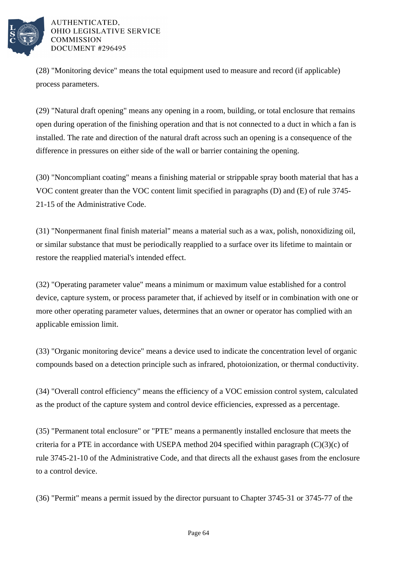

(28) "Monitoring device" means the total equipment used to measure and record (if applicable) process parameters.

(29) "Natural draft opening" means any opening in a room, building, or total enclosure that remains open during operation of the finishing operation and that is not connected to a duct in which a fan is installed. The rate and direction of the natural draft across such an opening is a consequence of the difference in pressures on either side of the wall or barrier containing the opening.

(30) "Noncompliant coating" means a finishing material or strippable spray booth material that has a VOC content greater than the VOC content limit specified in paragraphs (D) and (E) of rule 3745- 21-15 of the Administrative Code.

(31) "Nonpermanent final finish material" means a material such as a wax, polish, nonoxidizing oil, or similar substance that must be periodically reapplied to a surface over its lifetime to maintain or restore the reapplied material's intended effect.

(32) "Operating parameter value" means a minimum or maximum value established for a control device, capture system, or process parameter that, if achieved by itself or in combination with one or more other operating parameter values, determines that an owner or operator has complied with an applicable emission limit.

(33) "Organic monitoring device" means a device used to indicate the concentration level of organic compounds based on a detection principle such as infrared, photoionization, or thermal conductivity.

(34) "Overall control efficiency" means the efficiency of a VOC emission control system, calculated as the product of the capture system and control device efficiencies, expressed as a percentage.

(35) "Permanent total enclosure" or "PTE" means a permanently installed enclosure that meets the criteria for a PTE in accordance with USEPA method 204 specified within paragraph  $(C)(3)(c)$  of rule 3745-21-10 of the Administrative Code, and that directs all the exhaust gases from the enclosure to a control device.

(36) "Permit" means a permit issued by the director pursuant to Chapter 3745-31 or 3745-77 of the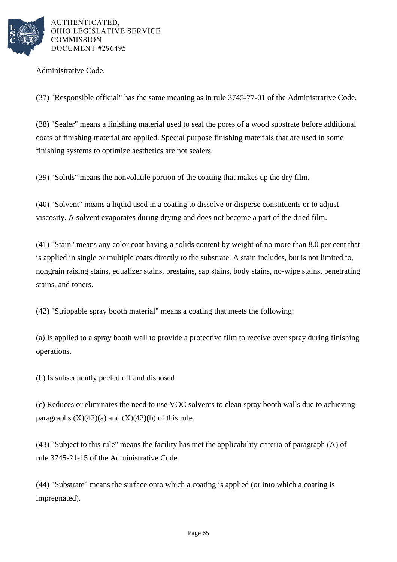

Administrative Code.

(37) "Responsible official" has the same meaning as in rule 3745-77-01 of the Administrative Code.

(38) "Sealer" means a finishing material used to seal the pores of a wood substrate before additional coats of finishing material are applied. Special purpose finishing materials that are used in some finishing systems to optimize aesthetics are not sealers.

(39) "Solids" means the nonvolatile portion of the coating that makes up the dry film.

(40) "Solvent" means a liquid used in a coating to dissolve or disperse constituents or to adjust viscosity. A solvent evaporates during drying and does not become a part of the dried film.

(41) "Stain" means any color coat having a solids content by weight of no more than 8.0 per cent that is applied in single or multiple coats directly to the substrate. A stain includes, but is not limited to, nongrain raising stains, equalizer stains, prestains, sap stains, body stains, no-wipe stains, penetrating stains, and toners.

(42) "Strippable spray booth material" means a coating that meets the following:

(a) Is applied to a spray booth wall to provide a protective film to receive over spray during finishing operations.

(b) Is subsequently peeled off and disposed.

(c) Reduces or eliminates the need to use VOC solvents to clean spray booth walls due to achieving paragraphs  $(X)(42)(a)$  and  $(X)(42)(b)$  of this rule.

(43) "Subject to this rule" means the facility has met the applicability criteria of paragraph (A) of rule 3745-21-15 of the Administrative Code.

(44) "Substrate" means the surface onto which a coating is applied (or into which a coating is impregnated).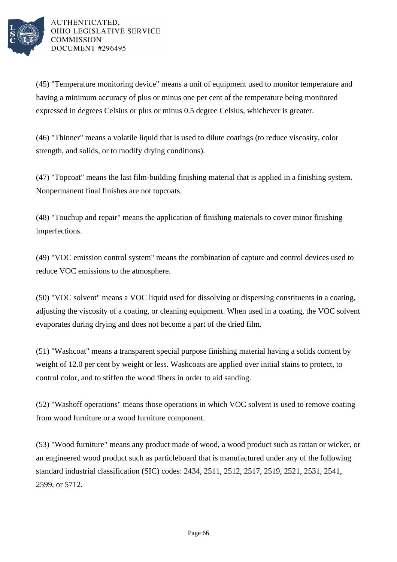

(45) "Temperature monitoring device" means a unit of equipment used to monitor temperature and having a minimum accuracy of plus or minus one per cent of the temperature being monitored expressed in degrees Celsius or plus or minus 0.5 degree Celsius, whichever is greater.

(46) "Thinner" means a volatile liquid that is used to dilute coatings (to reduce viscosity, color strength, and solids, or to modify drying conditions).

(47) "Topcoat" means the last film-building finishing material that is applied in a finishing system. Nonpermanent final finishes are not topcoats.

(48) "Touchup and repair" means the application of finishing materials to cover minor finishing imperfections.

(49) "VOC emission control system" means the combination of capture and control devices used to reduce VOC emissions to the atmosphere.

(50) "VOC solvent" means a VOC liquid used for dissolving or dispersing constituents in a coating, adjusting the viscosity of a coating, or cleaning equipment. When used in a coating, the VOC solvent evaporates during drying and does not become a part of the dried film.

(51) "Washcoat" means a transparent special purpose finishing material having a solids content by weight of 12.0 per cent by weight or less. Washcoats are applied over initial stains to protect, to control color, and to stiffen the wood fibers in order to aid sanding.

(52) "Washoff operations" means those operations in which VOC solvent is used to remove coating from wood furniture or a wood furniture component.

(53) "Wood furniture" means any product made of wood, a wood product such as rattan or wicker, or an engineered wood product such as particleboard that is manufactured under any of the following standard industrial classification (SIC) codes: 2434, 2511, 2512, 2517, 2519, 2521, 2531, 2541, 2599, or 5712.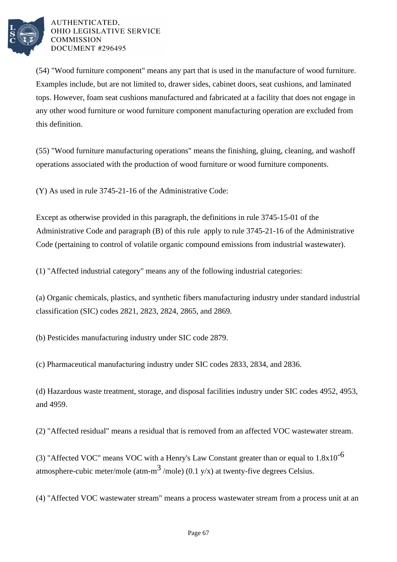

(54) "Wood furniture component" means any part that is used in the manufacture of wood furniture. Examples include, but are not limited to, drawer sides, cabinet doors, seat cushions, and laminated tops. However, foam seat cushions manufactured and fabricated at a facility that does not engage in any other wood furniture or wood furniture component manufacturing operation are excluded from this definition.

(55) "Wood furniture manufacturing operations" means the finishing, gluing, cleaning, and washoff operations associated with the production of wood furniture or wood furniture components.

(Y) As used in rule 3745-21-16 of the Administrative Code:

Except as otherwise provided in this paragraph, the definitions in rule 3745-15-01 of the Administrative Code and paragraph (B) of this rule apply to rule 3745-21-16 of the Administrative Code (pertaining to control of volatile organic compound emissions from industrial wastewater).

(1) "Affected industrial category" means any of the following industrial categories:

(a) Organic chemicals, plastics, and synthetic fibers manufacturing industry under standard industrial classification (SIC) codes 2821, 2823, 2824, 2865, and 2869.

(b) Pesticides manufacturing industry under SIC code 2879.

(c) Pharmaceutical manufacturing industry under SIC codes 2833, 2834, and 2836.

(d) Hazardous waste treatment, storage, and disposal facilities industry under SIC codes 4952, 4953, and 4959.

(2) "Affected residual" means a residual that is removed from an affected VOC wastewater stream.

(3) "Affected VOC" means VOC with a Henry's Law Constant greater than or equal to  $1.8x10^{-6}$ atmosphere-cubic meter/mole (atm-m<sup>3</sup>/mole) (0.1 y/x) at twenty-five degrees Celsius.

(4) "Affected VOC wastewater stream" means a process wastewater stream from a process unit at an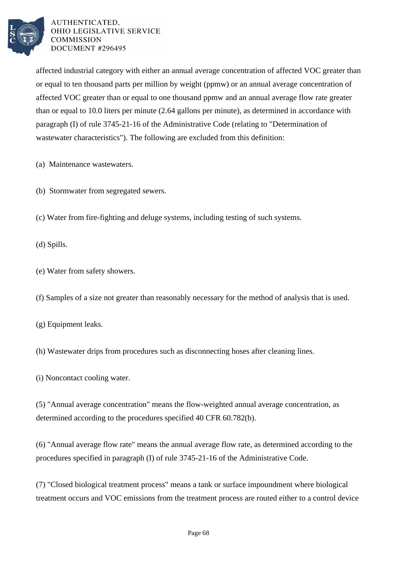

affected industrial category with either an annual average concentration of affected VOC greater than or equal to ten thousand parts per million by weight (ppmw) or an annual average concentration of affected VOC greater than or equal to one thousand ppmw and an annual average flow rate greater than or equal to 10.0 liters per minute (2.64 gallons per minute), as determined in accordance with paragraph (I) of rule 3745-21-16 of the Administrative Code (relating to "Determination of wastewater characteristics"). The following are excluded from this definition:

- (a) Maintenance wastewaters.
- (b) Stormwater from segregated sewers.
- (c) Water from fire-fighting and deluge systems, including testing of such systems.
- (d) Spills.
- (e) Water from safety showers.
- (f) Samples of a size not greater than reasonably necessary for the method of analysis that is used.
- (g) Equipment leaks.
- (h) Wastewater drips from procedures such as disconnecting hoses after cleaning lines.
- (i) Noncontact cooling water.

(5) "Annual average concentration" means the flow-weighted annual average concentration, as determined according to the procedures specified 40 CFR 60.782(b).

(6) "Annual average flow rate" means the annual average flow rate, as determined according to the procedures specified in paragraph (I) of rule 3745-21-16 of the Administrative Code.

(7) "Closed biological treatment process" means a tank or surface impoundment where biological treatment occurs and VOC emissions from the treatment process are routed either to a control device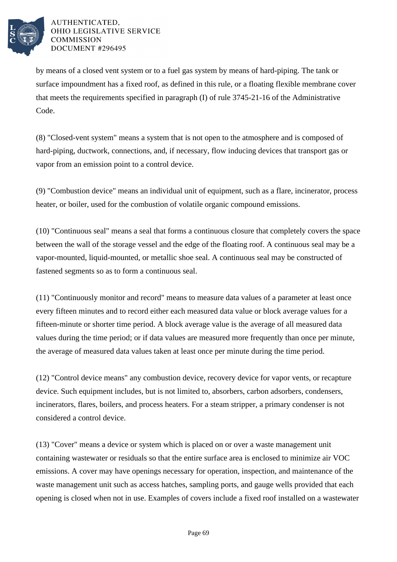

by means of a closed vent system or to a fuel gas system by means of hard-piping. The tank or surface impoundment has a fixed roof, as defined in this rule, or a floating flexible membrane cover that meets the requirements specified in paragraph (I) of rule 3745-21-16 of the Administrative Code.

(8) "Closed-vent system" means a system that is not open to the atmosphere and is composed of hard-piping, ductwork, connections, and, if necessary, flow inducing devices that transport gas or vapor from an emission point to a control device.

(9) "Combustion device" means an individual unit of equipment, such as a flare, incinerator, process heater, or boiler, used for the combustion of volatile organic compound emissions.

(10) "Continuous seal" means a seal that forms a continuous closure that completely covers the space between the wall of the storage vessel and the edge of the floating roof. A continuous seal may be a vapor-mounted, liquid-mounted, or metallic shoe seal. A continuous seal may be constructed of fastened segments so as to form a continuous seal.

(11) "Continuously monitor and record" means to measure data values of a parameter at least once every fifteen minutes and to record either each measured data value or block average values for a fifteen-minute or shorter time period. A block average value is the average of all measured data values during the time period; or if data values are measured more frequently than once per minute, the average of measured data values taken at least once per minute during the time period.

(12) "Control device means" any combustion device, recovery device for vapor vents, or recapture device. Such equipment includes, but is not limited to, absorbers, carbon adsorbers, condensers, incinerators, flares, boilers, and process heaters. For a steam stripper, a primary condenser is not considered a control device.

(13) "Cover" means a device or system which is placed on or over a waste management unit containing wastewater or residuals so that the entire surface area is enclosed to minimize air VOC emissions. A cover may have openings necessary for operation, inspection, and maintenance of the waste management unit such as access hatches, sampling ports, and gauge wells provided that each opening is closed when not in use. Examples of covers include a fixed roof installed on a wastewater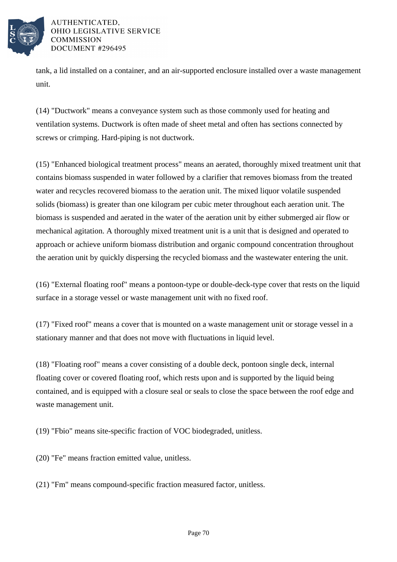

tank, a lid installed on a container, and an air-supported enclosure installed over a waste management unit.

(14) "Ductwork" means a conveyance system such as those commonly used for heating and ventilation systems. Ductwork is often made of sheet metal and often has sections connected by screws or crimping. Hard-piping is not ductwork.

(15) "Enhanced biological treatment process" means an aerated, thoroughly mixed treatment unit that contains biomass suspended in water followed by a clarifier that removes biomass from the treated water and recycles recovered biomass to the aeration unit. The mixed liquor volatile suspended solids (biomass) is greater than one kilogram per cubic meter throughout each aeration unit. The biomass is suspended and aerated in the water of the aeration unit by either submerged air flow or mechanical agitation. A thoroughly mixed treatment unit is a unit that is designed and operated to approach or achieve uniform biomass distribution and organic compound concentration throughout the aeration unit by quickly dispersing the recycled biomass and the wastewater entering the unit.

(16) "External floating roof" means a pontoon-type or double-deck-type cover that rests on the liquid surface in a storage vessel or waste management unit with no fixed roof.

(17) "Fixed roof" means a cover that is mounted on a waste management unit or storage vessel in a stationary manner and that does not move with fluctuations in liquid level.

(18) "Floating roof" means a cover consisting of a double deck, pontoon single deck, internal floating cover or covered floating roof, which rests upon and is supported by the liquid being contained, and is equipped with a closure seal or seals to close the space between the roof edge and waste management unit.

(19) "Fbio" means site-specific fraction of VOC biodegraded, unitless.

(20) "Fe" means fraction emitted value, unitless.

(21) "Fm" means compound-specific fraction measured factor, unitless.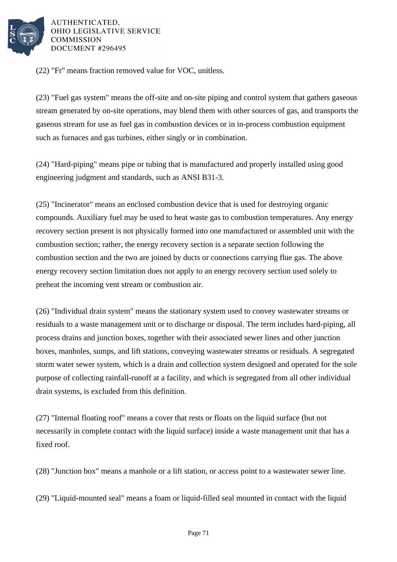

(22) "Fr" means fraction removed value for VOC, unitless.

(23) "Fuel gas system" means the off-site and on-site piping and control system that gathers gaseous stream generated by on-site operations, may blend them with other sources of gas, and transports the gaseous stream for use as fuel gas in combustion devices or in in-process combustion equipment such as furnaces and gas turbines, either singly or in combination.

(24) "Hard-piping" means pipe or tubing that is manufactured and properly installed using good engineering judgment and standards, such as ANSI B31-3.

(25) "Incinerator" means an enclosed combustion device that is used for destroying organic compounds. Auxiliary fuel may be used to heat waste gas to combustion temperatures. Any energy recovery section present is not physically formed into one manufactured or assembled unit with the combustion section; rather, the energy recovery section is a separate section following the combustion section and the two are joined by ducts or connections carrying flue gas. The above energy recovery section limitation does not apply to an energy recovery section used solely to preheat the incoming vent stream or combustion air.

(26) "Individual drain system" means the stationary system used to convey wastewater streams or residuals to a waste management unit or to discharge or disposal. The term includes hard-piping, all process drains and junction boxes, together with their associated sewer lines and other junction boxes, manholes, sumps, and lift stations, conveying wastewater streams or residuals. A segregated storm water sewer system, which is a drain and collection system designed and operated for the sole purpose of collecting rainfall-runoff at a facility, and which is segregated from all other individual drain systems, is excluded from this definition.

(27) "Internal floating roof" means a cover that rests or floats on the liquid surface (but not necessarily in complete contact with the liquid surface) inside a waste management unit that has a fixed roof.

(28) "Junction box" means a manhole or a lift station, or access point to a wastewater sewer line.

(29) "Liquid-mounted seal" means a foam or liquid-filled seal mounted in contact with the liquid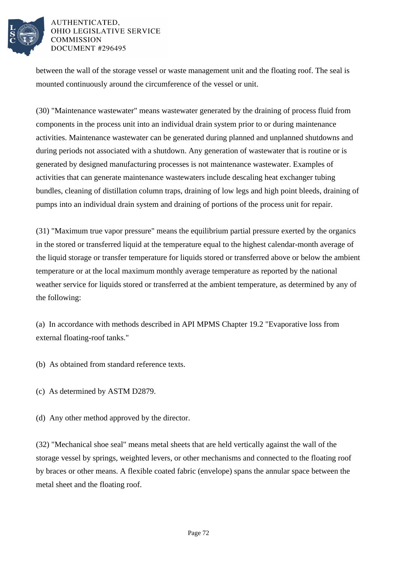

between the wall of the storage vessel or waste management unit and the floating roof. The seal is mounted continuously around the circumference of the vessel or unit.

(30) "Maintenance wastewater" means wastewater generated by the draining of process fluid from components in the process unit into an individual drain system prior to or during maintenance activities. Maintenance wastewater can be generated during planned and unplanned shutdowns and during periods not associated with a shutdown. Any generation of wastewater that is routine or is generated by designed manufacturing processes is not maintenance wastewater. Examples of activities that can generate maintenance wastewaters include descaling heat exchanger tubing bundles, cleaning of distillation column traps, draining of low legs and high point bleeds, draining of pumps into an individual drain system and draining of portions of the process unit for repair.

(31) "Maximum true vapor pressure" means the equilibrium partial pressure exerted by the organics in the stored or transferred liquid at the temperature equal to the highest calendar-month average of the liquid storage or transfer temperature for liquids stored or transferred above or below the ambient temperature or at the local maximum monthly average temperature as reported by the national weather service for liquids stored or transferred at the ambient temperature, as determined by any of the following:

(a) In accordance with methods described in API MPMS Chapter 19.2 "Evaporative loss from external floating-roof tanks."

(b) As obtained from standard reference texts.

- (c) As determined by ASTM D2879.
- (d) Any other method approved by the director.

(32) "Mechanical shoe seal" means metal sheets that are held vertically against the wall of the storage vessel by springs, weighted levers, or other mechanisms and connected to the floating roof by braces or other means. A flexible coated fabric (envelope) spans the annular space between the metal sheet and the floating roof.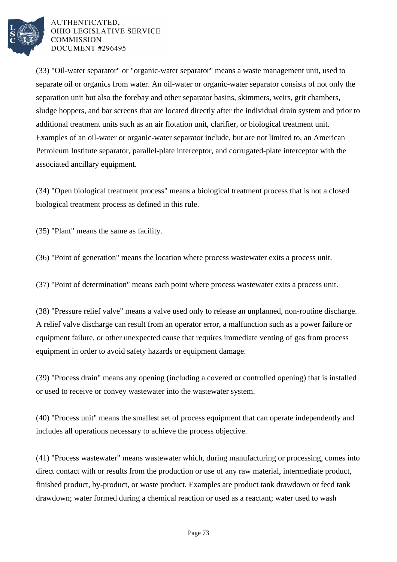

(33) "Oil-water separator" or "organic-water separator" means a waste management unit, used to separate oil or organics from water. An oil-water or organic-water separator consists of not only the separation unit but also the forebay and other separator basins, skimmers, weirs, grit chambers, sludge hoppers, and bar screens that are located directly after the individual drain system and prior to additional treatment units such as an air flotation unit, clarifier, or biological treatment unit. Examples of an oil-water or organic-water separator include, but are not limited to, an American Petroleum Institute separator, parallel-plate interceptor, and corrugated-plate interceptor with the associated ancillary equipment.

(34) "Open biological treatment process" means a biological treatment process that is not a closed biological treatment process as defined in this rule.

(35) "Plant" means the same as facility.

(36) "Point of generation" means the location where process wastewater exits a process unit.

(37) "Point of determination" means each point where process wastewater exits a process unit.

(38) "Pressure relief valve" means a valve used only to release an unplanned, non-routine discharge. A relief valve discharge can result from an operator error, a malfunction such as a power failure or equipment failure, or other unexpected cause that requires immediate venting of gas from process equipment in order to avoid safety hazards or equipment damage.

(39) "Process drain" means any opening (including a covered or controlled opening) that is installed or used to receive or convey wastewater into the wastewater system.

(40) "Process unit" means the smallest set of process equipment that can operate independently and includes all operations necessary to achieve the process objective.

(41) "Process wastewater" means wastewater which, during manufacturing or processing, comes into direct contact with or results from the production or use of any raw material, intermediate product, finished product, by-product, or waste product. Examples are product tank drawdown or feed tank drawdown; water formed during a chemical reaction or used as a reactant; water used to wash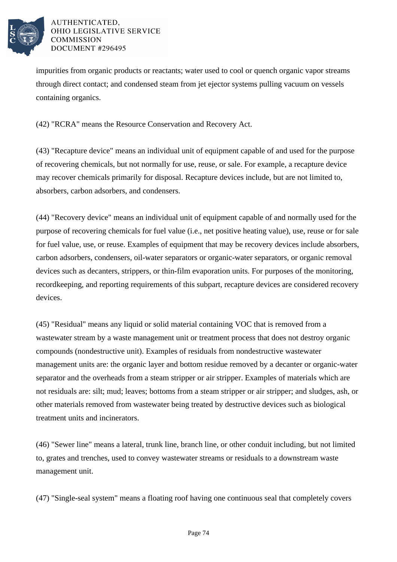

impurities from organic products or reactants; water used to cool or quench organic vapor streams through direct contact; and condensed steam from jet ejector systems pulling vacuum on vessels containing organics.

(42) "RCRA" means the Resource Conservation and Recovery Act.

(43) "Recapture device" means an individual unit of equipment capable of and used for the purpose of recovering chemicals, but not normally for use, reuse, or sale. For example, a recapture device may recover chemicals primarily for disposal. Recapture devices include, but are not limited to, absorbers, carbon adsorbers, and condensers.

(44) "Recovery device" means an individual unit of equipment capable of and normally used for the purpose of recovering chemicals for fuel value (i.e., net positive heating value), use, reuse or for sale for fuel value, use, or reuse. Examples of equipment that may be recovery devices include absorbers, carbon adsorbers, condensers, oil-water separators or organic-water separators, or organic removal devices such as decanters, strippers, or thin-film evaporation units. For purposes of the monitoring, recordkeeping, and reporting requirements of this subpart, recapture devices are considered recovery devices.

(45) "Residual" means any liquid or solid material containing VOC that is removed from a wastewater stream by a waste management unit or treatment process that does not destroy organic compounds (nondestructive unit). Examples of residuals from nondestructive wastewater management units are: the organic layer and bottom residue removed by a decanter or organic-water separator and the overheads from a steam stripper or air stripper. Examples of materials which are not residuals are: silt; mud; leaves; bottoms from a steam stripper or air stripper; and sludges, ash, or other materials removed from wastewater being treated by destructive devices such as biological treatment units and incinerators.

(46) "Sewer line" means a lateral, trunk line, branch line, or other conduit including, but not limited to, grates and trenches, used to convey wastewater streams or residuals to a downstream waste management unit.

(47) "Single-seal system" means a floating roof having one continuous seal that completely covers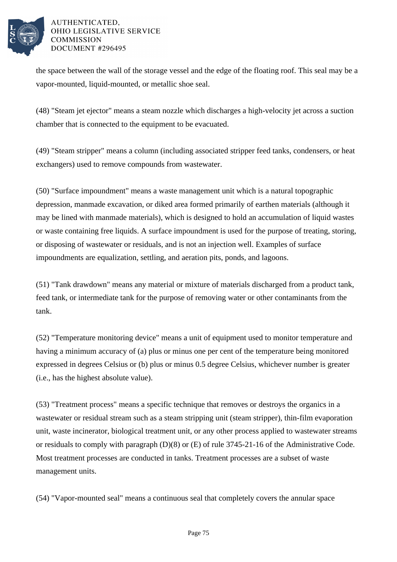

the space between the wall of the storage vessel and the edge of the floating roof. This seal may be a vapor-mounted, liquid-mounted, or metallic shoe seal.

(48) "Steam jet ejector" means a steam nozzle which discharges a high-velocity jet across a suction chamber that is connected to the equipment to be evacuated.

(49) "Steam stripper" means a column (including associated stripper feed tanks, condensers, or heat exchangers) used to remove compounds from wastewater.

(50) "Surface impoundment" means a waste management unit which is a natural topographic depression, manmade excavation, or diked area formed primarily of earthen materials (although it may be lined with manmade materials), which is designed to hold an accumulation of liquid wastes or waste containing free liquids. A surface impoundment is used for the purpose of treating, storing, or disposing of wastewater or residuals, and is not an injection well. Examples of surface impoundments are equalization, settling, and aeration pits, ponds, and lagoons.

(51) "Tank drawdown" means any material or mixture of materials discharged from a product tank, feed tank, or intermediate tank for the purpose of removing water or other contaminants from the tank.

(52) "Temperature monitoring device" means a unit of equipment used to monitor temperature and having a minimum accuracy of (a) plus or minus one per cent of the temperature being monitored expressed in degrees Celsius or (b) plus or minus 0.5 degree Celsius, whichever number is greater (i.e., has the highest absolute value).

(53) "Treatment process" means a specific technique that removes or destroys the organics in a wastewater or residual stream such as a steam stripping unit (steam stripper), thin-film evaporation unit, waste incinerator, biological treatment unit, or any other process applied to wastewater streams or residuals to comply with paragraph (D)(8) or (E) of rule 3745-21-16 of the Administrative Code. Most treatment processes are conducted in tanks. Treatment processes are a subset of waste management units.

(54) "Vapor-mounted seal" means a continuous seal that completely covers the annular space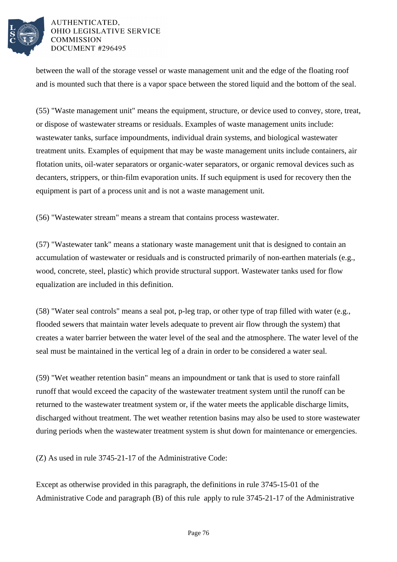

between the wall of the storage vessel or waste management unit and the edge of the floating roof and is mounted such that there is a vapor space between the stored liquid and the bottom of the seal.

(55) "Waste management unit" means the equipment, structure, or device used to convey, store, treat, or dispose of wastewater streams or residuals. Examples of waste management units include: wastewater tanks, surface impoundments, individual drain systems, and biological wastewater treatment units. Examples of equipment that may be waste management units include containers, air flotation units, oil-water separators or organic-water separators, or organic removal devices such as decanters, strippers, or thin-film evaporation units. If such equipment is used for recovery then the equipment is part of a process unit and is not a waste management unit.

(56) "Wastewater stream" means a stream that contains process wastewater.

(57) "Wastewater tank" means a stationary waste management unit that is designed to contain an accumulation of wastewater or residuals and is constructed primarily of non-earthen materials (e.g., wood, concrete, steel, plastic) which provide structural support. Wastewater tanks used for flow equalization are included in this definition.

(58) "Water seal controls" means a seal pot, p-leg trap, or other type of trap filled with water (e.g., flooded sewers that maintain water levels adequate to prevent air flow through the system) that creates a water barrier between the water level of the seal and the atmosphere. The water level of the seal must be maintained in the vertical leg of a drain in order to be considered a water seal.

(59) "Wet weather retention basin" means an impoundment or tank that is used to store rainfall runoff that would exceed the capacity of the wastewater treatment system until the runoff can be returned to the wastewater treatment system or, if the water meets the applicable discharge limits, discharged without treatment. The wet weather retention basins may also be used to store wastewater during periods when the wastewater treatment system is shut down for maintenance or emergencies.

(Z) As used in rule 3745-21-17 of the Administrative Code:

Except as otherwise provided in this paragraph, the definitions in rule 3745-15-01 of the Administrative Code and paragraph (B) of this rule apply to rule 3745-21-17 of the Administrative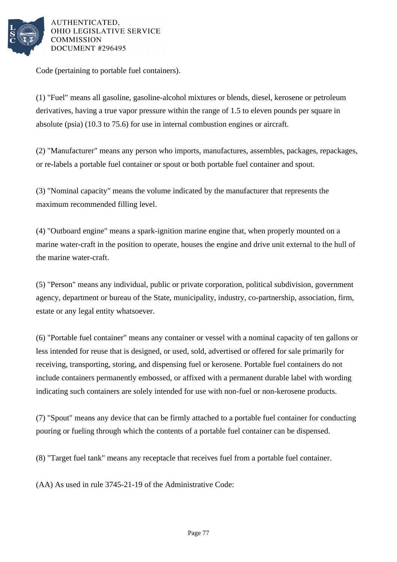

Code (pertaining to portable fuel containers).

(1) "Fuel" means all gasoline, gasoline-alcohol mixtures or blends, diesel, kerosene or petroleum derivatives, having a true vapor pressure within the range of 1.5 to eleven pounds per square in absolute (psia) (10.3 to 75.6) for use in internal combustion engines or aircraft.

(2) "Manufacturer" means any person who imports, manufactures, assembles, packages, repackages, or re-labels a portable fuel container or spout or both portable fuel container and spout.

(3) "Nominal capacity" means the volume indicated by the manufacturer that represents the maximum recommended filling level.

(4) "Outboard engine" means a spark-ignition marine engine that, when properly mounted on a marine water-craft in the position to operate, houses the engine and drive unit external to the hull of the marine water-craft.

(5) "Person" means any individual, public or private corporation, political subdivision, government agency, department or bureau of the State, municipality, industry, co-partnership, association, firm, estate or any legal entity whatsoever.

(6) "Portable fuel container" means any container or vessel with a nominal capacity of ten gallons or less intended for reuse that is designed, or used, sold, advertised or offered for sale primarily for receiving, transporting, storing, and dispensing fuel or kerosene. Portable fuel containers do not include containers permanently embossed, or affixed with a permanent durable label with wording indicating such containers are solely intended for use with non-fuel or non-kerosene products.

(7) "Spout" means any device that can be firmly attached to a portable fuel container for conducting pouring or fueling through which the contents of a portable fuel container can be dispensed.

(8) "Target fuel tank" means any receptacle that receives fuel from a portable fuel container.

(AA) As used in rule 3745-21-19 of the Administrative Code: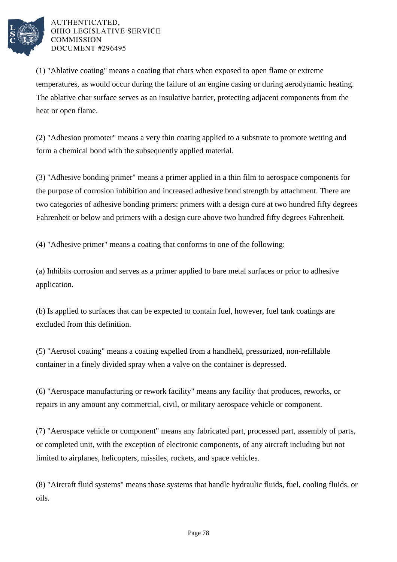

(1) "Ablative coating" means a coating that chars when exposed to open flame or extreme temperatures, as would occur during the failure of an engine casing or during aerodynamic heating. The ablative char surface serves as an insulative barrier, protecting adjacent components from the heat or open flame.

(2) "Adhesion promoter" means a very thin coating applied to a substrate to promote wetting and form a chemical bond with the subsequently applied material.

(3) "Adhesive bonding primer" means a primer applied in a thin film to aerospace components for the purpose of corrosion inhibition and increased adhesive bond strength by attachment. There are two categories of adhesive bonding primers: primers with a design cure at two hundred fifty degrees Fahrenheit or below and primers with a design cure above two hundred fifty degrees Fahrenheit.

(4) "Adhesive primer" means a coating that conforms to one of the following:

(a) Inhibits corrosion and serves as a primer applied to bare metal surfaces or prior to adhesive application.

(b) Is applied to surfaces that can be expected to contain fuel, however, fuel tank coatings are excluded from this definition.

(5) "Aerosol coating" means a coating expelled from a handheld, pressurized, non-refillable container in a finely divided spray when a valve on the container is depressed.

(6) "Aerospace manufacturing or rework facility" means any facility that produces, reworks, or repairs in any amount any commercial, civil, or military aerospace vehicle or component.

(7) "Aerospace vehicle or component" means any fabricated part, processed part, assembly of parts, or completed unit, with the exception of electronic components, of any aircraft including but not limited to airplanes, helicopters, missiles, rockets, and space vehicles.

(8) "Aircraft fluid systems" means those systems that handle hydraulic fluids, fuel, cooling fluids, or oils.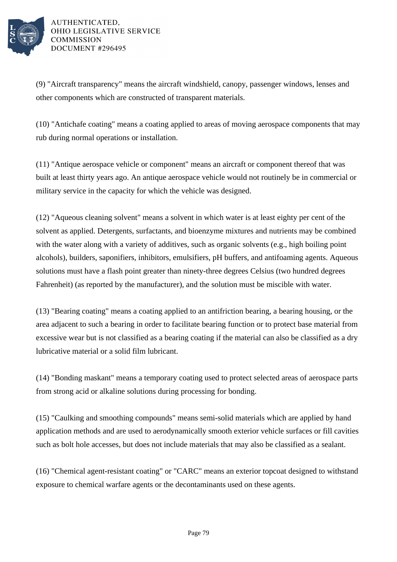

(9) "Aircraft transparency" means the aircraft windshield, canopy, passenger windows, lenses and other components which are constructed of transparent materials.

(10) "Antichafe coating" means a coating applied to areas of moving aerospace components that may rub during normal operations or installation.

(11) "Antique aerospace vehicle or component" means an aircraft or component thereof that was built at least thirty years ago. An antique aerospace vehicle would not routinely be in commercial or military service in the capacity for which the vehicle was designed.

(12) "Aqueous cleaning solvent" means a solvent in which water is at least eighty per cent of the solvent as applied. Detergents, surfactants, and bioenzyme mixtures and nutrients may be combined with the water along with a variety of additives, such as organic solvents (e.g., high boiling point alcohols), builders, saponifiers, inhibitors, emulsifiers, pH buffers, and antifoaming agents. Aqueous solutions must have a flash point greater than ninety-three degrees Celsius (two hundred degrees Fahrenheit) (as reported by the manufacturer), and the solution must be miscible with water.

(13) "Bearing coating" means a coating applied to an antifriction bearing, a bearing housing, or the area adjacent to such a bearing in order to facilitate bearing function or to protect base material from excessive wear but is not classified as a bearing coating if the material can also be classified as a dry lubricative material or a solid film lubricant.

(14) "Bonding maskant" means a temporary coating used to protect selected areas of aerospace parts from strong acid or alkaline solutions during processing for bonding.

(15) "Caulking and smoothing compounds" means semi-solid materials which are applied by hand application methods and are used to aerodynamically smooth exterior vehicle surfaces or fill cavities such as bolt hole accesses, but does not include materials that may also be classified as a sealant.

(16) "Chemical agent-resistant coating" or "CARC" means an exterior topcoat designed to withstand exposure to chemical warfare agents or the decontaminants used on these agents.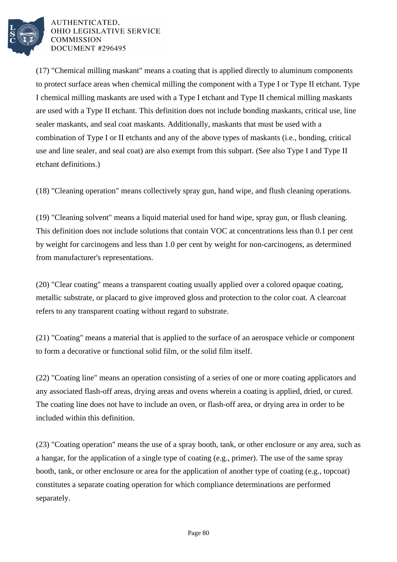

(17) "Chemical milling maskant" means a coating that is applied directly to aluminum components to protect surface areas when chemical milling the component with a Type I or Type II etchant. Type I chemical milling maskants are used with a Type I etchant and Type II chemical milling maskants are used with a Type II etchant. This definition does not include bonding maskants, critical use, line sealer maskants, and seal coat maskants. Additionally, maskants that must be used with a combination of Type I or II etchants and any of the above types of maskants (i.e., bonding, critical use and line sealer, and seal coat) are also exempt from this subpart. (See also Type I and Type II etchant definitions.)

(18) "Cleaning operation" means collectively spray gun, hand wipe, and flush cleaning operations.

(19) "Cleaning solvent" means a liquid material used for hand wipe, spray gun, or flush cleaning. This definition does not include solutions that contain VOC at concentrations less than 0.1 per cent by weight for carcinogens and less than 1.0 per cent by weight for non-carcinogens, as determined from manufacturer's representations.

(20) "Clear coating" means a transparent coating usually applied over a colored opaque coating, metallic substrate, or placard to give improved gloss and protection to the color coat. A clearcoat refers to any transparent coating without regard to substrate.

(21) "Coating" means a material that is applied to the surface of an aerospace vehicle or component to form a decorative or functional solid film, or the solid film itself.

(22) "Coating line" means an operation consisting of a series of one or more coating applicators and any associated flash-off areas, drying areas and ovens wherein a coating is applied, dried, or cured. The coating line does not have to include an oven, or flash-off area, or drying area in order to be included within this definition.

(23) "Coating operation" means the use of a spray booth, tank, or other enclosure or any area, such as a hangar, for the application of a single type of coating (e.g., primer). The use of the same spray booth, tank, or other enclosure or area for the application of another type of coating (e.g., topcoat) constitutes a separate coating operation for which compliance determinations are performed separately.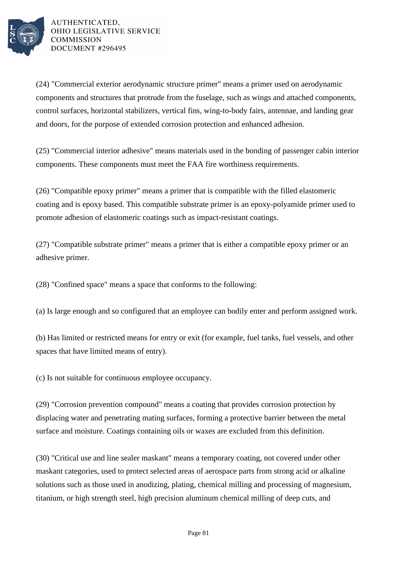

(24) "Commercial exterior aerodynamic structure primer" means a primer used on aerodynamic components and structures that protrude from the fuselage, such as wings and attached components, control surfaces, horizontal stabilizers, vertical fins, wing-to-body fairs, antennae, and landing gear and doors, for the purpose of extended corrosion protection and enhanced adhesion.

(25) "Commercial interior adhesive" means materials used in the bonding of passenger cabin interior components. These components must meet the FAA fire worthiness requirements.

(26) "Compatible epoxy primer" means a primer that is compatible with the filled elastomeric coating and is epoxy based. This compatible substrate primer is an epoxy-polyamide primer used to promote adhesion of elastomeric coatings such as impact-resistant coatings.

(27) "Compatible substrate primer" means a primer that is either a compatible epoxy primer or an adhesive primer.

(28) "Confined space" means a space that conforms to the following:

(a) Is large enough and so configured that an employee can bodily enter and perform assigned work.

(b) Has limited or restricted means for entry or exit (for example, fuel tanks, fuel vessels, and other spaces that have limited means of entry).

(c) Is not suitable for continuous employee occupancy.

(29) "Corrosion prevention compound" means a coating that provides corrosion protection by displacing water and penetrating mating surfaces, forming a protective barrier between the metal surface and moisture. Coatings containing oils or waxes are excluded from this definition.

(30) "Critical use and line sealer maskant" means a temporary coating, not covered under other maskant categories, used to protect selected areas of aerospace parts from strong acid or alkaline solutions such as those used in anodizing, plating, chemical milling and processing of magnesium, titanium, or high strength steel, high precision aluminum chemical milling of deep cuts, and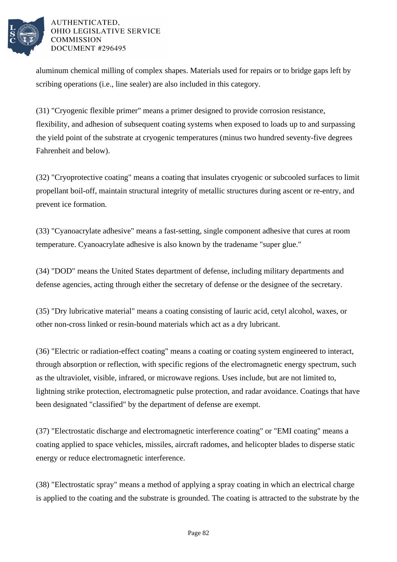

aluminum chemical milling of complex shapes. Materials used for repairs or to bridge gaps left by scribing operations (i.e., line sealer) are also included in this category.

(31) "Cryogenic flexible primer" means a primer designed to provide corrosion resistance, flexibility, and adhesion of subsequent coating systems when exposed to loads up to and surpassing the yield point of the substrate at cryogenic temperatures (minus two hundred seventy-five degrees Fahrenheit and below).

(32) "Cryoprotective coating" means a coating that insulates cryogenic or subcooled surfaces to limit propellant boil-off, maintain structural integrity of metallic structures during ascent or re-entry, and prevent ice formation.

(33) "Cyanoacrylate adhesive" means a fast-setting, single component adhesive that cures at room temperature. Cyanoacrylate adhesive is also known by the tradename "super glue."

(34) "DOD" means the United States department of defense, including military departments and defense agencies, acting through either the secretary of defense or the designee of the secretary.

(35) "Dry lubricative material" means a coating consisting of lauric acid, cetyl alcohol, waxes, or other non-cross linked or resin-bound materials which act as a dry lubricant.

(36) "Electric or radiation-effect coating" means a coating or coating system engineered to interact, through absorption or reflection, with specific regions of the electromagnetic energy spectrum, such as the ultraviolet, visible, infrared, or microwave regions. Uses include, but are not limited to, lightning strike protection, electromagnetic pulse protection, and radar avoidance. Coatings that have been designated "classified" by the department of defense are exempt.

(37) "Electrostatic discharge and electromagnetic interference coating" or "EMI coating" means a coating applied to space vehicles, missiles, aircraft radomes, and helicopter blades to disperse static energy or reduce electromagnetic interference.

(38) "Electrostatic spray" means a method of applying a spray coating in which an electrical charge is applied to the coating and the substrate is grounded. The coating is attracted to the substrate by the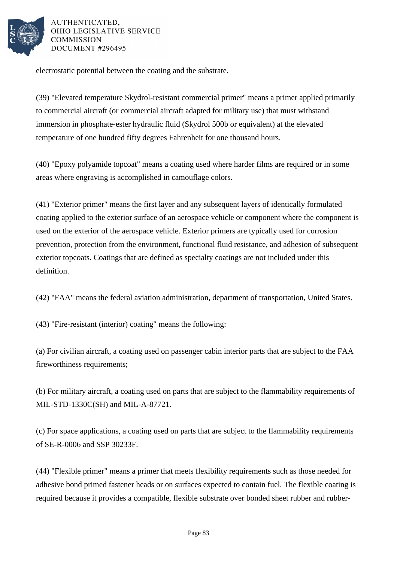

electrostatic potential between the coating and the substrate.

(39) "Elevated temperature Skydrol-resistant commercial primer" means a primer applied primarily to commercial aircraft (or commercial aircraft adapted for military use) that must withstand immersion in phosphate-ester hydraulic fluid (Skydrol 500b or equivalent) at the elevated temperature of one hundred fifty degrees Fahrenheit for one thousand hours.

(40) "Epoxy polyamide topcoat" means a coating used where harder films are required or in some areas where engraving is accomplished in camouflage colors.

(41) "Exterior primer" means the first layer and any subsequent layers of identically formulated coating applied to the exterior surface of an aerospace vehicle or component where the component is used on the exterior of the aerospace vehicle. Exterior primers are typically used for corrosion prevention, protection from the environment, functional fluid resistance, and adhesion of subsequent exterior topcoats. Coatings that are defined as specialty coatings are not included under this definition.

(42) "FAA" means the federal aviation administration, department of transportation, United States.

(43) "Fire-resistant (interior) coating" means the following:

(a) For civilian aircraft, a coating used on passenger cabin interior parts that are subject to the FAA fireworthiness requirements;

(b) For military aircraft, a coating used on parts that are subject to the flammability requirements of MIL-STD-1330C(SH) and MIL-A-87721.

(c) For space applications, a coating used on parts that are subject to the flammability requirements of SE-R-0006 and SSP 30233F.

(44) "Flexible primer" means a primer that meets flexibility requirements such as those needed for adhesive bond primed fastener heads or on surfaces expected to contain fuel. The flexible coating is required because it provides a compatible, flexible substrate over bonded sheet rubber and rubber-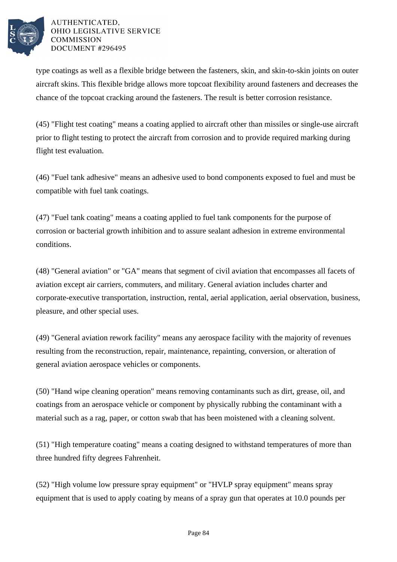

type coatings as well as a flexible bridge between the fasteners, skin, and skin-to-skin joints on outer aircraft skins. This flexible bridge allows more topcoat flexibility around fasteners and decreases the chance of the topcoat cracking around the fasteners. The result is better corrosion resistance.

(45) "Flight test coating" means a coating applied to aircraft other than missiles or single-use aircraft prior to flight testing to protect the aircraft from corrosion and to provide required marking during flight test evaluation.

(46) "Fuel tank adhesive" means an adhesive used to bond components exposed to fuel and must be compatible with fuel tank coatings.

(47) "Fuel tank coating" means a coating applied to fuel tank components for the purpose of corrosion or bacterial growth inhibition and to assure sealant adhesion in extreme environmental conditions.

(48) "General aviation" or "GA" means that segment of civil aviation that encompasses all facets of aviation except air carriers, commuters, and military. General aviation includes charter and corporate-executive transportation, instruction, rental, aerial application, aerial observation, business, pleasure, and other special uses.

(49) "General aviation rework facility" means any aerospace facility with the majority of revenues resulting from the reconstruction, repair, maintenance, repainting, conversion, or alteration of general aviation aerospace vehicles or components.

(50) "Hand wipe cleaning operation" means removing contaminants such as dirt, grease, oil, and coatings from an aerospace vehicle or component by physically rubbing the contaminant with a material such as a rag, paper, or cotton swab that has been moistened with a cleaning solvent.

(51) "High temperature coating" means a coating designed to withstand temperatures of more than three hundred fifty degrees Fahrenheit.

(52) "High volume low pressure spray equipment" or "HVLP spray equipment" means spray equipment that is used to apply coating by means of a spray gun that operates at 10.0 pounds per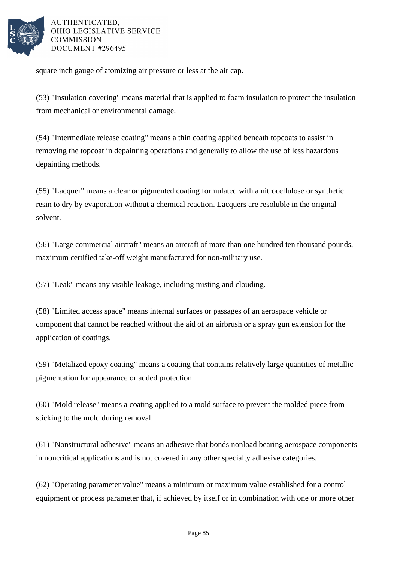

square inch gauge of atomizing air pressure or less at the air cap.

(53) "Insulation covering" means material that is applied to foam insulation to protect the insulation from mechanical or environmental damage.

(54) "Intermediate release coating" means a thin coating applied beneath topcoats to assist in removing the topcoat in depainting operations and generally to allow the use of less hazardous depainting methods.

(55) "Lacquer" means a clear or pigmented coating formulated with a nitrocellulose or synthetic resin to dry by evaporation without a chemical reaction. Lacquers are resoluble in the original solvent.

(56) "Large commercial aircraft" means an aircraft of more than one hundred ten thousand pounds, maximum certified take-off weight manufactured for non-military use.

(57) "Leak" means any visible leakage, including misting and clouding.

(58) "Limited access space" means internal surfaces or passages of an aerospace vehicle or component that cannot be reached without the aid of an airbrush or a spray gun extension for the application of coatings.

(59) "Metalized epoxy coating" means a coating that contains relatively large quantities of metallic pigmentation for appearance or added protection.

(60) "Mold release" means a coating applied to a mold surface to prevent the molded piece from sticking to the mold during removal.

(61) "Nonstructural adhesive" means an adhesive that bonds nonload bearing aerospace components in noncritical applications and is not covered in any other specialty adhesive categories.

(62) "Operating parameter value" means a minimum or maximum value established for a control equipment or process parameter that, if achieved by itself or in combination with one or more other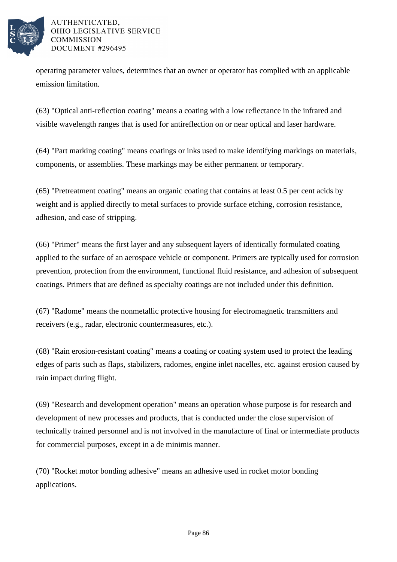

operating parameter values, determines that an owner or operator has complied with an applicable emission limitation.

(63) "Optical anti-reflection coating" means a coating with a low reflectance in the infrared and visible wavelength ranges that is used for antireflection on or near optical and laser hardware.

(64) "Part marking coating" means coatings or inks used to make identifying markings on materials, components, or assemblies. These markings may be either permanent or temporary.

(65) "Pretreatment coating" means an organic coating that contains at least 0.5 per cent acids by weight and is applied directly to metal surfaces to provide surface etching, corrosion resistance, adhesion, and ease of stripping.

(66) "Primer" means the first layer and any subsequent layers of identically formulated coating applied to the surface of an aerospace vehicle or component. Primers are typically used for corrosion prevention, protection from the environment, functional fluid resistance, and adhesion of subsequent coatings. Primers that are defined as specialty coatings are not included under this definition.

(67) "Radome" means the nonmetallic protective housing for electromagnetic transmitters and receivers (e.g., radar, electronic countermeasures, etc.).

(68) "Rain erosion-resistant coating" means a coating or coating system used to protect the leading edges of parts such as flaps, stabilizers, radomes, engine inlet nacelles, etc. against erosion caused by rain impact during flight.

(69) "Research and development operation" means an operation whose purpose is for research and development of new processes and products, that is conducted under the close supervision of technically trained personnel and is not involved in the manufacture of final or intermediate products for commercial purposes, except in a de minimis manner.

(70) "Rocket motor bonding adhesive" means an adhesive used in rocket motor bonding applications.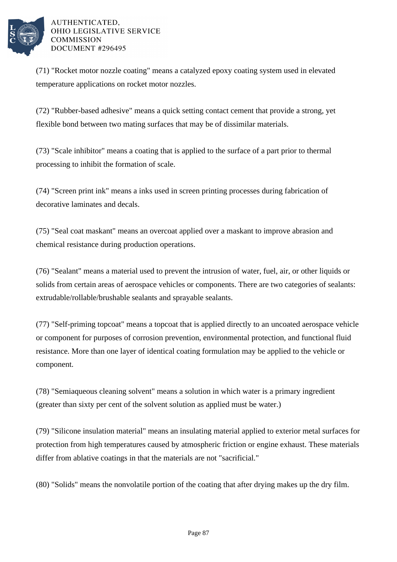

(71) "Rocket motor nozzle coating" means a catalyzed epoxy coating system used in elevated temperature applications on rocket motor nozzles.

(72) "Rubber-based adhesive" means a quick setting contact cement that provide a strong, yet flexible bond between two mating surfaces that may be of dissimilar materials.

(73) "Scale inhibitor" means a coating that is applied to the surface of a part prior to thermal processing to inhibit the formation of scale.

(74) "Screen print ink" means a inks used in screen printing processes during fabrication of decorative laminates and decals.

(75) "Seal coat maskant" means an overcoat applied over a maskant to improve abrasion and chemical resistance during production operations.

(76) "Sealant" means a material used to prevent the intrusion of water, fuel, air, or other liquids or solids from certain areas of aerospace vehicles or components. There are two categories of sealants: extrudable/rollable/brushable sealants and sprayable sealants.

(77) "Self-priming topcoat" means a topcoat that is applied directly to an uncoated aerospace vehicle or component for purposes of corrosion prevention, environmental protection, and functional fluid resistance. More than one layer of identical coating formulation may be applied to the vehicle or component.

(78) "Semiaqueous cleaning solvent" means a solution in which water is a primary ingredient (greater than sixty per cent of the solvent solution as applied must be water.)

(79) "Silicone insulation material" means an insulating material applied to exterior metal surfaces for protection from high temperatures caused by atmospheric friction or engine exhaust. These materials differ from ablative coatings in that the materials are not "sacrificial."

(80) "Solids" means the nonvolatile portion of the coating that after drying makes up the dry film.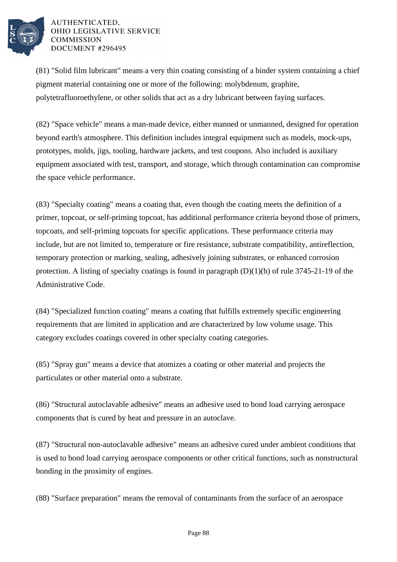

(81) "Solid film lubricant" means a very thin coating consisting of a binder system containing a chief pigment material containing one or more of the following: molybdenum, graphite, polytetrafluoroethylene, or other solids that act as a dry lubricant between faying surfaces.

(82) "Space vehicle" means a man-made device, either manned or unmanned, designed for operation beyond earth's atmosphere. This definition includes integral equipment such as models, mock-ups, prototypes, molds, jigs, tooling, hardware jackets, and test coupons. Also included is auxiliary equipment associated with test, transport, and storage, which through contamination can compromise the space vehicle performance.

(83) "Specialty coating" means a coating that, even though the coating meets the definition of a primer, topcoat, or self-priming topcoat, has additional performance criteria beyond those of primers, topcoats, and self-priming topcoats for specific applications. These performance criteria may include, but are not limited to, temperature or fire resistance, substrate compatibility, antireflection, temporary protection or marking, sealing, adhesively joining substrates, or enhanced corrosion protection. A listing of specialty coatings is found in paragraph  $(D)(1)(b)$  of rule 3745-21-19 of the Administrative Code.

(84) "Specialized function coating" means a coating that fulfills extremely specific engineering requirements that are limited in application and are characterized by low volume usage. This category excludes coatings covered in other specialty coating categories.

(85) "Spray gun" means a device that atomizes a coating or other material and projects the particulates or other material onto a substrate.

(86) "Structural autoclavable adhesive" means an adhesive used to bond load carrying aerospace components that is cured by heat and pressure in an autoclave.

(87) "Structural non-autoclavable adhesive" means an adhesive cured under ambient conditions that is used to bond load carrying aerospace components or other critical functions, such as nonstructural bonding in the proximity of engines.

(88) "Surface preparation" means the removal of contaminants from the surface of an aerospace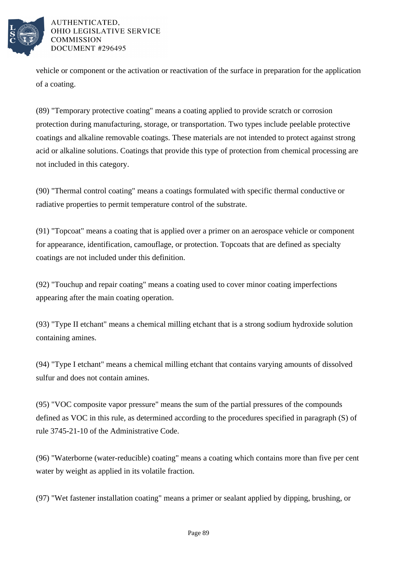

vehicle or component or the activation or reactivation of the surface in preparation for the application of a coating.

(89) "Temporary protective coating" means a coating applied to provide scratch or corrosion protection during manufacturing, storage, or transportation. Two types include peelable protective coatings and alkaline removable coatings. These materials are not intended to protect against strong acid or alkaline solutions. Coatings that provide this type of protection from chemical processing are not included in this category.

(90) "Thermal control coating" means a coatings formulated with specific thermal conductive or radiative properties to permit temperature control of the substrate.

(91) "Topcoat" means a coating that is applied over a primer on an aerospace vehicle or component for appearance, identification, camouflage, or protection. Topcoats that are defined as specialty coatings are not included under this definition.

(92) "Touchup and repair coating" means a coating used to cover minor coating imperfections appearing after the main coating operation.

(93) "Type II etchant" means a chemical milling etchant that is a strong sodium hydroxide solution containing amines.

(94) "Type I etchant" means a chemical milling etchant that contains varying amounts of dissolved sulfur and does not contain amines.

(95) "VOC composite vapor pressure" means the sum of the partial pressures of the compounds defined as VOC in this rule, as determined according to the procedures specified in paragraph (S) of rule 3745-21-10 of the Administrative Code.

(96) "Waterborne (water-reducible) coating" means a coating which contains more than five per cent water by weight as applied in its volatile fraction.

(97) "Wet fastener installation coating" means a primer or sealant applied by dipping, brushing, or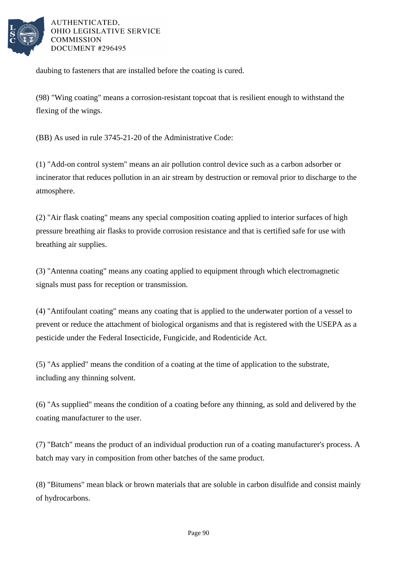

daubing to fasteners that are installed before the coating is cured.

(98) "Wing coating" means a corrosion-resistant topcoat that is resilient enough to withstand the flexing of the wings.

(BB) As used in rule 3745-21-20 of the Administrative Code:

(1) "Add-on control system" means an air pollution control device such as a carbon adsorber or incinerator that reduces pollution in an air stream by destruction or removal prior to discharge to the atmosphere.

(2) "Air flask coating" means any special composition coating applied to interior surfaces of high pressure breathing air flasks to provide corrosion resistance and that is certified safe for use with breathing air supplies.

(3) "Antenna coating" means any coating applied to equipment through which electromagnetic signals must pass for reception or transmission.

(4) "Antifoulant coating" means any coating that is applied to the underwater portion of a vessel to prevent or reduce the attachment of biological organisms and that is registered with the USEPA as a pesticide under the Federal Insecticide, Fungicide, and Rodenticide Act.

(5) "As applied" means the condition of a coating at the time of application to the substrate, including any thinning solvent.

(6) "As supplied" means the condition of a coating before any thinning, as sold and delivered by the coating manufacturer to the user.

(7) "Batch" means the product of an individual production run of a coating manufacturer's process. A batch may vary in composition from other batches of the same product.

(8) "Bitumens" mean black or brown materials that are soluble in carbon disulfide and consist mainly of hydrocarbons.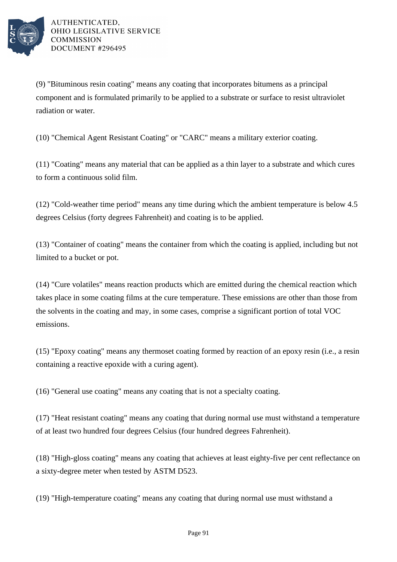

(9) "Bituminous resin coating" means any coating that incorporates bitumens as a principal component and is formulated primarily to be applied to a substrate or surface to resist ultraviolet radiation or water.

(10) "Chemical Agent Resistant Coating" or "CARC" means a military exterior coating.

(11) "Coating" means any material that can be applied as a thin layer to a substrate and which cures to form a continuous solid film.

(12) "Cold-weather time period" means any time during which the ambient temperature is below 4.5 degrees Celsius (forty degrees Fahrenheit) and coating is to be applied.

(13) "Container of coating" means the container from which the coating is applied, including but not limited to a bucket or pot.

(14) "Cure volatiles" means reaction products which are emitted during the chemical reaction which takes place in some coating films at the cure temperature. These emissions are other than those from the solvents in the coating and may, in some cases, comprise a significant portion of total VOC emissions.

(15) "Epoxy coating" means any thermoset coating formed by reaction of an epoxy resin (i.e., a resin containing a reactive epoxide with a curing agent).

(16) "General use coating" means any coating that is not a specialty coating.

(17) "Heat resistant coating" means any coating that during normal use must withstand a temperature of at least two hundred four degrees Celsius (four hundred degrees Fahrenheit).

(18) "High-gloss coating" means any coating that achieves at least eighty-five per cent reflectance on a sixty-degree meter when tested by ASTM D523.

(19) "High-temperature coating" means any coating that during normal use must withstand a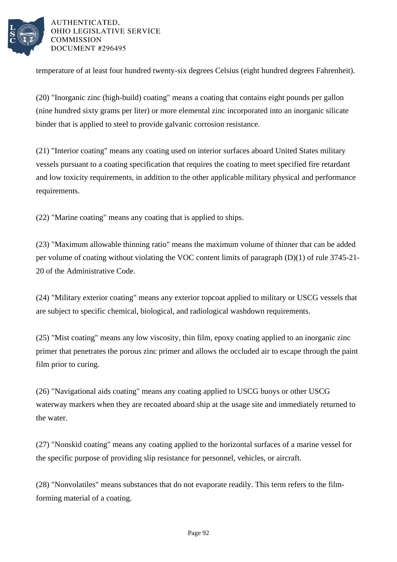

temperature of at least four hundred twenty-six degrees Celsius (eight hundred degrees Fahrenheit).

(20) "Inorganic zinc (high-build) coating" means a coating that contains eight pounds per gallon (nine hundred sixty grams per liter) or more elemental zinc incorporated into an inorganic silicate binder that is applied to steel to provide galvanic corrosion resistance.

(21) "Interior coating" means any coating used on interior surfaces aboard United States military vessels pursuant to a coating specification that requires the coating to meet specified fire retardant and low toxicity requirements, in addition to the other applicable military physical and performance requirements.

(22) "Marine coating" means any coating that is applied to ships.

(23) "Maximum allowable thinning ratio" means the maximum volume of thinner that can be added per volume of coating without violating the VOC content limits of paragraph (D)(1) of rule 3745-21- 20 of the Administrative Code.

(24) "Military exterior coating" means any exterior topcoat applied to military or USCG vessels that are subject to specific chemical, biological, and radiological washdown requirements.

(25) "Mist coating" means any low viscosity, thin film, epoxy coating applied to an inorganic zinc primer that penetrates the porous zinc primer and allows the occluded air to escape through the paint film prior to curing.

(26) "Navigational aids coating" means any coating applied to USCG buoys or other USCG waterway markers when they are recoated aboard ship at the usage site and immediately returned to the water.

(27) "Nonskid coating" means any coating applied to the horizontal surfaces of a marine vessel for the specific purpose of providing slip resistance for personnel, vehicles, or aircraft.

(28) "Nonvolatiles" means substances that do not evaporate readily. This term refers to the filmforming material of a coating.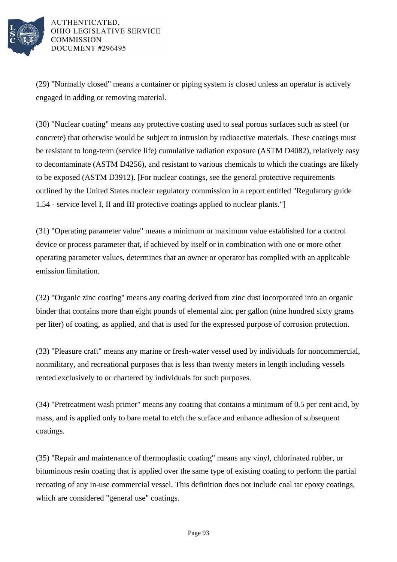

(29) "Normally closed" means a container or piping system is closed unless an operator is actively engaged in adding or removing material.

(30) "Nuclear coating" means any protective coating used to seal porous surfaces such as steel (or concrete) that otherwise would be subject to intrusion by radioactive materials. These coatings must be resistant to long-term (service life) cumulative radiation exposure (ASTM D4082), relatively easy to decontaminate (ASTM D4256), and resistant to various chemicals to which the coatings are likely to be exposed (ASTM D3912). [For nuclear coatings, see the general protective requirements outlined by the United States nuclear regulatory commission in a report entitled "Regulatory guide 1.54 - service level I, II and III protective coatings applied to nuclear plants."]

(31) "Operating parameter value" means a minimum or maximum value established for a control device or process parameter that, if achieved by itself or in combination with one or more other operating parameter values, determines that an owner or operator has complied with an applicable emission limitation.

(32) "Organic zinc coating" means any coating derived from zinc dust incorporated into an organic binder that contains more than eight pounds of elemental zinc per gallon (nine hundred sixty grams per liter) of coating, as applied, and that is used for the expressed purpose of corrosion protection.

(33) "Pleasure craft" means any marine or fresh-water vessel used by individuals for noncommercial, nonmilitary, and recreational purposes that is less than twenty meters in length including vessels rented exclusively to or chartered by individuals for such purposes.

(34) "Pretreatment wash primer" means any coating that contains a minimum of 0.5 per cent acid, by mass, and is applied only to bare metal to etch the surface and enhance adhesion of subsequent coatings.

(35) "Repair and maintenance of thermoplastic coating" means any vinyl, chlorinated rubber, or bituminous resin coating that is applied over the same type of existing coating to perform the partial recoating of any in-use commercial vessel. This definition does not include coal tar epoxy coatings, which are considered "general use" coatings.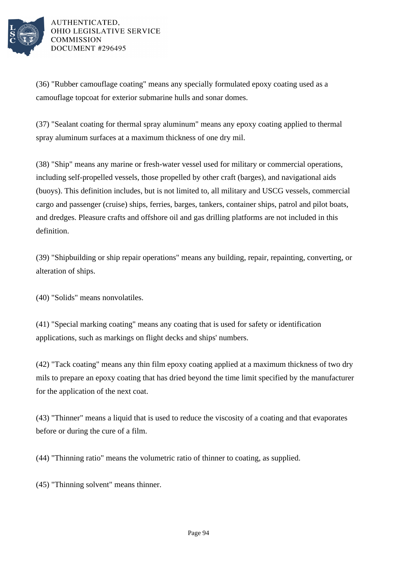

(36) "Rubber camouflage coating" means any specially formulated epoxy coating used as a camouflage topcoat for exterior submarine hulls and sonar domes.

(37) "Sealant coating for thermal spray aluminum" means any epoxy coating applied to thermal spray aluminum surfaces at a maximum thickness of one dry mil.

(38) "Ship" means any marine or fresh-water vessel used for military or commercial operations, including self-propelled vessels, those propelled by other craft (barges), and navigational aids (buoys). This definition includes, but is not limited to, all military and USCG vessels, commercial cargo and passenger (cruise) ships, ferries, barges, tankers, container ships, patrol and pilot boats, and dredges. Pleasure crafts and offshore oil and gas drilling platforms are not included in this definition.

(39) "Shipbuilding or ship repair operations" means any building, repair, repainting, converting, or alteration of ships.

(40) "Solids" means nonvolatiles.

(41) "Special marking coating" means any coating that is used for safety or identification applications, such as markings on flight decks and ships' numbers.

(42) "Tack coating" means any thin film epoxy coating applied at a maximum thickness of two dry mils to prepare an epoxy coating that has dried beyond the time limit specified by the manufacturer for the application of the next coat.

(43) "Thinner" means a liquid that is used to reduce the viscosity of a coating and that evaporates before or during the cure of a film.

(44) "Thinning ratio" means the volumetric ratio of thinner to coating, as supplied.

(45) "Thinning solvent" means thinner.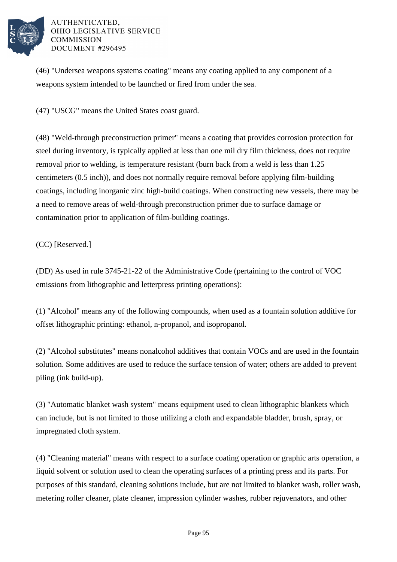

(46) "Undersea weapons systems coating" means any coating applied to any component of a weapons system intended to be launched or fired from under the sea.

(47) "USCG" means the United States coast guard.

(48) "Weld-through preconstruction primer" means a coating that provides corrosion protection for steel during inventory, is typically applied at less than one mil dry film thickness, does not require removal prior to welding, is temperature resistant (burn back from a weld is less than 1.25 centimeters (0.5 inch)), and does not normally require removal before applying film-building coatings, including inorganic zinc high-build coatings. When constructing new vessels, there may be a need to remove areas of weld-through preconstruction primer due to surface damage or contamination prior to application of film-building coatings.

(CC) [Reserved.]

(DD) As used in rule 3745-21-22 of the Administrative Code (pertaining to the control of VOC emissions from lithographic and letterpress printing operations):

(1) "Alcohol" means any of the following compounds, when used as a fountain solution additive for offset lithographic printing: ethanol, n-propanol, and isopropanol.

(2) "Alcohol substitutes" means nonalcohol additives that contain VOCs and are used in the fountain solution. Some additives are used to reduce the surface tension of water; others are added to prevent piling (ink build-up).

(3) "Automatic blanket wash system" means equipment used to clean lithographic blankets which can include, but is not limited to those utilizing a cloth and expandable bladder, brush, spray, or impregnated cloth system.

(4) "Cleaning material" means with respect to a surface coating operation or graphic arts operation, a liquid solvent or solution used to clean the operating surfaces of a printing press and its parts. For purposes of this standard, cleaning solutions include, but are not limited to blanket wash, roller wash, metering roller cleaner, plate cleaner, impression cylinder washes, rubber rejuvenators, and other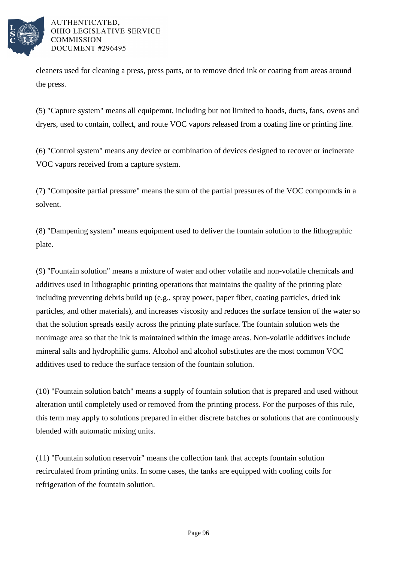

cleaners used for cleaning a press, press parts, or to remove dried ink or coating from areas around the press.

(5) "Capture system" means all equipemnt, including but not limited to hoods, ducts, fans, ovens and dryers, used to contain, collect, and route VOC vapors released from a coating line or printing line.

(6) "Control system" means any device or combination of devices designed to recover or incinerate VOC vapors received from a capture system.

(7) "Composite partial pressure" means the sum of the partial pressures of the VOC compounds in a solvent.

(8) "Dampening system" means equipment used to deliver the fountain solution to the lithographic plate.

(9) "Fountain solution" means a mixture of water and other volatile and non-volatile chemicals and additives used in lithographic printing operations that maintains the quality of the printing plate including preventing debris build up (e.g., spray power, paper fiber, coating particles, dried ink particles, and other materials), and increases viscosity and reduces the surface tension of the water so that the solution spreads easily across the printing plate surface. The fountain solution wets the nonimage area so that the ink is maintained within the image areas. Non-volatile additives include mineral salts and hydrophilic gums. Alcohol and alcohol substitutes are the most common VOC additives used to reduce the surface tension of the fountain solution.

(10) "Fountain solution batch" means a supply of fountain solution that is prepared and used without alteration until completely used or removed from the printing process. For the purposes of this rule, this term may apply to solutions prepared in either discrete batches or solutions that are continuously blended with automatic mixing units.

(11) "Fountain solution reservoir" means the collection tank that accepts fountain solution recirculated from printing units. In some cases, the tanks are equipped with cooling coils for refrigeration of the fountain solution.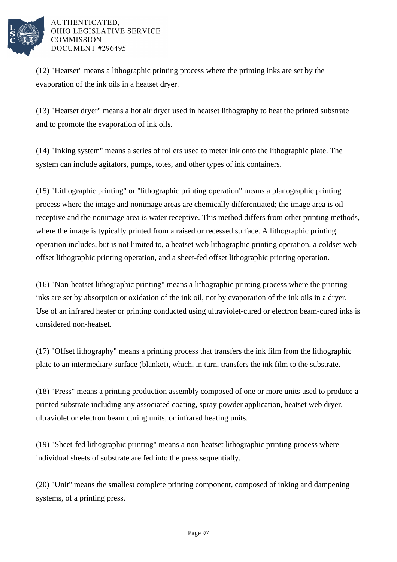

(12) "Heatset" means a lithographic printing process where the printing inks are set by the evaporation of the ink oils in a heatset dryer.

(13) "Heatset dryer" means a hot air dryer used in heatset lithography to heat the printed substrate and to promote the evaporation of ink oils.

(14) "Inking system" means a series of rollers used to meter ink onto the lithographic plate. The system can include agitators, pumps, totes, and other types of ink containers.

(15) "Lithographic printing" or "lithographic printing operation" means a planographic printing process where the image and nonimage areas are chemically differentiated; the image area is oil receptive and the nonimage area is water receptive. This method differs from other printing methods, where the image is typically printed from a raised or recessed surface. A lithographic printing operation includes, but is not limited to, a heatset web lithographic printing operation, a coldset web offset lithographic printing operation, and a sheet-fed offset lithographic printing operation.

(16) "Non-heatset lithographic printing" means a lithographic printing process where the printing inks are set by absorption or oxidation of the ink oil, not by evaporation of the ink oils in a dryer. Use of an infrared heater or printing conducted using ultraviolet-cured or electron beam-cured inks is considered non-heatset.

(17) "Offset lithography" means a printing process that transfers the ink film from the lithographic plate to an intermediary surface (blanket), which, in turn, transfers the ink film to the substrate.

(18) "Press" means a printing production assembly composed of one or more units used to produce a printed substrate including any associated coating, spray powder application, heatset web dryer, ultraviolet or electron beam curing units, or infrared heating units.

(19) "Sheet-fed lithographic printing" means a non-heatset lithographic printing process where individual sheets of substrate are fed into the press sequentially.

(20) "Unit" means the smallest complete printing component, composed of inking and dampening systems, of a printing press.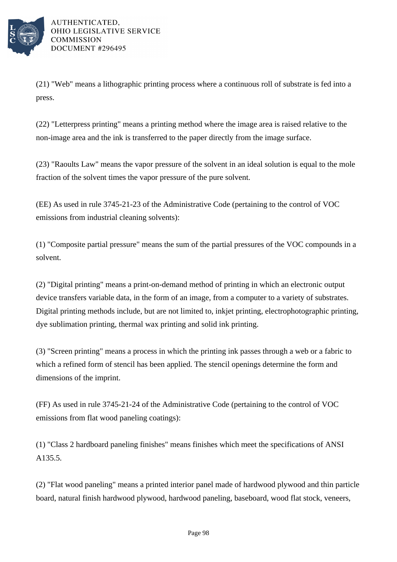

(21) "Web" means a lithographic printing process where a continuous roll of substrate is fed into a press.

(22) "Letterpress printing" means a printing method where the image area is raised relative to the non-image area and the ink is transferred to the paper directly from the image surface.

(23) "Raoults Law" means the vapor pressure of the solvent in an ideal solution is equal to the mole fraction of the solvent times the vapor pressure of the pure solvent.

(EE) As used in rule 3745-21-23 of the Administrative Code (pertaining to the control of VOC emissions from industrial cleaning solvents):

(1) "Composite partial pressure" means the sum of the partial pressures of the VOC compounds in a solvent.

(2) "Digital printing" means a print-on-demand method of printing in which an electronic output device transfers variable data, in the form of an image, from a computer to a variety of substrates. Digital printing methods include, but are not limited to, inkjet printing, electrophotographic printing, dye sublimation printing, thermal wax printing and solid ink printing.

(3) "Screen printing" means a process in which the printing ink passes through a web or a fabric to which a refined form of stencil has been applied. The stencil openings determine the form and dimensions of the imprint.

(FF) As used in rule 3745-21-24 of the Administrative Code (pertaining to the control of VOC emissions from flat wood paneling coatings):

(1) "Class 2 hardboard paneling finishes" means finishes which meet the specifications of ANSI A135.5.

(2) "Flat wood paneling" means a printed interior panel made of hardwood plywood and thin particle board, natural finish hardwood plywood, hardwood paneling, baseboard, wood flat stock, veneers,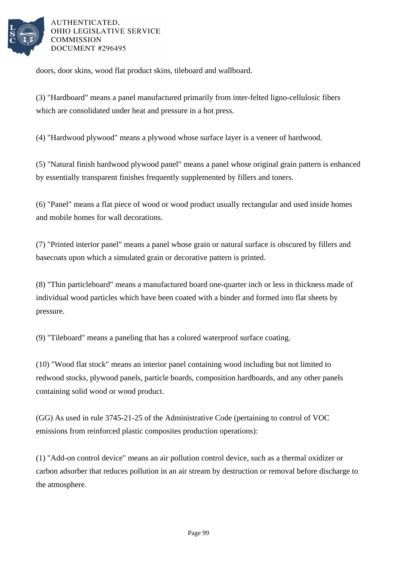

doors, door skins, wood flat product skins, tileboard and wallboard.

(3) "Hardboard" means a panel manufactured primarily from inter-felted ligno-cellulosic fibers which are consolidated under heat and pressure in a hot press.

(4) "Hardwood plywood" means a plywood whose surface layer is a veneer of hardwood.

(5) "Natural finish hardwood plywood panel" means a panel whose original grain pattern is enhanced by essentially transparent finishes frequently supplemented by fillers and toners.

(6) "Panel" means a flat piece of wood or wood product usually rectangular and used inside homes and mobile homes for wall decorations.

(7) "Printed interior panel" means a panel whose grain or natural surface is obscured by fillers and basecoats upon which a simulated grain or decorative pattern is printed.

(8) "Thin particleboard" means a manufactured board one-quarter inch or less in thickness made of individual wood particles which have been coated with a binder and formed into flat sheets by pressure.

(9) "Tileboard" means a paneling that has a colored waterproof surface coating.

(10) "Wood flat stock" means an interior panel containing wood including but not limited to redwood stocks, plywood panels, particle boards, composition hardboards, and any other panels containing solid wood or wood product.

(GG) As used in rule 3745-21-25 of the Administrative Code (pertaining to control of VOC emissions from reinforced plastic composites production operations):

(1) "Add-on control device" means an air pollution control device, such as a thermal oxidizer or carbon adsorber that reduces pollution in an air stream by destruction or removal before discharge to the atmosphere.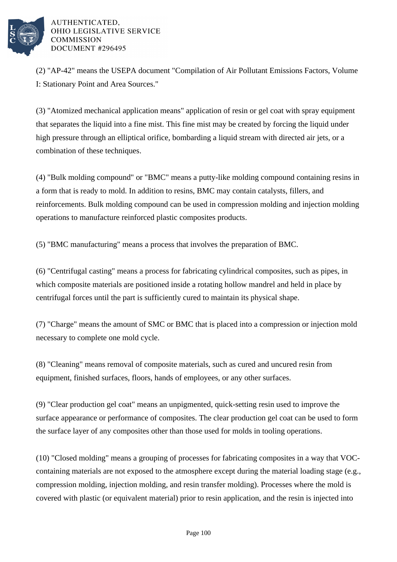

(2) "AP-42" means the USEPA document "Compilation of Air Pollutant Emissions Factors, Volume I: Stationary Point and Area Sources."

(3) "Atomized mechanical application means" application of resin or gel coat with spray equipment that separates the liquid into a fine mist. This fine mist may be created by forcing the liquid under high pressure through an elliptical orifice, bombarding a liquid stream with directed air jets, or a combination of these techniques.

(4) "Bulk molding compound" or "BMC" means a putty-like molding compound containing resins in a form that is ready to mold. In addition to resins, BMC may contain catalysts, fillers, and reinforcements. Bulk molding compound can be used in compression molding and injection molding operations to manufacture reinforced plastic composites products.

(5) "BMC manufacturing" means a process that involves the preparation of BMC.

(6) "Centrifugal casting" means a process for fabricating cylindrical composites, such as pipes, in which composite materials are positioned inside a rotating hollow mandrel and held in place by centrifugal forces until the part is sufficiently cured to maintain its physical shape.

(7) "Charge" means the amount of SMC or BMC that is placed into a compression or injection mold necessary to complete one mold cycle.

(8) "Cleaning" means removal of composite materials, such as cured and uncured resin from equipment, finished surfaces, floors, hands of employees, or any other surfaces.

(9) "Clear production gel coat" means an unpigmented, quick-setting resin used to improve the surface appearance or performance of composites. The clear production gel coat can be used to form the surface layer of any composites other than those used for molds in tooling operations.

(10) "Closed molding" means a grouping of processes for fabricating composites in a way that VOCcontaining materials are not exposed to the atmosphere except during the material loading stage (e.g., compression molding, injection molding, and resin transfer molding). Processes where the mold is covered with plastic (or equivalent material) prior to resin application, and the resin is injected into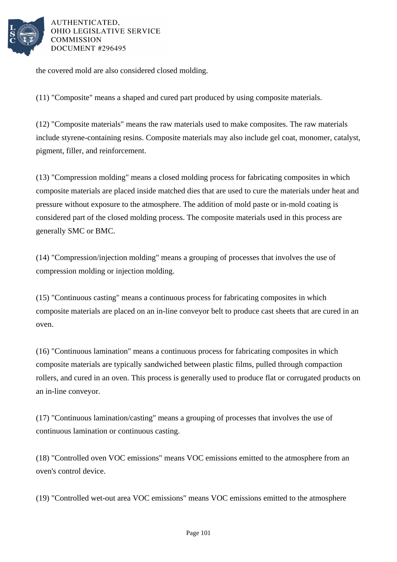

the covered mold are also considered closed molding.

(11) "Composite" means a shaped and cured part produced by using composite materials.

(12) "Composite materials" means the raw materials used to make composites. The raw materials include styrene-containing resins. Composite materials may also include gel coat, monomer, catalyst, pigment, filler, and reinforcement.

(13) "Compression molding" means a closed molding process for fabricating composites in which composite materials are placed inside matched dies that are used to cure the materials under heat and pressure without exposure to the atmosphere. The addition of mold paste or in-mold coating is considered part of the closed molding process. The composite materials used in this process are generally SMC or BMC.

(14) "Compression/injection molding" means a grouping of processes that involves the use of compression molding or injection molding.

(15) "Continuous casting" means a continuous process for fabricating composites in which composite materials are placed on an in-line conveyor belt to produce cast sheets that are cured in an oven.

(16) "Continuous lamination" means a continuous process for fabricating composites in which composite materials are typically sandwiched between plastic films, pulled through compaction rollers, and cured in an oven. This process is generally used to produce flat or corrugated products on an in-line conveyor.

(17) "Continuous lamination/casting" means a grouping of processes that involves the use of continuous lamination or continuous casting.

(18) "Controlled oven VOC emissions" means VOC emissions emitted to the atmosphere from an oven's control device.

(19) "Controlled wet-out area VOC emissions" means VOC emissions emitted to the atmosphere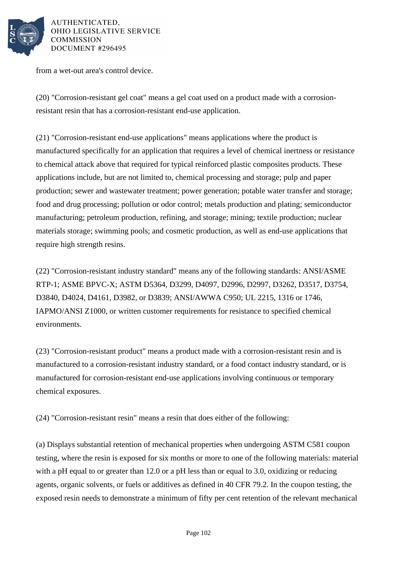

from a wet-out area's control device.

(20) "Corrosion-resistant gel coat" means a gel coat used on a product made with a corrosionresistant resin that has a corrosion-resistant end-use application.

(21) "Corrosion-resistant end-use applications" means applications where the product is manufactured specifically for an application that requires a level of chemical inertness or resistance to chemical attack above that required for typical reinforced plastic composites products. These applications include, but are not limited to, chemical processing and storage; pulp and paper production; sewer and wastewater treatment; power generation; potable water transfer and storage; food and drug processing; pollution or odor control; metals production and plating; semiconductor manufacturing; petroleum production, refining, and storage; mining; textile production; nuclear materials storage; swimming pools; and cosmetic production, as well as end-use applications that require high strength resins.

(22) "Corrosion-resistant industry standard" means any of the following standards: ANSI/ASME RTP-1; ASME BPVC-X; ASTM D5364, D3299, D4097, D2996, D2997, D3262, D3517, D3754, D3840, D4024, D4161, D3982, or D3839; ANSI/AWWA C950; UL 2215, 1316 or 1746, IAPMO/ANSI Z1000, or written customer requirements for resistance to specified chemical environments.

(23) "Corrosion-resistant product" means a product made with a corrosion-resistant resin and is manufactured to a corrosion-resistant industry standard, or a food contact industry standard, or is manufactured for corrosion-resistant end-use applications involving continuous or temporary chemical exposures.

(24) "Corrosion-resistant resin" means a resin that does either of the following:

(a) Displays substantial retention of mechanical properties when undergoing ASTM C581 coupon testing, where the resin is exposed for six months or more to one of the following materials: material with a pH equal to or greater than 12.0 or a pH less than or equal to 3.0, oxidizing or reducing agents, organic solvents, or fuels or additives as defined in 40 CFR 79.2. In the coupon testing, the exposed resin needs to demonstrate a minimum of fifty per cent retention of the relevant mechanical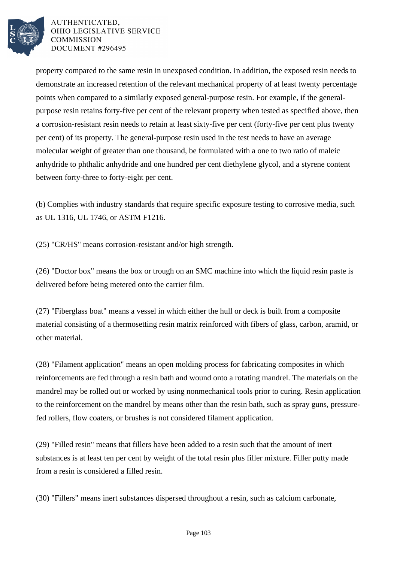

property compared to the same resin in unexposed condition. In addition, the exposed resin needs to demonstrate an increased retention of the relevant mechanical property of at least twenty percentage points when compared to a similarly exposed general-purpose resin. For example, if the generalpurpose resin retains forty-five per cent of the relevant property when tested as specified above, then a corrosion-resistant resin needs to retain at least sixty-five per cent (forty-five per cent plus twenty per cent) of its property. The general-purpose resin used in the test needs to have an average molecular weight of greater than one thousand, be formulated with a one to two ratio of maleic anhydride to phthalic anhydride and one hundred per cent diethylene glycol, and a styrene content between forty-three to forty-eight per cent.

(b) Complies with industry standards that require specific exposure testing to corrosive media, such as UL 1316, UL 1746, or ASTM F1216.

(25) "CR/HS" means corrosion-resistant and/or high strength.

(26) "Doctor box" means the box or trough on an SMC machine into which the liquid resin paste is delivered before being metered onto the carrier film.

(27) "Fiberglass boat" means a vessel in which either the hull or deck is built from a composite material consisting of a thermosetting resin matrix reinforced with fibers of glass, carbon, aramid, or other material.

(28) "Filament application" means an open molding process for fabricating composites in which reinforcements are fed through a resin bath and wound onto a rotating mandrel. The materials on the mandrel may be rolled out or worked by using nonmechanical tools prior to curing. Resin application to the reinforcement on the mandrel by means other than the resin bath, such as spray guns, pressurefed rollers, flow coaters, or brushes is not considered filament application.

(29) "Filled resin" means that fillers have been added to a resin such that the amount of inert substances is at least ten per cent by weight of the total resin plus filler mixture. Filler putty made from a resin is considered a filled resin.

(30) "Fillers" means inert substances dispersed throughout a resin, such as calcium carbonate,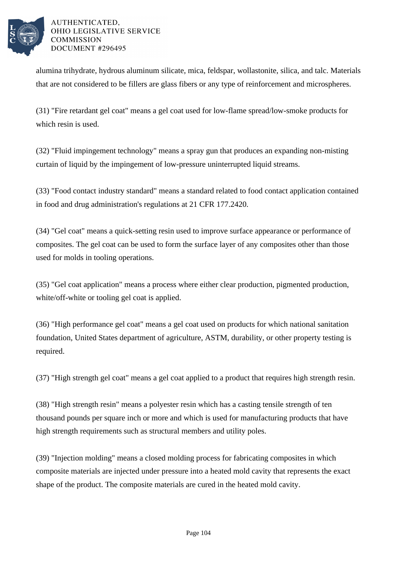

alumina trihydrate, hydrous aluminum silicate, mica, feldspar, wollastonite, silica, and talc. Materials that are not considered to be fillers are glass fibers or any type of reinforcement and microspheres.

(31) "Fire retardant gel coat" means a gel coat used for low-flame spread/low-smoke products for which resin is used.

(32) "Fluid impingement technology" means a spray gun that produces an expanding non-misting curtain of liquid by the impingement of low-pressure uninterrupted liquid streams.

(33) "Food contact industry standard" means a standard related to food contact application contained in food and drug administration's regulations at 21 CFR 177.2420.

(34) "Gel coat" means a quick-setting resin used to improve surface appearance or performance of composites. The gel coat can be used to form the surface layer of any composites other than those used for molds in tooling operations.

(35) "Gel coat application" means a process where either clear production, pigmented production, white/off-white or tooling gel coat is applied.

(36) "High performance gel coat" means a gel coat used on products for which national sanitation foundation, United States department of agriculture, ASTM, durability, or other property testing is required.

(37) "High strength gel coat" means a gel coat applied to a product that requires high strength resin.

(38) "High strength resin" means a polyester resin which has a casting tensile strength of ten thousand pounds per square inch or more and which is used for manufacturing products that have high strength requirements such as structural members and utility poles.

(39) "Injection molding" means a closed molding process for fabricating composites in which composite materials are injected under pressure into a heated mold cavity that represents the exact shape of the product. The composite materials are cured in the heated mold cavity.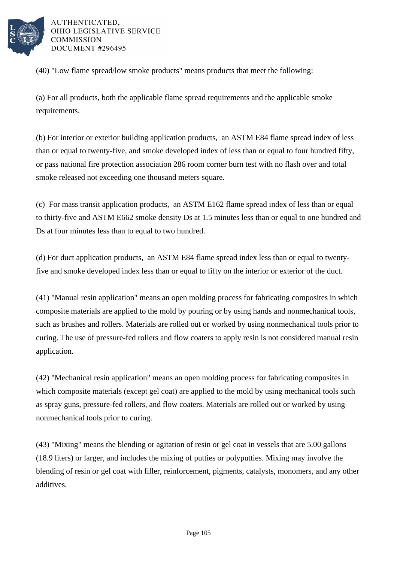

(40) "Low flame spread/low smoke products" means products that meet the following:

(a) For all products, both the applicable flame spread requirements and the applicable smoke requirements.

(b) For interior or exterior building application products, an ASTM E84 flame spread index of less than or equal to twenty-five, and smoke developed index of less than or equal to four hundred fifty, or pass national fire protection association 286 room corner burn test with no flash over and total smoke released not exceeding one thousand meters square.

(c) For mass transit application products, an ASTM E162 flame spread index of less than or equal to thirty-five and ASTM E662 smoke density Ds at 1.5 minutes less than or equal to one hundred and Ds at four minutes less than to equal to two hundred.

(d) For duct application products, an ASTM E84 flame spread index less than or equal to twentyfive and smoke developed index less than or equal to fifty on the interior or exterior of the duct.

(41) "Manual resin application" means an open molding process for fabricating composites in which composite materials are applied to the mold by pouring or by using hands and nonmechanical tools, such as brushes and rollers. Materials are rolled out or worked by using nonmechanical tools prior to curing. The use of pressure-fed rollers and flow coaters to apply resin is not considered manual resin application.

(42) "Mechanical resin application" means an open molding process for fabricating composites in which composite materials (except gel coat) are applied to the mold by using mechanical tools such as spray guns, pressure-fed rollers, and flow coaters. Materials are rolled out or worked by using nonmechanical tools prior to curing.

(43) "Mixing" means the blending or agitation of resin or gel coat in vessels that are 5.00 gallons (18.9 liters) or larger, and includes the mixing of putties or polyputties. Mixing may involve the blending of resin or gel coat with filler, reinforcement, pigments, catalysts, monomers, and any other additives.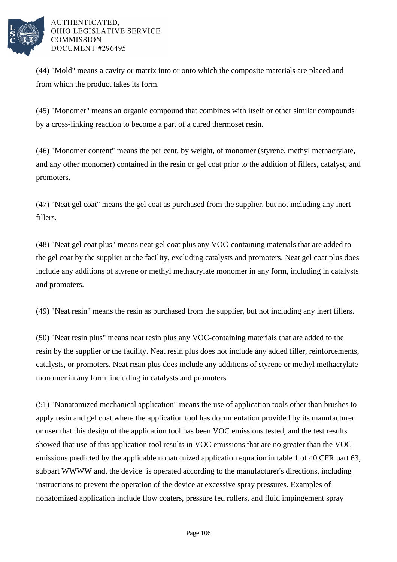

(44) "Mold" means a cavity or matrix into or onto which the composite materials are placed and from which the product takes its form.

(45) "Monomer" means an organic compound that combines with itself or other similar compounds by a cross-linking reaction to become a part of a cured thermoset resin.

(46) "Monomer content" means the per cent, by weight, of monomer (styrene, methyl methacrylate, and any other monomer) contained in the resin or gel coat prior to the addition of fillers, catalyst, and promoters.

(47) "Neat gel coat" means the gel coat as purchased from the supplier, but not including any inert fillers.

(48) "Neat gel coat plus" means neat gel coat plus any VOC-containing materials that are added to the gel coat by the supplier or the facility, excluding catalysts and promoters. Neat gel coat plus does include any additions of styrene or methyl methacrylate monomer in any form, including in catalysts and promoters.

(49) "Neat resin" means the resin as purchased from the supplier, but not including any inert fillers.

(50) "Neat resin plus" means neat resin plus any VOC-containing materials that are added to the resin by the supplier or the facility. Neat resin plus does not include any added filler, reinforcements, catalysts, or promoters. Neat resin plus does include any additions of styrene or methyl methacrylate monomer in any form, including in catalysts and promoters.

(51) "Nonatomized mechanical application" means the use of application tools other than brushes to apply resin and gel coat where the application tool has documentation provided by its manufacturer or user that this design of the application tool has been VOC emissions tested, and the test results showed that use of this application tool results in VOC emissions that are no greater than the VOC emissions predicted by the applicable nonatomized application equation in table 1 of 40 CFR part 63, subpart WWWW and, the device is operated according to the manufacturer's directions, including instructions to prevent the operation of the device at excessive spray pressures. Examples of nonatomized application include flow coaters, pressure fed rollers, and fluid impingement spray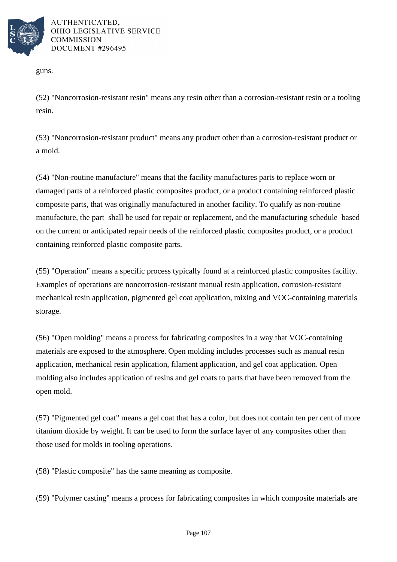

guns.

(52) "Noncorrosion-resistant resin" means any resin other than a corrosion-resistant resin or a tooling resin.

(53) "Noncorrosion-resistant product" means any product other than a corrosion-resistant product or a mold.

(54) "Non-routine manufacture" means that the facility manufactures parts to replace worn or damaged parts of a reinforced plastic composites product, or a product containing reinforced plastic composite parts, that was originally manufactured in another facility. To qualify as non-routine manufacture, the part shall be used for repair or replacement, and the manufacturing schedule based on the current or anticipated repair needs of the reinforced plastic composites product, or a product containing reinforced plastic composite parts.

(55) "Operation" means a specific process typically found at a reinforced plastic composites facility. Examples of operations are noncorrosion-resistant manual resin application, corrosion-resistant mechanical resin application, pigmented gel coat application, mixing and VOC-containing materials storage.

(56) "Open molding" means a process for fabricating composites in a way that VOC-containing materials are exposed to the atmosphere. Open molding includes processes such as manual resin application, mechanical resin application, filament application, and gel coat application. Open molding also includes application of resins and gel coats to parts that have been removed from the open mold.

(57) "Pigmented gel coat" means a gel coat that has a color, but does not contain ten per cent of more titanium dioxide by weight. It can be used to form the surface layer of any composites other than those used for molds in tooling operations.

(58) "Plastic composite" has the same meaning as composite.

(59) "Polymer casting" means a process for fabricating composites in which composite materials are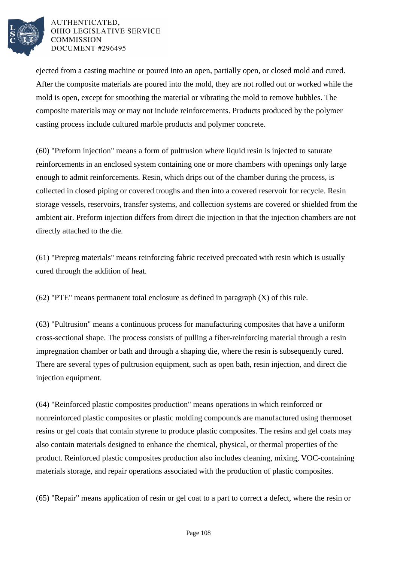

ejected from a casting machine or poured into an open, partially open, or closed mold and cured. After the composite materials are poured into the mold, they are not rolled out or worked while the mold is open, except for smoothing the material or vibrating the mold to remove bubbles. The composite materials may or may not include reinforcements. Products produced by the polymer casting process include cultured marble products and polymer concrete.

(60) "Preform injection" means a form of pultrusion where liquid resin is injected to saturate reinforcements in an enclosed system containing one or more chambers with openings only large enough to admit reinforcements. Resin, which drips out of the chamber during the process, is collected in closed piping or covered troughs and then into a covered reservoir for recycle. Resin storage vessels, reservoirs, transfer systems, and collection systems are covered or shielded from the ambient air. Preform injection differs from direct die injection in that the injection chambers are not directly attached to the die.

(61) "Prepreg materials" means reinforcing fabric received precoated with resin which is usually cured through the addition of heat.

(62) "PTE" means permanent total enclosure as defined in paragraph (X) of this rule.

(63) "Pultrusion" means a continuous process for manufacturing composites that have a uniform cross-sectional shape. The process consists of pulling a fiber-reinforcing material through a resin impregnation chamber or bath and through a shaping die, where the resin is subsequently cured. There are several types of pultrusion equipment, such as open bath, resin injection, and direct die injection equipment.

(64) "Reinforced plastic composites production" means operations in which reinforced or nonreinforced plastic composites or plastic molding compounds are manufactured using thermoset resins or gel coats that contain styrene to produce plastic composites. The resins and gel coats may also contain materials designed to enhance the chemical, physical, or thermal properties of the product. Reinforced plastic composites production also includes cleaning, mixing, VOC-containing materials storage, and repair operations associated with the production of plastic composites.

(65) "Repair" means application of resin or gel coat to a part to correct a defect, where the resin or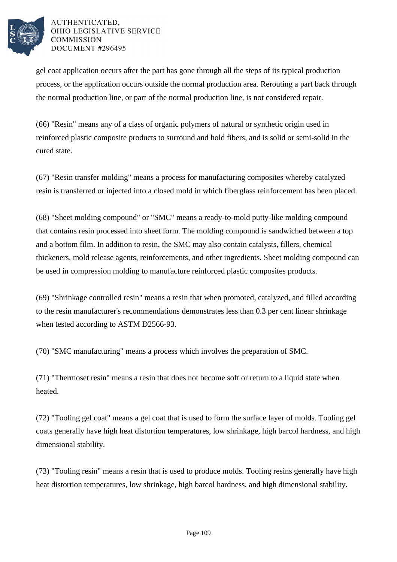

gel coat application occurs after the part has gone through all the steps of its typical production process, or the application occurs outside the normal production area. Rerouting a part back through the normal production line, or part of the normal production line, is not considered repair.

(66) "Resin" means any of a class of organic polymers of natural or synthetic origin used in reinforced plastic composite products to surround and hold fibers, and is solid or semi-solid in the cured state.

(67) "Resin transfer molding" means a process for manufacturing composites whereby catalyzed resin is transferred or injected into a closed mold in which fiberglass reinforcement has been placed.

(68) "Sheet molding compound" or "SMC" means a ready-to-mold putty-like molding compound that contains resin processed into sheet form. The molding compound is sandwiched between a top and a bottom film. In addition to resin, the SMC may also contain catalysts, fillers, chemical thickeners, mold release agents, reinforcements, and other ingredients. Sheet molding compound can be used in compression molding to manufacture reinforced plastic composites products.

(69) "Shrinkage controlled resin" means a resin that when promoted, catalyzed, and filled according to the resin manufacturer's recommendations demonstrates less than 0.3 per cent linear shrinkage when tested according to ASTM D2566-93.

(70) "SMC manufacturing" means a process which involves the preparation of SMC.

(71) "Thermoset resin" means a resin that does not become soft or return to a liquid state when heated.

(72) "Tooling gel coat" means a gel coat that is used to form the surface layer of molds. Tooling gel coats generally have high heat distortion temperatures, low shrinkage, high barcol hardness, and high dimensional stability.

(73) "Tooling resin" means a resin that is used to produce molds. Tooling resins generally have high heat distortion temperatures, low shrinkage, high barcol hardness, and high dimensional stability.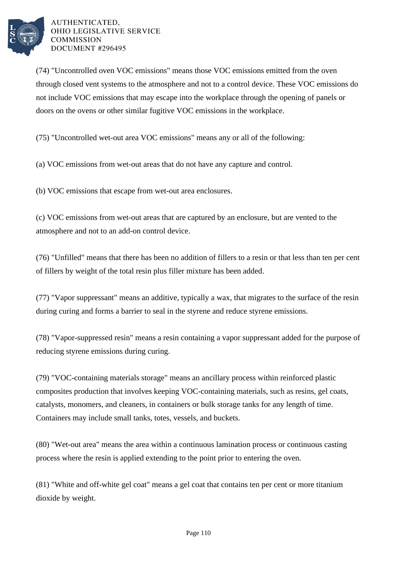

(74) "Uncontrolled oven VOC emissions" means those VOC emissions emitted from the oven through closed vent systems to the atmosphere and not to a control device. These VOC emissions do not include VOC emissions that may escape into the workplace through the opening of panels or doors on the ovens or other similar fugitive VOC emissions in the workplace.

(75) "Uncontrolled wet-out area VOC emissions" means any or all of the following:

(a) VOC emissions from wet-out areas that do not have any capture and control.

(b) VOC emissions that escape from wet-out area enclosures.

(c) VOC emissions from wet-out areas that are captured by an enclosure, but are vented to the atmosphere and not to an add-on control device.

(76) "Unfilled" means that there has been no addition of fillers to a resin or that less than ten per cent of fillers by weight of the total resin plus filler mixture has been added.

(77) "Vapor suppressant" means an additive, typically a wax, that migrates to the surface of the resin during curing and forms a barrier to seal in the styrene and reduce styrene emissions.

(78) "Vapor-suppressed resin" means a resin containing a vapor suppressant added for the purpose of reducing styrene emissions during curing.

(79) "VOC-containing materials storage" means an ancillary process within reinforced plastic composites production that involves keeping VOC-containing materials, such as resins, gel coats, catalysts, monomers, and cleaners, in containers or bulk storage tanks for any length of time. Containers may include small tanks, totes, vessels, and buckets.

(80) "Wet-out area" means the area within a continuous lamination process or continuous casting process where the resin is applied extending to the point prior to entering the oven.

(81) "White and off-white gel coat" means a gel coat that contains ten per cent or more titanium dioxide by weight.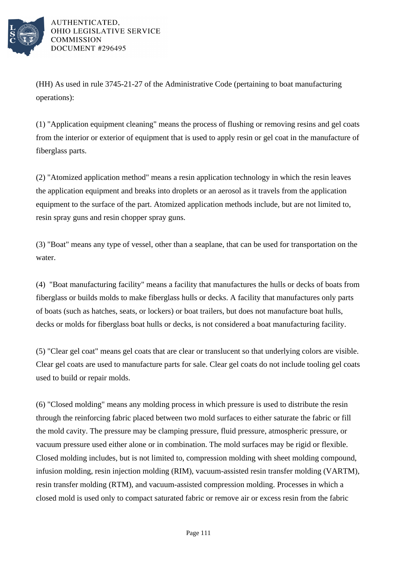

(HH) As used in rule 3745-21-27 of the Administrative Code (pertaining to boat manufacturing operations):

(1) "Application equipment cleaning" means the process of flushing or removing resins and gel coats from the interior or exterior of equipment that is used to apply resin or gel coat in the manufacture of fiberglass parts.

(2) "Atomized application method" means a resin application technology in which the resin leaves the application equipment and breaks into droplets or an aerosol as it travels from the application equipment to the surface of the part. Atomized application methods include, but are not limited to, resin spray guns and resin chopper spray guns.

(3) "Boat" means any type of vessel, other than a seaplane, that can be used for transportation on the water.

(4) "Boat manufacturing facility" means a facility that manufactures the hulls or decks of boats from fiberglass or builds molds to make fiberglass hulls or decks. A facility that manufactures only parts of boats (such as hatches, seats, or lockers) or boat trailers, but does not manufacture boat hulls, decks or molds for fiberglass boat hulls or decks, is not considered a boat manufacturing facility.

(5) "Clear gel coat" means gel coats that are clear or translucent so that underlying colors are visible. Clear gel coats are used to manufacture parts for sale. Clear gel coats do not include tooling gel coats used to build or repair molds.

(6) "Closed molding" means any molding process in which pressure is used to distribute the resin through the reinforcing fabric placed between two mold surfaces to either saturate the fabric or fill the mold cavity. The pressure may be clamping pressure, fluid pressure, atmospheric pressure, or vacuum pressure used either alone or in combination. The mold surfaces may be rigid or flexible. Closed molding includes, but is not limited to, compression molding with sheet molding compound, infusion molding, resin injection molding (RIM), vacuum-assisted resin transfer molding (VARTM), resin transfer molding (RTM), and vacuum-assisted compression molding. Processes in which a closed mold is used only to compact saturated fabric or remove air or excess resin from the fabric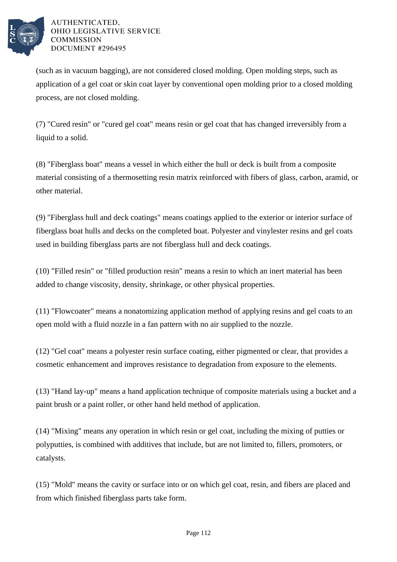

(such as in vacuum bagging), are not considered closed molding. Open molding steps, such as application of a gel coat or skin coat layer by conventional open molding prior to a closed molding process, are not closed molding.

(7) "Cured resin" or "cured gel coat" means resin or gel coat that has changed irreversibly from a liquid to a solid.

(8) "Fiberglass boat" means a vessel in which either the hull or deck is built from a composite material consisting of a thermosetting resin matrix reinforced with fibers of glass, carbon, aramid, or other material.

(9) "Fiberglass hull and deck coatings" means coatings applied to the exterior or interior surface of fiberglass boat hulls and decks on the completed boat. Polyester and vinylester resins and gel coats used in building fiberglass parts are not fiberglass hull and deck coatings.

(10) "Filled resin" or "filled production resin" means a resin to which an inert material has been added to change viscosity, density, shrinkage, or other physical properties.

(11) "Flowcoater" means a nonatomizing application method of applying resins and gel coats to an open mold with a fluid nozzle in a fan pattern with no air supplied to the nozzle.

(12) "Gel coat" means a polyester resin surface coating, either pigmented or clear, that provides a cosmetic enhancement and improves resistance to degradation from exposure to the elements.

(13) "Hand lay-up" means a hand application technique of composite materials using a bucket and a paint brush or a paint roller, or other hand held method of application.

(14) "Mixing" means any operation in which resin or gel coat, including the mixing of putties or polyputties, is combined with additives that include, but are not limited to, fillers, promoters, or catalysts.

(15) "Mold" means the cavity or surface into or on which gel coat, resin, and fibers are placed and from which finished fiberglass parts take form.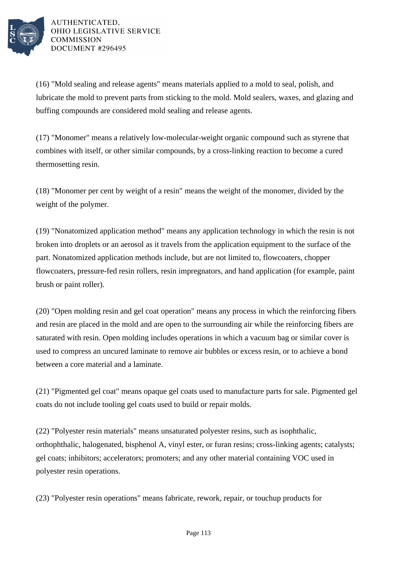

(16) "Mold sealing and release agents" means materials applied to a mold to seal, polish, and lubricate the mold to prevent parts from sticking to the mold. Mold sealers, waxes, and glazing and buffing compounds are considered mold sealing and release agents.

(17) "Monomer" means a relatively low-molecular-weight organic compound such as styrene that combines with itself, or other similar compounds, by a cross-linking reaction to become a cured thermosetting resin.

(18) "Monomer per cent by weight of a resin" means the weight of the monomer, divided by the weight of the polymer.

(19) "Nonatomized application method" means any application technology in which the resin is not broken into droplets or an aerosol as it travels from the application equipment to the surface of the part. Nonatomized application methods include, but are not limited to, flowcoaters, chopper flowcoaters, pressure-fed resin rollers, resin impregnators, and hand application (for example, paint brush or paint roller).

(20) "Open molding resin and gel coat operation" means any process in which the reinforcing fibers and resin are placed in the mold and are open to the surrounding air while the reinforcing fibers are saturated with resin. Open molding includes operations in which a vacuum bag or similar cover is used to compress an uncured laminate to remove air bubbles or excess resin, or to achieve a bond between a core material and a laminate.

(21) "Pigmented gel coat" means opaque gel coats used to manufacture parts for sale. Pigmented gel coats do not include tooling gel coats used to build or repair molds.

(22) "Polyester resin materials" means unsaturated polyester resins, such as isophthalic, orthophthalic, halogenated, bisphenol A, vinyl ester, or furan resins; cross-linking agents; catalysts; gel coats; inhibitors; accelerators; promoters; and any other material containing VOC used in polyester resin operations.

(23) "Polyester resin operations" means fabricate, rework, repair, or touchup products for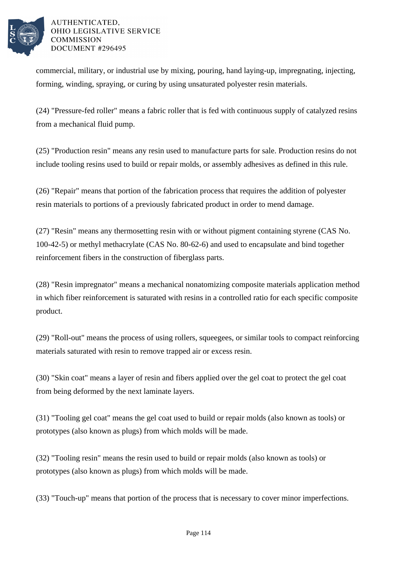

commercial, military, or industrial use by mixing, pouring, hand laying-up, impregnating, injecting, forming, winding, spraying, or curing by using unsaturated polyester resin materials.

(24) "Pressure-fed roller" means a fabric roller that is fed with continuous supply of catalyzed resins from a mechanical fluid pump.

(25) "Production resin" means any resin used to manufacture parts for sale. Production resins do not include tooling resins used to build or repair molds, or assembly adhesives as defined in this rule.

(26) "Repair" means that portion of the fabrication process that requires the addition of polyester resin materials to portions of a previously fabricated product in order to mend damage.

(27) "Resin" means any thermosetting resin with or without pigment containing styrene (CAS No. 100-42-5) or methyl methacrylate (CAS No. 80-62-6) and used to encapsulate and bind together reinforcement fibers in the construction of fiberglass parts.

(28) "Resin impregnator" means a mechanical nonatomizing composite materials application method in which fiber reinforcement is saturated with resins in a controlled ratio for each specific composite product.

(29) "Roll-out" means the process of using rollers, squeegees, or similar tools to compact reinforcing materials saturated with resin to remove trapped air or excess resin.

(30) "Skin coat" means a layer of resin and fibers applied over the gel coat to protect the gel coat from being deformed by the next laminate layers.

(31) "Tooling gel coat" means the gel coat used to build or repair molds (also known as tools) or prototypes (also known as plugs) from which molds will be made.

(32) "Tooling resin" means the resin used to build or repair molds (also known as tools) or prototypes (also known as plugs) from which molds will be made.

(33) "Touch-up" means that portion of the process that is necessary to cover minor imperfections.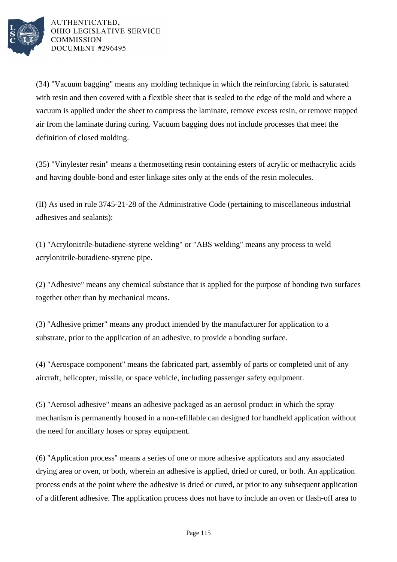

(34) "Vacuum bagging" means any molding technique in which the reinforcing fabric is saturated with resin and then covered with a flexible sheet that is sealed to the edge of the mold and where a vacuum is applied under the sheet to compress the laminate, remove excess resin, or remove trapped air from the laminate during curing. Vacuum bagging does not include processes that meet the definition of closed molding.

(35) "Vinylester resin" means a thermosetting resin containing esters of acrylic or methacrylic acids and having double-bond and ester linkage sites only at the ends of the resin molecules.

(II) As used in rule 3745-21-28 of the Administrative Code (pertaining to miscellaneous industrial adhesives and sealants):

(1) "Acrylonitrile-butadiene-styrene welding" or "ABS welding" means any process to weld acrylonitrile-butadiene-styrene pipe.

(2) "Adhesive" means any chemical substance that is applied for the purpose of bonding two surfaces together other than by mechanical means.

(3) "Adhesive primer" means any product intended by the manufacturer for application to a substrate, prior to the application of an adhesive, to provide a bonding surface.

(4) "Aerospace component" means the fabricated part, assembly of parts or completed unit of any aircraft, helicopter, missile, or space vehicle, including passenger safety equipment.

(5) "Aerosol adhesive" means an adhesive packaged as an aerosol product in which the spray mechanism is permanently housed in a non-refillable can designed for handheld application without the need for ancillary hoses or spray equipment.

(6) "Application process" means a series of one or more adhesive applicators and any associated drying area or oven, or both, wherein an adhesive is applied, dried or cured, or both. An application process ends at the point where the adhesive is dried or cured, or prior to any subsequent application of a different adhesive. The application process does not have to include an oven or flash-off area to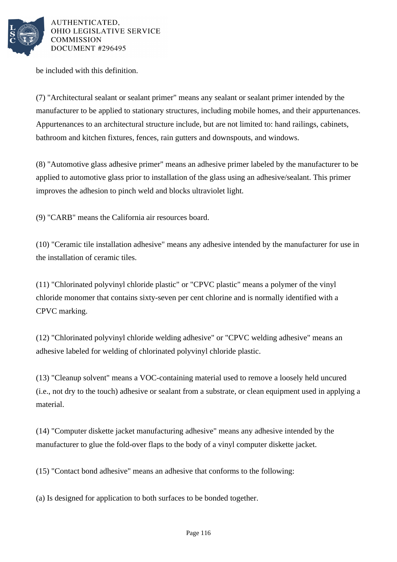

be included with this definition.

(7) "Architectural sealant or sealant primer" means any sealant or sealant primer intended by the manufacturer to be applied to stationary structures, including mobile homes, and their appurtenances. Appurtenances to an architectural structure include, but are not limited to: hand railings, cabinets, bathroom and kitchen fixtures, fences, rain gutters and downspouts, and windows.

(8) "Automotive glass adhesive primer" means an adhesive primer labeled by the manufacturer to be applied to automotive glass prior to installation of the glass using an adhesive/sealant. This primer improves the adhesion to pinch weld and blocks ultraviolet light.

(9) "CARB" means the California air resources board.

(10) "Ceramic tile installation adhesive" means any adhesive intended by the manufacturer for use in the installation of ceramic tiles.

(11) "Chlorinated polyvinyl chloride plastic" or "CPVC plastic" means a polymer of the vinyl chloride monomer that contains sixty-seven per cent chlorine and is normally identified with a CPVC marking.

(12) "Chlorinated polyvinyl chloride welding adhesive" or "CPVC welding adhesive" means an adhesive labeled for welding of chlorinated polyvinyl chloride plastic.

(13) "Cleanup solvent" means a VOC-containing material used to remove a loosely held uncured (i.e., not dry to the touch) adhesive or sealant from a substrate, or clean equipment used in applying a material.

(14) "Computer diskette jacket manufacturing adhesive" means any adhesive intended by the manufacturer to glue the fold-over flaps to the body of a vinyl computer diskette jacket.

(15) "Contact bond adhesive" means an adhesive that conforms to the following:

(a) Is designed for application to both surfaces to be bonded together.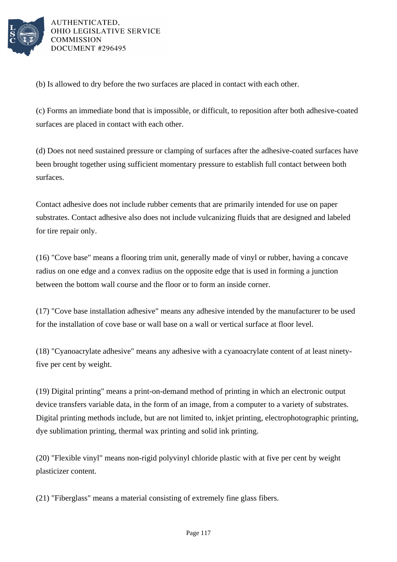

(b) Is allowed to dry before the two surfaces are placed in contact with each other.

(c) Forms an immediate bond that is impossible, or difficult, to reposition after both adhesive-coated surfaces are placed in contact with each other.

(d) Does not need sustained pressure or clamping of surfaces after the adhesive-coated surfaces have been brought together using sufficient momentary pressure to establish full contact between both surfaces.

Contact adhesive does not include rubber cements that are primarily intended for use on paper substrates. Contact adhesive also does not include vulcanizing fluids that are designed and labeled for tire repair only.

(16) "Cove base" means a flooring trim unit, generally made of vinyl or rubber, having a concave radius on one edge and a convex radius on the opposite edge that is used in forming a junction between the bottom wall course and the floor or to form an inside corner.

(17) "Cove base installation adhesive" means any adhesive intended by the manufacturer to be used for the installation of cove base or wall base on a wall or vertical surface at floor level.

(18) "Cyanoacrylate adhesive" means any adhesive with a cyanoacrylate content of at least ninetyfive per cent by weight.

(19) Digital printing" means a print-on-demand method of printing in which an electronic output device transfers variable data, in the form of an image, from a computer to a variety of substrates. Digital printing methods include, but are not limited to, inkjet printing, electrophotographic printing, dye sublimation printing, thermal wax printing and solid ink printing.

(20) "Flexible vinyl" means non-rigid polyvinyl chloride plastic with at five per cent by weight plasticizer content.

(21) "Fiberglass" means a material consisting of extremely fine glass fibers.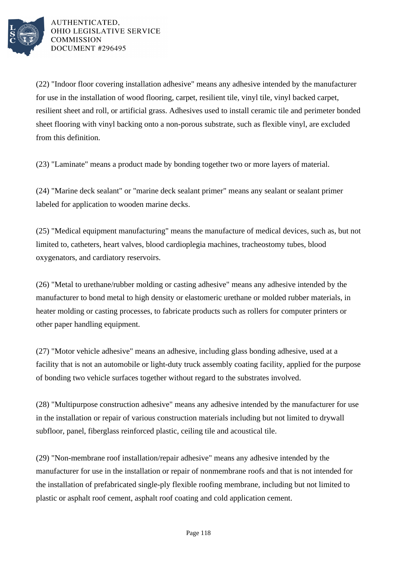

(22) "Indoor floor covering installation adhesive" means any adhesive intended by the manufacturer for use in the installation of wood flooring, carpet, resilient tile, vinyl tile, vinyl backed carpet, resilient sheet and roll, or artificial grass. Adhesives used to install ceramic tile and perimeter bonded sheet flooring with vinyl backing onto a non-porous substrate, such as flexible vinyl, are excluded from this definition.

(23) "Laminate" means a product made by bonding together two or more layers of material.

(24) "Marine deck sealant" or "marine deck sealant primer" means any sealant or sealant primer labeled for application to wooden marine decks.

(25) "Medical equipment manufacturing" means the manufacture of medical devices, such as, but not limited to, catheters, heart valves, blood cardioplegia machines, tracheostomy tubes, blood oxygenators, and cardiatory reservoirs.

(26) "Metal to urethane/rubber molding or casting adhesive" means any adhesive intended by the manufacturer to bond metal to high density or elastomeric urethane or molded rubber materials, in heater molding or casting processes, to fabricate products such as rollers for computer printers or other paper handling equipment.

(27) "Motor vehicle adhesive" means an adhesive, including glass bonding adhesive, used at a facility that is not an automobile or light-duty truck assembly coating facility, applied for the purpose of bonding two vehicle surfaces together without regard to the substrates involved.

(28) "Multipurpose construction adhesive" means any adhesive intended by the manufacturer for use in the installation or repair of various construction materials including but not limited to drywall subfloor, panel, fiberglass reinforced plastic, ceiling tile and acoustical tile.

(29) "Non-membrane roof installation/repair adhesive" means any adhesive intended by the manufacturer for use in the installation or repair of nonmembrane roofs and that is not intended for the installation of prefabricated single-ply flexible roofing membrane, including but not limited to plastic or asphalt roof cement, asphalt roof coating and cold application cement.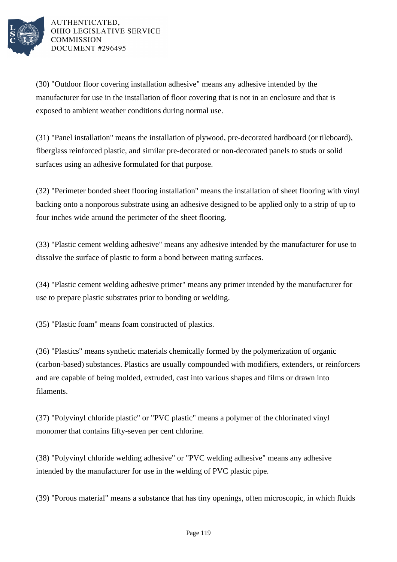

(30) "Outdoor floor covering installation adhesive" means any adhesive intended by the manufacturer for use in the installation of floor covering that is not in an enclosure and that is exposed to ambient weather conditions during normal use.

(31) "Panel installation" means the installation of plywood, pre-decorated hardboard (or tileboard), fiberglass reinforced plastic, and similar pre-decorated or non-decorated panels to studs or solid surfaces using an adhesive formulated for that purpose.

(32) "Perimeter bonded sheet flooring installation" means the installation of sheet flooring with vinyl backing onto a nonporous substrate using an adhesive designed to be applied only to a strip of up to four inches wide around the perimeter of the sheet flooring.

(33) "Plastic cement welding adhesive" means any adhesive intended by the manufacturer for use to dissolve the surface of plastic to form a bond between mating surfaces.

(34) "Plastic cement welding adhesive primer" means any primer intended by the manufacturer for use to prepare plastic substrates prior to bonding or welding.

(35) "Plastic foam" means foam constructed of plastics.

(36) "Plastics" means synthetic materials chemically formed by the polymerization of organic (carbon-based) substances. Plastics are usually compounded with modifiers, extenders, or reinforcers and are capable of being molded, extruded, cast into various shapes and films or drawn into filaments.

(37) "Polyvinyl chloride plastic" or "PVC plastic" means a polymer of the chlorinated vinyl monomer that contains fifty-seven per cent chlorine.

(38) "Polyvinyl chloride welding adhesive" or "PVC welding adhesive" means any adhesive intended by the manufacturer for use in the welding of PVC plastic pipe.

(39) "Porous material" means a substance that has tiny openings, often microscopic, in which fluids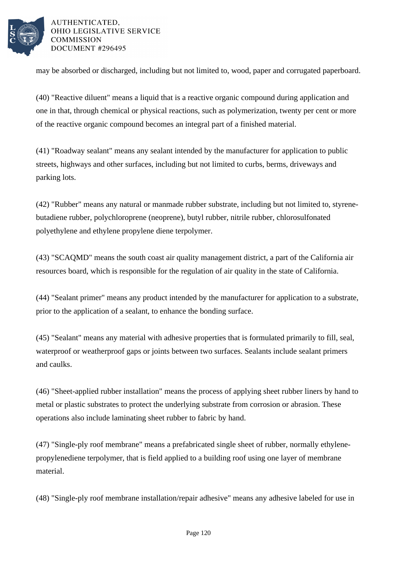

may be absorbed or discharged, including but not limited to, wood, paper and corrugated paperboard.

(40) "Reactive diluent" means a liquid that is a reactive organic compound during application and one in that, through chemical or physical reactions, such as polymerization, twenty per cent or more of the reactive organic compound becomes an integral part of a finished material.

(41) "Roadway sealant" means any sealant intended by the manufacturer for application to public streets, highways and other surfaces, including but not limited to curbs, berms, driveways and parking lots.

(42) "Rubber" means any natural or manmade rubber substrate, including but not limited to, styrenebutadiene rubber, polychloroprene (neoprene), butyl rubber, nitrile rubber, chlorosulfonated polyethylene and ethylene propylene diene terpolymer.

(43) "SCAQMD" means the south coast air quality management district, a part of the California air resources board, which is responsible for the regulation of air quality in the state of California.

(44) "Sealant primer" means any product intended by the manufacturer for application to a substrate, prior to the application of a sealant, to enhance the bonding surface.

(45) "Sealant" means any material with adhesive properties that is formulated primarily to fill, seal, waterproof or weatherproof gaps or joints between two surfaces. Sealants include sealant primers and caulks.

(46) "Sheet-applied rubber installation" means the process of applying sheet rubber liners by hand to metal or plastic substrates to protect the underlying substrate from corrosion or abrasion. These operations also include laminating sheet rubber to fabric by hand.

(47) "Single-ply roof membrane" means a prefabricated single sheet of rubber, normally ethylenepropylenediene terpolymer, that is field applied to a building roof using one layer of membrane material.

(48) "Single-ply roof membrane installation/repair adhesive" means any adhesive labeled for use in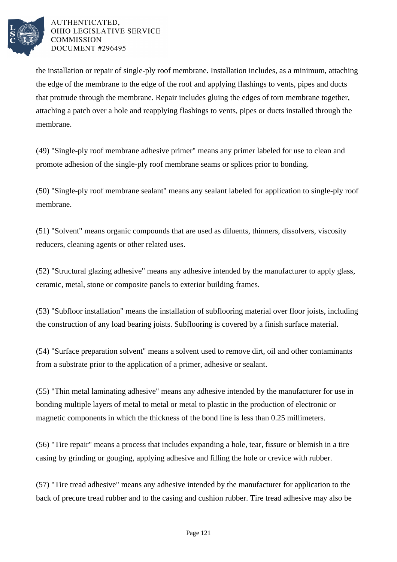

the installation or repair of single-ply roof membrane. Installation includes, as a minimum, attaching the edge of the membrane to the edge of the roof and applying flashings to vents, pipes and ducts that protrude through the membrane. Repair includes gluing the edges of torn membrane together, attaching a patch over a hole and reapplying flashings to vents, pipes or ducts installed through the membrane.

(49) "Single-ply roof membrane adhesive primer" means any primer labeled for use to clean and promote adhesion of the single-ply roof membrane seams or splices prior to bonding.

(50) "Single-ply roof membrane sealant" means any sealant labeled for application to single-ply roof membrane.

(51) "Solvent" means organic compounds that are used as diluents, thinners, dissolvers, viscosity reducers, cleaning agents or other related uses.

(52) "Structural glazing adhesive" means any adhesive intended by the manufacturer to apply glass, ceramic, metal, stone or composite panels to exterior building frames.

(53) "Subfloor installation" means the installation of subflooring material over floor joists, including the construction of any load bearing joists. Subflooring is covered by a finish surface material.

(54) "Surface preparation solvent" means a solvent used to remove dirt, oil and other contaminants from a substrate prior to the application of a primer, adhesive or sealant.

(55) "Thin metal laminating adhesive" means any adhesive intended by the manufacturer for use in bonding multiple layers of metal to metal or metal to plastic in the production of electronic or magnetic components in which the thickness of the bond line is less than 0.25 millimeters.

(56) "Tire repair" means a process that includes expanding a hole, tear, fissure or blemish in a tire casing by grinding or gouging, applying adhesive and filling the hole or crevice with rubber.

(57) "Tire tread adhesive" means any adhesive intended by the manufacturer for application to the back of precure tread rubber and to the casing and cushion rubber. Tire tread adhesive may also be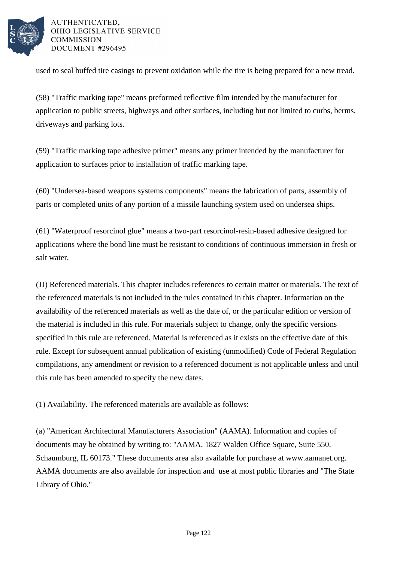

used to seal buffed tire casings to prevent oxidation while the tire is being prepared for a new tread.

(58) "Traffic marking tape" means preformed reflective film intended by the manufacturer for application to public streets, highways and other surfaces, including but not limited to curbs, berms, driveways and parking lots.

(59) "Traffic marking tape adhesive primer" means any primer intended by the manufacturer for application to surfaces prior to installation of traffic marking tape.

(60) "Undersea-based weapons systems components" means the fabrication of parts, assembly of parts or completed units of any portion of a missile launching system used on undersea ships.

(61) "Waterproof resorcinol glue" means a two-part resorcinol-resin-based adhesive designed for applications where the bond line must be resistant to conditions of continuous immersion in fresh or salt water.

(JJ) Referenced materials. This chapter includes references to certain matter or materials. The text of the referenced materials is not included in the rules contained in this chapter. Information on the availability of the referenced materials as well as the date of, or the particular edition or version of the material is included in this rule. For materials subject to change, only the specific versions specified in this rule are referenced. Material is referenced as it exists on the effective date of this rule. Except for subsequent annual publication of existing (unmodified) Code of Federal Regulation compilations, any amendment or revision to a referenced document is not applicable unless and until this rule has been amended to specify the new dates.

(1) Availability. The referenced materials are available as follows:

(a) "American Architectural Manufacturers Association" (AAMA). Information and copies of documents may be obtained by writing to: "AAMA, 1827 Walden Office Square, Suite 550, Schaumburg, IL 60173." These documents area also available for purchase at www.aamanet.org. AAMA documents are also available for inspection and use at most public libraries and "The State Library of Ohio."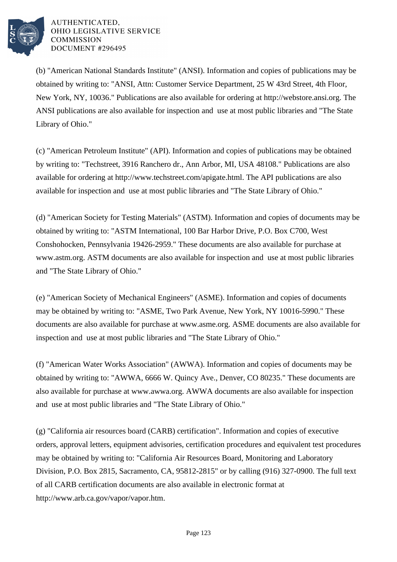

(b) "American National Standards Institute" (ANSI). Information and copies of publications may be obtained by writing to: "ANSI, Attn: Customer Service Department, 25 W 43rd Street, 4th Floor, New York, NY, 10036." Publications are also available for ordering at http://webstore.ansi.org. The ANSI publications are also available for inspection and use at most public libraries and "The State Library of Ohio."

(c) "American Petroleum Institute" (API). Information and copies of publications may be obtained by writing to: "Techstreet, 3916 Ranchero dr., Ann Arbor, MI, USA 48108." Publications are also available for ordering at http://www.techstreet.com/apigate.html. The API publications are also available for inspection and use at most public libraries and "The State Library of Ohio."

(d) "American Society for Testing Materials" (ASTM). Information and copies of documents may be obtained by writing to: "ASTM International, 100 Bar Harbor Drive, P.O. Box C700, West Conshohocken, Pennsylvania 19426-2959." These documents are also available for purchase at www.astm.org. ASTM documents are also available for inspection and use at most public libraries and "The State Library of Ohio."

(e) "American Society of Mechanical Engineers" (ASME). Information and copies of documents may be obtained by writing to: "ASME, Two Park Avenue, New York, NY 10016-5990." These documents are also available for purchase at www.asme.org. ASME documents are also available for inspection and use at most public libraries and "The State Library of Ohio."

(f) "American Water Works Association" (AWWA). Information and copies of documents may be obtained by writing to: "AWWA, 6666 W. Quincy Ave., Denver, CO 80235." These documents are also available for purchase at www.awwa.org. AWWA documents are also available for inspection and use at most public libraries and "The State Library of Ohio."

(g) "California air resources board (CARB) certification". Information and copies of executive orders, approval letters, equipment advisories, certification procedures and equivalent test procedures may be obtained by writing to: "California Air Resources Board, Monitoring and Laboratory Division, P.O. Box 2815, Sacramento, CA, 95812-2815" or by calling (916) 327-0900. The full text of all CARB certification documents are also available in electronic format at http://www.arb.ca.gov/vapor/vapor.htm.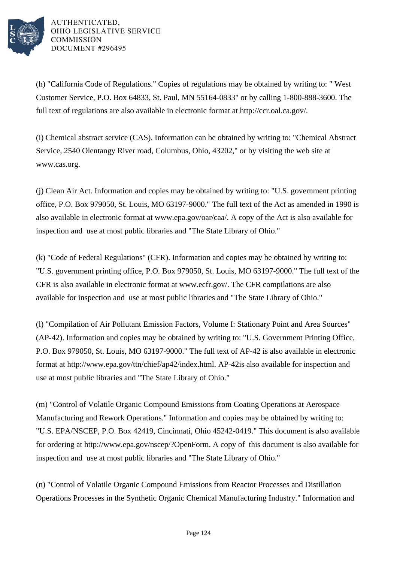

(h) "California Code of Regulations." Copies of regulations may be obtained by writing to: " West Customer Service, P.O. Box 64833, St. Paul, MN 55164-0833" or by calling 1-800-888-3600. The full text of regulations are also available in electronic format at http://ccr.oal.ca.gov/.

(i) Chemical abstract service (CAS). Information can be obtained by writing to: "Chemical Abstract Service, 2540 Olentangy River road, Columbus, Ohio, 43202," or by visiting the web site at www.cas.org.

(j) Clean Air Act. Information and copies may be obtained by writing to: "U.S. government printing office, P.O. Box 979050, St. Louis, MO 63197-9000." The full text of the Act as amended in 1990 is also available in electronic format at www.epa.gov/oar/caa/. A copy of the Act is also available for inspection and use at most public libraries and "The State Library of Ohio."

(k) "Code of Federal Regulations" (CFR). Information and copies may be obtained by writing to: "U.S. government printing office, P.O. Box 979050, St. Louis, MO 63197-9000." The full text of the CFR is also available in electronic format at www.ecfr.gov/. The CFR compilations are also available for inspection and use at most public libraries and "The State Library of Ohio."

(l) "Compilation of Air Pollutant Emission Factors, Volume I: Stationary Point and Area Sources" (AP-42). Information and copies may be obtained by writing to: "U.S. Government Printing Office, P.O. Box 979050, St. Louis, MO 63197-9000." The full text of AP-42 is also available in electronic format at http://www.epa.gov/ttn/chief/ap42/index.html. AP-42is also available for inspection and use at most public libraries and "The State Library of Ohio."

(m) "Control of Volatile Organic Compound Emissions from Coating Operations at Aerospace Manufacturing and Rework Operations." Information and copies may be obtained by writing to: "U.S. EPA/NSCEP, P.O. Box 42419, Cincinnati, Ohio 45242-0419." This document is also available for ordering at http://www.epa.gov/nscep/?OpenForm. A copy of this document is also available for inspection and use at most public libraries and "The State Library of Ohio."

(n) "Control of Volatile Organic Compound Emissions from Reactor Processes and Distillation Operations Processes in the Synthetic Organic Chemical Manufacturing Industry." Information and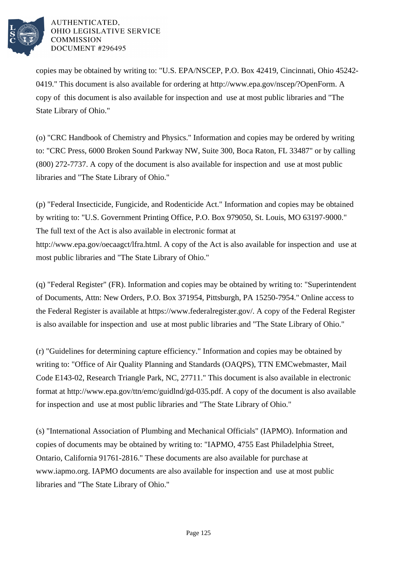

copies may be obtained by writing to: "U.S. EPA/NSCEP, P.O. Box 42419, Cincinnati, Ohio 45242- 0419." This document is also available for ordering at http://www.epa.gov/nscep/?OpenForm. A copy of this document is also available for inspection and use at most public libraries and "The State Library of Ohio."

(o) "CRC Handbook of Chemistry and Physics." Information and copies may be ordered by writing to: "CRC Press, 6000 Broken Sound Parkway NW, Suite 300, Boca Raton, FL 33487" or by calling (800) 272-7737. A copy of the document is also available for inspection and use at most public libraries and "The State Library of Ohio."

(p) "Federal Insecticide, Fungicide, and Rodenticide Act." Information and copies may be obtained by writing to: "U.S. Government Printing Office, P.O. Box 979050, St. Louis, MO 63197-9000." The full text of the Act is also available in electronic format at http://www.epa.gov/oecaagct/lfra.html. A copy of the Act is also available for inspection and use at most public libraries and "The State Library of Ohio."

(q) "Federal Register" (FR). Information and copies may be obtained by writing to: "Superintendent of Documents, Attn: New Orders, P.O. Box 371954, Pittsburgh, PA 15250-7954." Online access to the Federal Register is available at https://www.federalregister.gov/. A copy of the Federal Register is also available for inspection and use at most public libraries and "The State Library of Ohio."

(r) "Guidelines for determining capture efficiency." Information and copies may be obtained by writing to: "Office of Air Quality Planning and Standards (OAQPS), TTN EMCwebmaster, Mail Code E143-02, Research Triangle Park, NC, 27711." This document is also available in electronic format at http://www.epa.gov/ttn/emc/guidlnd/gd-035.pdf. A copy of the document is also available for inspection and use at most public libraries and "The State Library of Ohio."

(s) "International Association of Plumbing and Mechanical Officials" (IAPMO). Information and copies of documents may be obtained by writing to: "IAPMO, 4755 East Philadelphia Street, Ontario, California 91761-2816." These documents are also available for purchase at www.iapmo.org. IAPMO documents are also available for inspection and use at most public libraries and "The State Library of Ohio."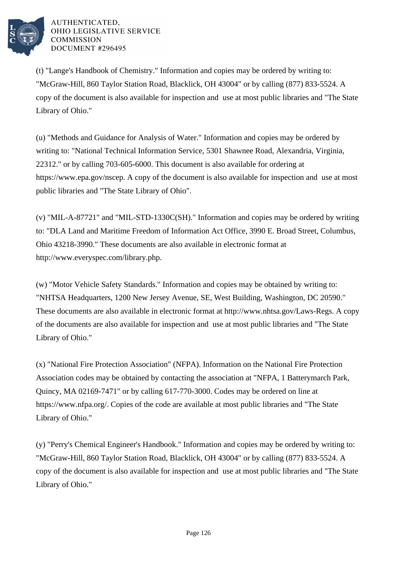

(t) "Lange's Handbook of Chemistry." Information and copies may be ordered by writing to: "McGraw-Hill, 860 Taylor Station Road, Blacklick, OH 43004" or by calling (877) 833-5524. A copy of the document is also available for inspection and use at most public libraries and "The State Library of Ohio."

(u) "Methods and Guidance for Analysis of Water." Information and copies may be ordered by writing to: "National Technical Information Service, 5301 Shawnee Road, Alexandria, Virginia, 22312." or by calling 703-605-6000. This document is also available for ordering at https://www.epa.gov/nscep. A copy of the document is also available for inspection and use at most public libraries and "The State Library of Ohio".

(v) "MIL-A-87721" and "MIL-STD-1330C(SH)." Information and copies may be ordered by writing to: "DLA Land and Maritime Freedom of Information Act Office, 3990 E. Broad Street, Columbus, Ohio 43218-3990." These documents are also available in electronic format at http://www.everyspec.com/library.php.

(w) "Motor Vehicle Safety Standards." Information and copies may be obtained by writing to: "NHTSA Headquarters, 1200 New Jersey Avenue, SE, West Building, Washington, DC 20590." These documents are also available in electronic format at http://www.nhtsa.gov/Laws-Regs. A copy of the documents are also available for inspection and use at most public libraries and "The State Library of Ohio."

(x) "National Fire Protection Association" (NFPA). Information on the National Fire Protection Association codes may be obtained by contacting the association at "NFPA, 1 Batterymarch Park, Quincy, MA 02169-7471" or by calling 617-770-3000. Codes may be ordered on line at https://www.nfpa.org/. Copies of the code are available at most public libraries and "The State Library of Ohio."

(y) "Perry's Chemical Engineer's Handbook." Information and copies may be ordered by writing to: "McGraw-Hill, 860 Taylor Station Road, Blacklick, OH 43004" or by calling (877) 833-5524. A copy of the document is also available for inspection and use at most public libraries and "The State Library of Ohio."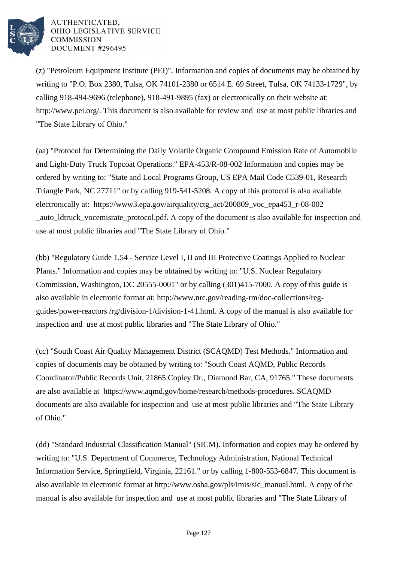

(z) "Petroleum Equipment Institute (PEI)". Information and copies of documents may be obtained by writing to "P.O. Box 2380, Tulsa, OK 74101-2380 or 6514 E. 69 Street, Tulsa, OK 74133-1729", by calling 918-494-9696 (telephone), 918-491-9895 (fax) or electronically on their website at: http://www.pei.org/. This document is also available for review and use at most public libraries and "The State Library of Ohio."

(aa) "Protocol for Determining the Daily Volatile Organic Compound Emission Rate of Automobile and Light-Duty Truck Topcoat Operations." EPA-453/R-08-002 Information and copies may be ordered by writing to: "State and Local Programs Group, US EPA Mail Code C539-01, Research Triangle Park, NC 27711" or by calling 919-541-5208. A copy of this protocol is also available electronically at: https://www3.epa.gov/airquality/ctg\_act/200809\_voc\_epa453\_r-08-002 \_auto\_ldtruck\_vocemisrate\_protocol.pdf. A copy of the document is also available for inspection and use at most public libraries and "The State Library of Ohio."

(bb) "Regulatory Guide 1.54 - Service Level I, II and III Protective Coatings Applied to Nuclear Plants." Information and copies may be obtained by writing to: "U.S. Nuclear Regulatory Commission, Washington, DC 20555-0001" or by calling (301)415-7000. A copy of this guide is also available in electronic format at: http://www.nrc.gov/reading-rm/doc-collections/regguides/power-reactors /rg/division-1/division-1-41.html. A copy of the manual is also available for inspection and use at most public libraries and "The State Library of Ohio."

(cc) "South Coast Air Quality Management District (SCAQMD) Test Methods." Information and copies of documents may be obtained by writing to: "South Coast AQMD, Public Records Coordinator/Public Records Unit, 21865 Copley Dr., Diamond Bar, CA, 91765." These documents are also available at https://www.aqmd.gov/home/research/methods-procedures. SCAQMD documents are also available for inspection and use at most public libraries and "The State Library of Ohio."

(dd) "Standard Industrial Classification Manual" (SICM). Information and copies may be ordered by writing to: "U.S. Department of Commerce, Technology Administration, National Technical Information Service, Springfield, Virginia, 22161." or by calling 1-800-553-6847. This document is also available in electronic format at http://www.osha.gov/pls/imis/sic\_manual.html. A copy of the manual is also available for inspection and use at most public libraries and "The State Library of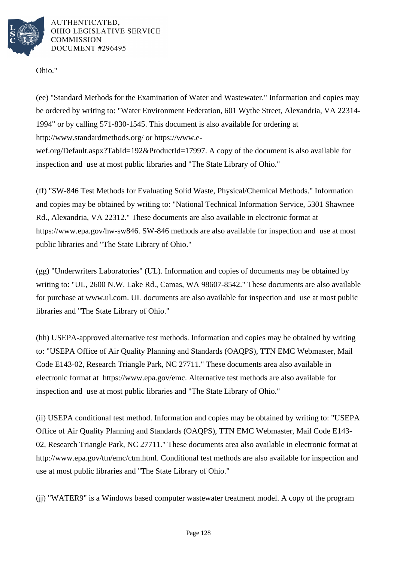

Ohio."

(ee) "Standard Methods for the Examination of Water and Wastewater." Information and copies may be ordered by writing to: "Water Environment Federation, 601 Wythe Street, Alexandria, VA 22314- 1994" or by calling 571-830-1545. This document is also available for ordering at http://www.standardmethods.org/ or https://www.e-

wef.org/Default.aspx?TabId=192&ProductId=17997. A copy of the document is also available for inspection and use at most public libraries and "The State Library of Ohio."

(ff) "SW-846 Test Methods for Evaluating Solid Waste, Physical/Chemical Methods." Information and copies may be obtained by writing to: "National Technical Information Service, 5301 Shawnee Rd., Alexandria, VA 22312." These documents are also available in electronic format at https://www.epa.gov/hw-sw846. SW-846 methods are also available for inspection and use at most public libraries and "The State Library of Ohio."

(gg) "Underwriters Laboratories" (UL). Information and copies of documents may be obtained by writing to: "UL, 2600 N.W. Lake Rd., Camas, WA 98607-8542." These documents are also available for purchase at www.ul.com. UL documents are also available for inspection and use at most public libraries and "The State Library of Ohio."

(hh) USEPA-approved alternative test methods. Information and copies may be obtained by writing to: "USEPA Office of Air Quality Planning and Standards (OAQPS), TTN EMC Webmaster, Mail Code E143-02, Research Triangle Park, NC 27711." These documents area also available in electronic format at https://www.epa.gov/emc. Alternative test methods are also available for inspection and use at most public libraries and "The State Library of Ohio."

(ii) USEPA conditional test method. Information and copies may be obtained by writing to: "USEPA Office of Air Quality Planning and Standards (OAQPS), TTN EMC Webmaster, Mail Code E143- 02, Research Triangle Park, NC 27711." These documents area also available in electronic format at http://www.epa.gov/ttn/emc/ctm.html. Conditional test methods are also available for inspection and use at most public libraries and "The State Library of Ohio."

(jj) "WATER9" is a Windows based computer wastewater treatment model. A copy of the program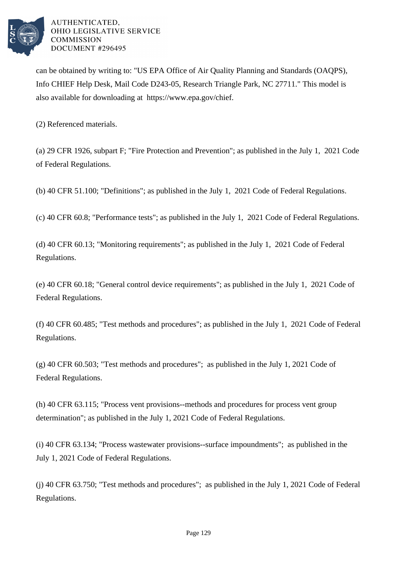

can be obtained by writing to: "US EPA Office of Air Quality Planning and Standards (OAQPS), Info CHIEF Help Desk, Mail Code D243-05, Research Triangle Park, NC 27711." This model is also available for downloading at https://www.epa.gov/chief.

(2) Referenced materials.

(a) 29 CFR 1926, subpart F; "Fire Protection and Prevention"; as published in the July 1, 2021 Code of Federal Regulations.

(b) 40 CFR 51.100; "Definitions"; as published in the July 1, 2021 Code of Federal Regulations.

(c) 40 CFR 60.8; "Performance tests"; as published in the July 1, 2021 Code of Federal Regulations.

(d) 40 CFR 60.13; "Monitoring requirements"; as published in the July 1, 2021 Code of Federal Regulations.

(e) 40 CFR 60.18; "General control device requirements"; as published in the July 1, 2021 Code of Federal Regulations.

(f) 40 CFR 60.485; "Test methods and procedures"; as published in the July 1, 2021 Code of Federal Regulations.

(g) 40 CFR 60.503; "Test methods and procedures"; as published in the July 1, 2021 Code of Federal Regulations.

(h) 40 CFR 63.115; "Process vent provisions--methods and procedures for process vent group determination"; as published in the July 1, 2021 Code of Federal Regulations.

(i) 40 CFR 63.134; "Process wastewater provisions--surface impoundments"; as published in the July 1, 2021 Code of Federal Regulations.

(j) 40 CFR 63.750; "Test methods and procedures"; as published in the July 1, 2021 Code of Federal Regulations.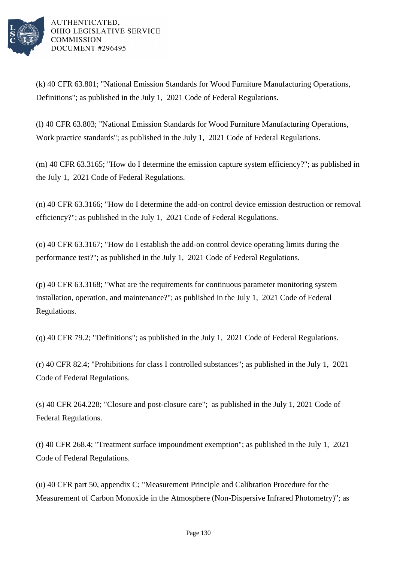

(k) 40 CFR 63.801; "National Emission Standards for Wood Furniture Manufacturing Operations, Definitions"; as published in the July 1, 2021 Code of Federal Regulations.

(l) 40 CFR 63.803; "National Emission Standards for Wood Furniture Manufacturing Operations, Work practice standards"; as published in the July 1, 2021 Code of Federal Regulations.

(m) 40 CFR 63.3165; "How do I determine the emission capture system efficiency?"; as published in the July 1, 2021 Code of Federal Regulations.

(n) 40 CFR 63.3166; "How do I determine the add-on control device emission destruction or removal efficiency?"; as published in the July 1, 2021 Code of Federal Regulations.

(o) 40 CFR 63.3167; "How do I establish the add-on control device operating limits during the performance test?"; as published in the July 1, 2021 Code of Federal Regulations.

(p) 40 CFR 63.3168; "What are the requirements for continuous parameter monitoring system installation, operation, and maintenance?"; as published in the July 1, 2021 Code of Federal Regulations.

(q) 40 CFR 79.2; "Definitions"; as published in the July 1, 2021 Code of Federal Regulations.

(r) 40 CFR 82.4; "Prohibitions for class I controlled substances"; as published in the July 1, 2021 Code of Federal Regulations.

(s) 40 CFR 264.228; "Closure and post-closure care"; as published in the July 1, 2021 Code of Federal Regulations.

(t) 40 CFR 268.4; "Treatment surface impoundment exemption"; as published in the July 1, 2021 Code of Federal Regulations.

(u) 40 CFR part 50, appendix C; "Measurement Principle and Calibration Procedure for the Measurement of Carbon Monoxide in the Atmosphere (Non-Dispersive Infrared Photometry)"; as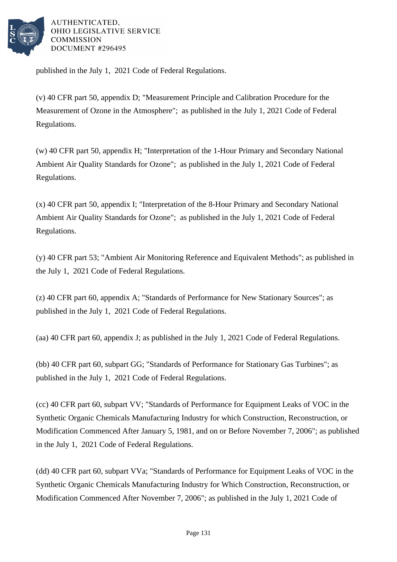

published in the July 1, 2021 Code of Federal Regulations.

(v) 40 CFR part 50, appendix D; "Measurement Principle and Calibration Procedure for the Measurement of Ozone in the Atmosphere"; as published in the July 1, 2021 Code of Federal Regulations.

(w) 40 CFR part 50, appendix H; "Interpretation of the 1-Hour Primary and Secondary National Ambient Air Quality Standards for Ozone"; as published in the July 1, 2021 Code of Federal Regulations.

(x) 40 CFR part 50, appendix I; "Interpretation of the 8-Hour Primary and Secondary National Ambient Air Quality Standards for Ozone"; as published in the July 1, 2021 Code of Federal Regulations.

(y) 40 CFR part 53; "Ambient Air Monitoring Reference and Equivalent Methods"; as published in the July 1, 2021 Code of Federal Regulations.

(z) 40 CFR part 60, appendix A; "Standards of Performance for New Stationary Sources"; as published in the July 1, 2021 Code of Federal Regulations.

(aa) 40 CFR part 60, appendix J; as published in the July 1, 2021 Code of Federal Regulations.

(bb) 40 CFR part 60, subpart GG; "Standards of Performance for Stationary Gas Turbines"; as published in the July 1, 2021 Code of Federal Regulations.

(cc) 40 CFR part 60, subpart VV; "Standards of Performance for Equipment Leaks of VOC in the Synthetic Organic Chemicals Manufacturing Industry for which Construction, Reconstruction, or Modification Commenced After January 5, 1981, and on or Before November 7, 2006"; as published in the July 1, 2021 Code of Federal Regulations.

(dd) 40 CFR part 60, subpart VVa; "Standards of Performance for Equipment Leaks of VOC in the Synthetic Organic Chemicals Manufacturing Industry for Which Construction, Reconstruction, or Modification Commenced After November 7, 2006"; as published in the July 1, 2021 Code of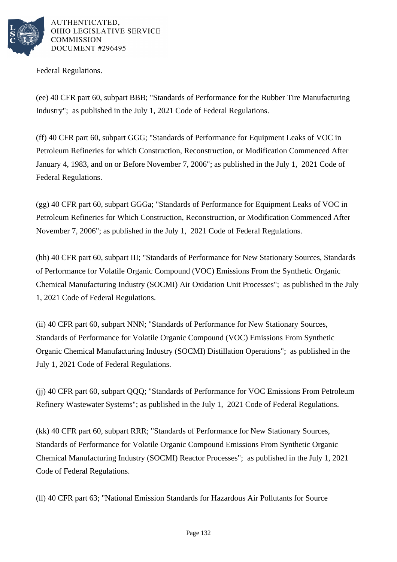

Federal Regulations.

(ee) 40 CFR part 60, subpart BBB; "Standards of Performance for the Rubber Tire Manufacturing Industry"; as published in the July 1, 2021 Code of Federal Regulations.

(ff) 40 CFR part 60, subpart GGG; "Standards of Performance for Equipment Leaks of VOC in Petroleum Refineries for which Construction, Reconstruction, or Modification Commenced After January 4, 1983, and on or Before November 7, 2006"; as published in the July 1, 2021 Code of Federal Regulations.

(gg) 40 CFR part 60, subpart GGGa; "Standards of Performance for Equipment Leaks of VOC in Petroleum Refineries for Which Construction, Reconstruction, or Modification Commenced After November 7, 2006"; as published in the July 1, 2021 Code of Federal Regulations.

(hh) 40 CFR part 60, subpart III; "Standards of Performance for New Stationary Sources, Standards of Performance for Volatile Organic Compound (VOC) Emissions From the Synthetic Organic Chemical Manufacturing Industry (SOCMI) Air Oxidation Unit Processes"; as published in the July 1, 2021 Code of Federal Regulations.

(ii) 40 CFR part 60, subpart NNN; "Standards of Performance for New Stationary Sources, Standards of Performance for Volatile Organic Compound (VOC) Emissions From Synthetic Organic Chemical Manufacturing Industry (SOCMI) Distillation Operations"; as published in the July 1, 2021 Code of Federal Regulations.

(jj) 40 CFR part 60, subpart QQQ; "Standards of Performance for VOC Emissions From Petroleum Refinery Wastewater Systems"; as published in the July 1, 2021 Code of Federal Regulations.

(kk) 40 CFR part 60, subpart RRR; "Standards of Performance for New Stationary Sources, Standards of Performance for Volatile Organic Compound Emissions From Synthetic Organic Chemical Manufacturing Industry (SOCMI) Reactor Processes"; as published in the July 1, 2021 Code of Federal Regulations.

(ll) 40 CFR part 63; "National Emission Standards for Hazardous Air Pollutants for Source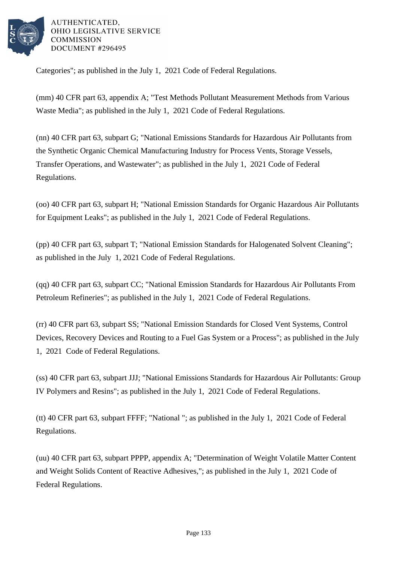

Categories"; as published in the July 1, 2021 Code of Federal Regulations.

(mm) 40 CFR part 63, appendix A; "Test Methods Pollutant Measurement Methods from Various Waste Media"; as published in the July 1, 2021 Code of Federal Regulations.

(nn) 40 CFR part 63, subpart G; "National Emissions Standards for Hazardous Air Pollutants from the Synthetic Organic Chemical Manufacturing Industry for Process Vents, Storage Vessels, Transfer Operations, and Wastewater"; as published in the July 1, 2021 Code of Federal Regulations.

(oo) 40 CFR part 63, subpart H; "National Emission Standards for Organic Hazardous Air Pollutants for Equipment Leaks"; as published in the July 1, 2021 Code of Federal Regulations.

(pp) 40 CFR part 63, subpart T; "National Emission Standards for Halogenated Solvent Cleaning"; as published in the July 1, 2021 Code of Federal Regulations.

(qq) 40 CFR part 63, subpart CC; "National Emission Standards for Hazardous Air Pollutants From Petroleum Refineries"; as published in the July 1, 2021 Code of Federal Regulations.

(rr) 40 CFR part 63, subpart SS; "National Emission Standards for Closed Vent Systems, Control Devices, Recovery Devices and Routing to a Fuel Gas System or a Process"; as published in the July 1, 2021 Code of Federal Regulations.

(ss) 40 CFR part 63, subpart JJJ; "National Emissions Standards for Hazardous Air Pollutants: Group IV Polymers and Resins"; as published in the July 1, 2021 Code of Federal Regulations.

(tt) 40 CFR part 63, subpart FFFF; "National "; as published in the July 1, 2021 Code of Federal Regulations.

(uu) 40 CFR part 63, subpart PPPP, appendix A; "Determination of Weight Volatile Matter Content and Weight Solids Content of Reactive Adhesives,"; as published in the July 1, 2021 Code of Federal Regulations.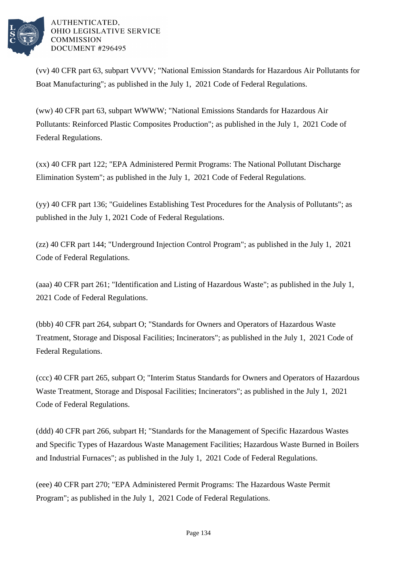

(vv) 40 CFR part 63, subpart VVVV; "National Emission Standards for Hazardous Air Pollutants for Boat Manufacturing"; as published in the July 1, 2021 Code of Federal Regulations.

(ww) 40 CFR part 63, subpart WWWW; "National Emissions Standards for Hazardous Air Pollutants: Reinforced Plastic Composites Production"; as published in the July 1, 2021 Code of Federal Regulations.

(xx) 40 CFR part 122; "EPA Administered Permit Programs: The National Pollutant Discharge Elimination System"; as published in the July 1, 2021 Code of Federal Regulations.

(yy) 40 CFR part 136; "Guidelines Establishing Test Procedures for the Analysis of Pollutants"; as published in the July 1, 2021 Code of Federal Regulations.

(zz) 40 CFR part 144; "Underground Injection Control Program"; as published in the July 1, 2021 Code of Federal Regulations.

(aaa) 40 CFR part 261; "Identification and Listing of Hazardous Waste"; as published in the July 1, 2021 Code of Federal Regulations.

(bbb) 40 CFR part 264, subpart O; "Standards for Owners and Operators of Hazardous Waste Treatment, Storage and Disposal Facilities; Incinerators"; as published in the July 1, 2021 Code of Federal Regulations.

(ccc) 40 CFR part 265, subpart O; "Interim Status Standards for Owners and Operators of Hazardous Waste Treatment, Storage and Disposal Facilities; Incinerators"; as published in the July 1, 2021 Code of Federal Regulations.

(ddd) 40 CFR part 266, subpart H; "Standards for the Management of Specific Hazardous Wastes and Specific Types of Hazardous Waste Management Facilities; Hazardous Waste Burned in Boilers and Industrial Furnaces"; as published in the July 1, 2021 Code of Federal Regulations.

(eee) 40 CFR part 270; "EPA Administered Permit Programs: The Hazardous Waste Permit Program"; as published in the July 1, 2021 Code of Federal Regulations.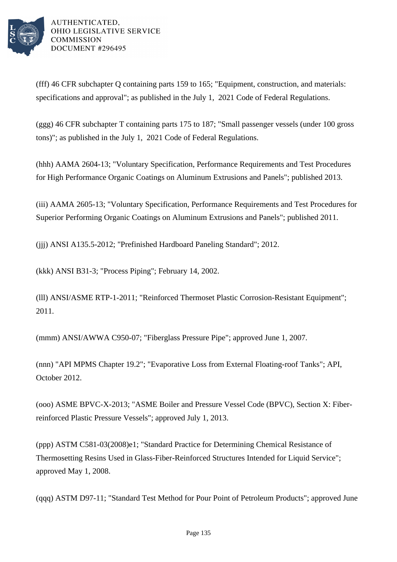

(fff) 46 CFR subchapter Q containing parts 159 to 165; "Equipment, construction, and materials: specifications and approval"; as published in the July 1, 2021 Code of Federal Regulations.

(ggg) 46 CFR subchapter T containing parts 175 to 187; "Small passenger vessels (under 100 gross tons)"; as published in the July 1, 2021 Code of Federal Regulations.

(hhh) AAMA 2604-13; "Voluntary Specification, Performance Requirements and Test Procedures for High Performance Organic Coatings on Aluminum Extrusions and Panels"; published 2013.

(iii) AAMA 2605-13; "Voluntary Specification, Performance Requirements and Test Procedures for Superior Performing Organic Coatings on Aluminum Extrusions and Panels"; published 2011.

(jjj) ANSI A135.5-2012; "Prefinished Hardboard Paneling Standard"; 2012.

(kkk) ANSI B31-3; "Process Piping"; February 14, 2002.

(lll) ANSI/ASME RTP-1-2011; "Reinforced Thermoset Plastic Corrosion-Resistant Equipment"; 2011.

(mmm) ANSI/AWWA C950-07; "Fiberglass Pressure Pipe"; approved June 1, 2007.

(nnn) "API MPMS Chapter 19.2"; "Evaporative Loss from External Floating-roof Tanks"; API, October 2012.

(ooo) ASME BPVC-X-2013; "ASME Boiler and Pressure Vessel Code (BPVC), Section X: Fiberreinforced Plastic Pressure Vessels"; approved July 1, 2013.

(ppp) ASTM C581-03(2008)e1; "Standard Practice for Determining Chemical Resistance of Thermosetting Resins Used in Glass-Fiber-Reinforced Structures Intended for Liquid Service"; approved May 1, 2008.

(qqq) ASTM D97-11; "Standard Test Method for Pour Point of Petroleum Products"; approved June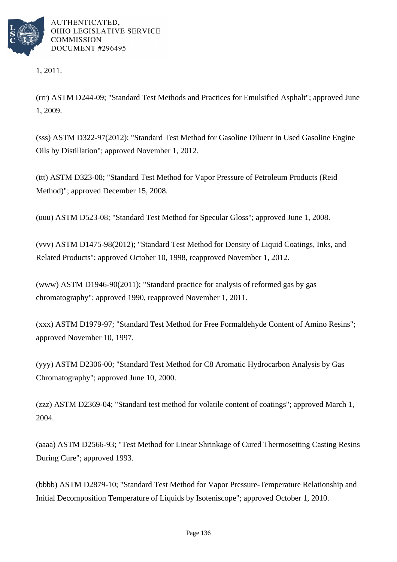

1, 2011.

(rrr) ASTM D244-09; "Standard Test Methods and Practices for Emulsified Asphalt"; approved June 1, 2009.

(sss) ASTM D322-97(2012); "Standard Test Method for Gasoline Diluent in Used Gasoline Engine Oils by Distillation"; approved November 1, 2012.

(ttt) ASTM D323-08; "Standard Test Method for Vapor Pressure of Petroleum Products (Reid Method)"; approved December 15, 2008.

(uuu) ASTM D523-08; "Standard Test Method for Specular Gloss"; approved June 1, 2008.

(vvv) ASTM D1475-98(2012); "Standard Test Method for Density of Liquid Coatings, Inks, and Related Products"; approved October 10, 1998, reapproved November 1, 2012.

(www) ASTM D1946-90(2011); "Standard practice for analysis of reformed gas by gas chromatography"; approved 1990, reapproved November 1, 2011.

(xxx) ASTM D1979-97; "Standard Test Method for Free Formaldehyde Content of Amino Resins"; approved November 10, 1997.

(yyy) ASTM D2306-00; "Standard Test Method for C8 Aromatic Hydrocarbon Analysis by Gas Chromatography"; approved June 10, 2000.

(zzz) ASTM D2369-04; "Standard test method for volatile content of coatings"; approved March 1, 2004.

(aaaa) ASTM D2566-93; "Test Method for Linear Shrinkage of Cured Thermosetting Casting Resins During Cure"; approved 1993.

(bbbb) ASTM D2879-10; "Standard Test Method for Vapor Pressure-Temperature Relationship and Initial Decomposition Temperature of Liquids by Isoteniscope"; approved October 1, 2010.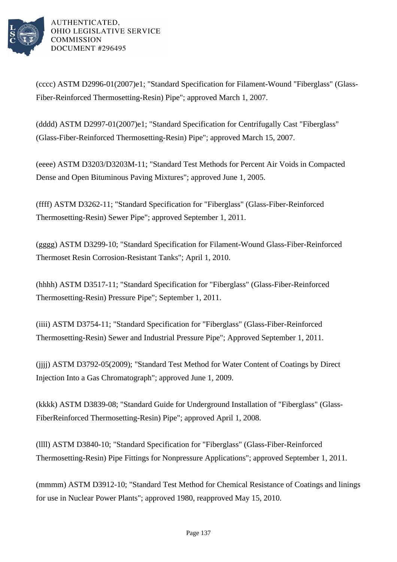

(cccc) ASTM D2996-01(2007)e1; "Standard Specification for Filament-Wound "Fiberglass" (Glass-Fiber-Reinforced Thermosetting-Resin) Pipe"; approved March 1, 2007.

(dddd) ASTM D2997-01(2007)e1; "Standard Specification for Centrifugally Cast "Fiberglass" (Glass-Fiber-Reinforced Thermosetting-Resin) Pipe"; approved March 15, 2007.

(eeee) ASTM D3203/D3203M-11; "Standard Test Methods for Percent Air Voids in Compacted Dense and Open Bituminous Paving Mixtures"; approved June 1, 2005.

(ffff) ASTM D3262-11; "Standard Specification for "Fiberglass" (Glass-Fiber-Reinforced Thermosetting-Resin) Sewer Pipe"; approved September 1, 2011.

(gggg) ASTM D3299-10; "Standard Specification for Filament-Wound Glass-Fiber-Reinforced Thermoset Resin Corrosion-Resistant Tanks"; April 1, 2010.

(hhhh) ASTM D3517-11; "Standard Specification for "Fiberglass" (Glass-Fiber-Reinforced Thermosetting-Resin) Pressure Pipe"; September 1, 2011.

(iiii) ASTM D3754-11; "Standard Specification for "Fiberglass" (Glass-Fiber-Reinforced Thermosetting-Resin) Sewer and Industrial Pressure Pipe"; Approved September 1, 2011.

(jjjj) ASTM D3792-05(2009); "Standard Test Method for Water Content of Coatings by Direct Injection Into a Gas Chromatograph"; approved June 1, 2009.

(kkkk) ASTM D3839-08; "Standard Guide for Underground Installation of "Fiberglass" (Glass-FiberReinforced Thermosetting-Resin) Pipe"; approved April 1, 2008.

(llll) ASTM D3840-10; "Standard Specification for "Fiberglass" (Glass-Fiber-Reinforced Thermosetting-Resin) Pipe Fittings for Nonpressure Applications"; approved September 1, 2011.

(mmmm) ASTM D3912-10; "Standard Test Method for Chemical Resistance of Coatings and linings for use in Nuclear Power Plants"; approved 1980, reapproved May 15, 2010.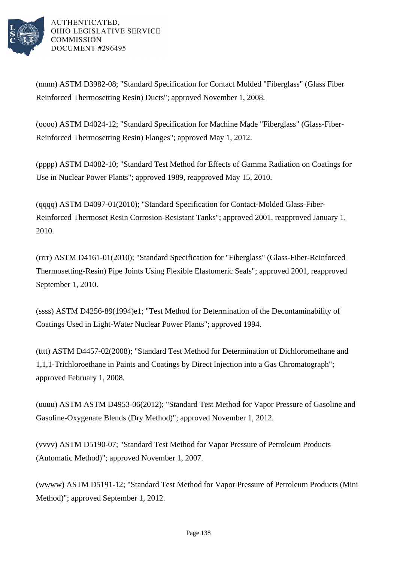

(nnnn) ASTM D3982-08; "Standard Specification for Contact Molded "Fiberglass" (Glass Fiber Reinforced Thermosetting Resin) Ducts"; approved November 1, 2008.

(oooo) ASTM D4024-12; "Standard Specification for Machine Made "Fiberglass" (Glass-Fiber-Reinforced Thermosetting Resin) Flanges"; approved May 1, 2012.

(pppp) ASTM D4082-10; "Standard Test Method for Effects of Gamma Radiation on Coatings for Use in Nuclear Power Plants"; approved 1989, reapproved May 15, 2010.

(qqqq) ASTM D4097-01(2010); "Standard Specification for Contact-Molded Glass-Fiber-Reinforced Thermoset Resin Corrosion-Resistant Tanks"; approved 2001, reapproved January 1, 2010.

(rrrr) ASTM D4161-01(2010); "Standard Specification for "Fiberglass" (Glass-Fiber-Reinforced Thermosetting-Resin) Pipe Joints Using Flexible Elastomeric Seals"; approved 2001, reapproved September 1, 2010.

(ssss) ASTM D4256-89(1994)e1; "Test Method for Determination of the Decontaminability of Coatings Used in Light-Water Nuclear Power Plants"; approved 1994.

(tttt) ASTM D4457-02(2008); "Standard Test Method for Determination of Dichloromethane and 1,1,1-Trichloroethane in Paints and Coatings by Direct Injection into a Gas Chromatograph"; approved February 1, 2008.

(uuuu) ASTM ASTM D4953-06(2012); "Standard Test Method for Vapor Pressure of Gasoline and Gasoline-Oxygenate Blends (Dry Method)"; approved November 1, 2012.

(vvvv) ASTM D5190-07; "Standard Test Method for Vapor Pressure of Petroleum Products (Automatic Method)"; approved November 1, 2007.

(wwww) ASTM D5191-12; "Standard Test Method for Vapor Pressure of Petroleum Products (Mini Method)"; approved September 1, 2012.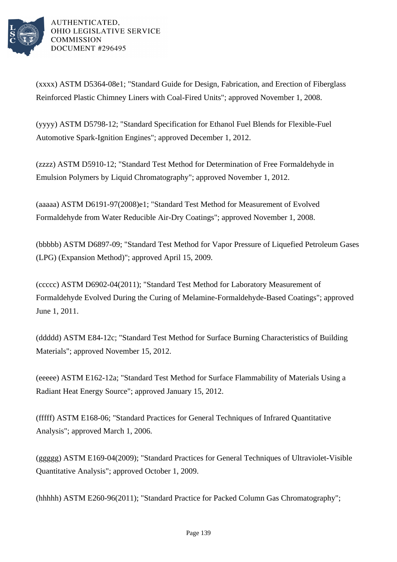

(xxxx) ASTM D5364-08e1; "Standard Guide for Design, Fabrication, and Erection of Fiberglass Reinforced Plastic Chimney Liners with Coal-Fired Units"; approved November 1, 2008.

(yyyy) ASTM D5798-12; "Standard Specification for Ethanol Fuel Blends for Flexible-Fuel Automotive Spark-Ignition Engines"; approved December 1, 2012.

(zzzz) ASTM D5910-12; "Standard Test Method for Determination of Free Formaldehyde in Emulsion Polymers by Liquid Chromatography"; approved November 1, 2012.

(aaaaa) ASTM D6191-97(2008)e1; "Standard Test Method for Measurement of Evolved Formaldehyde from Water Reducible Air-Dry Coatings"; approved November 1, 2008.

(bbbbb) ASTM D6897-09; "Standard Test Method for Vapor Pressure of Liquefied Petroleum Gases (LPG) (Expansion Method)"; approved April 15, 2009.

(ccccc) ASTM D6902-04(2011); "Standard Test Method for Laboratory Measurement of Formaldehyde Evolved During the Curing of Melamine-Formaldehyde-Based Coatings"; approved June 1, 2011.

(ddddd) ASTM E84-12c; "Standard Test Method for Surface Burning Characteristics of Building Materials"; approved November 15, 2012.

(eeeee) ASTM E162-12a; "Standard Test Method for Surface Flammability of Materials Using a Radiant Heat Energy Source"; approved January 15, 2012.

(fffff) ASTM E168-06; "Standard Practices for General Techniques of Infrared Quantitative Analysis"; approved March 1, 2006.

(ggggg) ASTM E169-04(2009); "Standard Practices for General Techniques of Ultraviolet-Visible Quantitative Analysis"; approved October 1, 2009.

(hhhhh) ASTM E260-96(2011); "Standard Practice for Packed Column Gas Chromatography";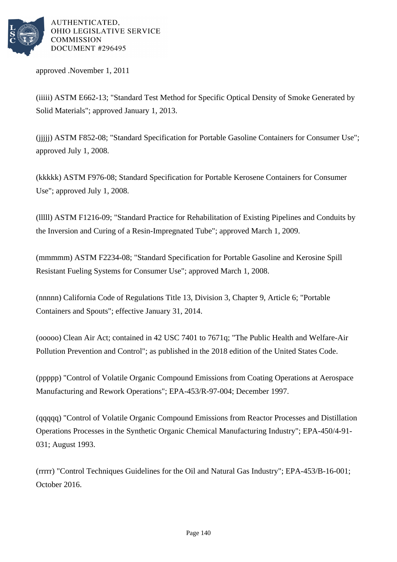

approved .November 1, 2011

(iiiii) ASTM E662-13; "Standard Test Method for Specific Optical Density of Smoke Generated by Solid Materials"; approved January 1, 2013.

(jjjjj) ASTM F852-08; "Standard Specification for Portable Gasoline Containers for Consumer Use"; approved July 1, 2008.

(kkkkk) ASTM F976-08; Standard Specification for Portable Kerosene Containers for Consumer Use"; approved July 1, 2008.

(lllll) ASTM F1216-09; "Standard Practice for Rehabilitation of Existing Pipelines and Conduits by the Inversion and Curing of a Resin-Impregnated Tube"; approved March 1, 2009.

(mmmmm) ASTM F2234-08; "Standard Specification for Portable Gasoline and Kerosine Spill Resistant Fueling Systems for Consumer Use"; approved March 1, 2008.

(nnnnn) California Code of Regulations Title 13, Division 3, Chapter 9, Article 6; "Portable Containers and Spouts"; effective January 31, 2014.

(ooooo) Clean Air Act; contained in 42 USC 7401 to 7671q; "The Public Health and Welfare-Air Pollution Prevention and Control"; as published in the 2018 edition of the United States Code.

(ppppp) "Control of Volatile Organic Compound Emissions from Coating Operations at Aerospace Manufacturing and Rework Operations"; EPA-453/R-97-004; December 1997.

(qqqqq) "Control of Volatile Organic Compound Emissions from Reactor Processes and Distillation Operations Processes in the Synthetic Organic Chemical Manufacturing Industry"; EPA-450/4-91- 031; August 1993.

(rrrrr) "Control Techniques Guidelines for the Oil and Natural Gas Industry"; EPA-453/B-16-001; October 2016.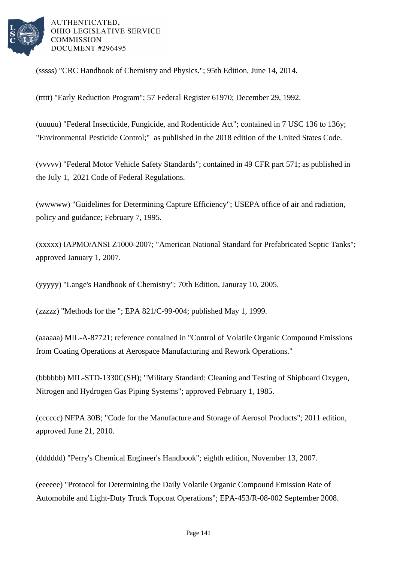

(sssss) "CRC Handbook of Chemistry and Physics."; 95th Edition, June 14, 2014.

(ttttt) "Early Reduction Program"; 57 Federal Register 61970; December 29, 1992.

(uuuuu) "Federal Insecticide, Fungicide, and Rodenticide Act"; contained in 7 USC 136 to 136y; "Environmental Pesticide Control;" as published in the 2018 edition of the United States Code.

(vvvvv) "Federal Motor Vehicle Safety Standards"; contained in 49 CFR part 571; as published in the July 1, 2021 Code of Federal Regulations.

(wwwww) "Guidelines for Determining Capture Efficiency"; USEPA office of air and radiation, policy and guidance; February 7, 1995.

(xxxxx) IAPMO/ANSI Z1000-2007; "American National Standard for Prefabricated Septic Tanks"; approved January 1, 2007.

(yyyyy) "Lange's Handbook of Chemistry"; 70th Edition, Januray 10, 2005.

(zzzzz) "Methods for the "; EPA 821/C-99-004; published May 1, 1999.

(aaaaaa) MIL-A-87721; reference contained in "Control of Volatile Organic Compound Emissions from Coating Operations at Aerospace Manufacturing and Rework Operations."

(bbbbbb) MIL-STD-1330C(SH); "Military Standard: Cleaning and Testing of Shipboard Oxygen, Nitrogen and Hydrogen Gas Piping Systems"; approved February 1, 1985.

(cccccc) NFPA 30B; "Code for the Manufacture and Storage of Aerosol Products"; 2011 edition, approved June 21, 2010.

(dddddd) "Perry's Chemical Engineer's Handbook"; eighth edition, November 13, 2007.

(eeeeee) "Protocol for Determining the Daily Volatile Organic Compound Emission Rate of Automobile and Light-Duty Truck Topcoat Operations"; EPA-453/R-08-002 September 2008.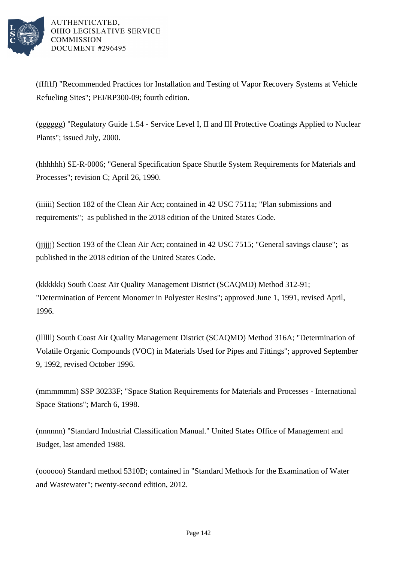

(ffffff) "Recommended Practices for Installation and Testing of Vapor Recovery Systems at Vehicle Refueling Sites"; PEI/RP300-09; fourth edition.

(gggggg) "Regulatory Guide 1.54 - Service Level I, II and III Protective Coatings Applied to Nuclear Plants"; issued July, 2000.

(hhhhhh) SE-R-0006; "General Specification Space Shuttle System Requirements for Materials and Processes"; revision C; April 26, 1990.

(iiiiii) Section 182 of the Clean Air Act; contained in 42 USC 7511a; "Plan submissions and requirements"; as published in the 2018 edition of the United States Code.

(jjjjjj) Section 193 of the Clean Air Act; contained in 42 USC 7515; "General savings clause"; as published in the 2018 edition of the United States Code.

(kkkkkk) South Coast Air Quality Management District (SCAQMD) Method 312-91; "Determination of Percent Monomer in Polyester Resins"; approved June 1, 1991, revised April, 1996.

(llllll) South Coast Air Quality Management District (SCAQMD) Method 316A; "Determination of Volatile Organic Compounds (VOC) in Materials Used for Pipes and Fittings"; approved September 9, 1992, revised October 1996.

(mmmmmm) SSP 30233F; "Space Station Requirements for Materials and Processes - International Space Stations"; March 6, 1998.

(nnnnnn) "Standard Industrial Classification Manual." United States Office of Management and Budget, last amended 1988.

(oooooo) Standard method 5310D; contained in "Standard Methods for the Examination of Water and Wastewater"; twenty-second edition, 2012.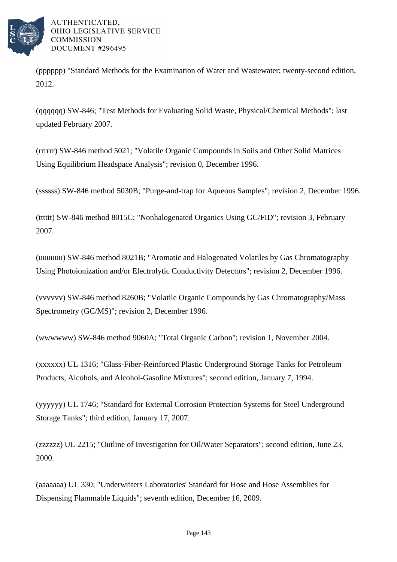

(pppppp) "Standard Methods for the Examination of Water and Wastewater; twenty-second edition, 2012.

(qqqqqq) SW-846; "Test Methods for Evaluating Solid Waste, Physical/Chemical Methods"; last updated February 2007.

(rrrrrr) SW-846 method 5021; "Volatile Organic Compounds in Soils and Other Solid Matrices Using Equilibrium Headspace Analysis"; revision 0, December 1996.

(ssssss) SW-846 method 5030B; "Purge-and-trap for Aqueous Samples"; revision 2, December 1996.

(tttttt) SW-846 method 8015C; "Nonhalogenated Organics Using GC/FID"; revision 3, February 2007.

(uuuuuu) SW-846 method 8021B; "Aromatic and Halogenated Volatiles by Gas Chromatography Using Photoionization and/or Electrolytic Conductivity Detectors"; revision 2, December 1996.

(vvvvvv) SW-846 method 8260B; "Volatile Organic Compounds by Gas Chromatography/Mass Spectrometry (GC/MS)"; revision 2, December 1996.

(wwwwww) SW-846 method 9060A; "Total Organic Carbon"; revision 1, November 2004.

(xxxxxx) UL 1316; "Glass-Fiber-Reinforced Plastic Underground Storage Tanks for Petroleum Products, Alcohols, and Alcohol-Gasoline Mixtures"; second edition, January 7, 1994.

(yyyyyy) UL 1746; "Standard for External Corrosion Protection Systems for Steel Underground Storage Tanks"; third edition, January 17, 2007.

(zzzzzz) UL 2215; "Outline of Investigation for Oil/Water Separators"; second edition, June 23, 2000.

(aaaaaaa) UL 330; "Underwriters Laboratories' Standard for Hose and Hose Assemblies for Dispensing Flammable Liquids"; seventh edition, December 16, 2009.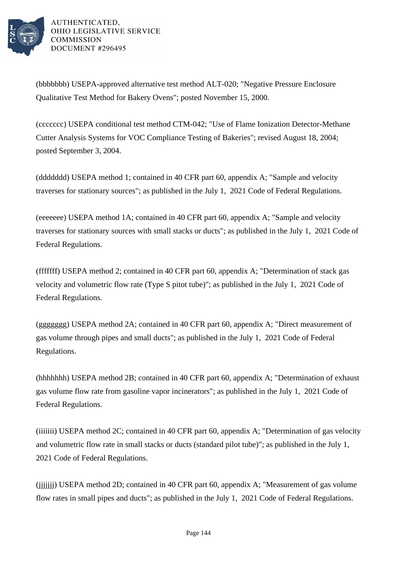

(bbbbbbb) USEPA-approved alternative test method ALT-020; "Negative Pressure Enclosure Qualitative Test Method for Bakery Ovens"; posted November 15, 2000.

(ccccccc) USEPA conditional test method CTM-042; "Use of Flame Ionization Detector-Methane Cutter Analysis Systems for VOC Compliance Testing of Bakeries"; revised August 18, 2004; posted September 3, 2004.

(ddddddd) USEPA method 1; contained in 40 CFR part 60, appendix A; "Sample and velocity traverses for stationary sources"; as published in the July 1, 2021 Code of Federal Regulations.

(eeeeeee) USEPA method 1A; contained in 40 CFR part 60, appendix A; "Sample and velocity traverses for stationary sources with small stacks or ducts"; as published in the July 1, 2021 Code of Federal Regulations.

(fffffff) USEPA method 2; contained in 40 CFR part 60, appendix A; "Determination of stack gas velocity and volumetric flow rate (Type S pitot tube)"; as published in the July 1, 2021 Code of Federal Regulations.

(ggggggg) USEPA method 2A; contained in 40 CFR part 60, appendix A; "Direct measurement of gas volume through pipes and small ducts"; as published in the July 1, 2021 Code of Federal Regulations.

(hhhhhhh) USEPA method 2B; contained in 40 CFR part 60, appendix A; "Determination of exhaust gas volume flow rate from gasoline vapor incinerators"; as published in the July 1, 2021 Code of Federal Regulations.

(iiiiiii) USEPA method 2C; contained in 40 CFR part 60, appendix A; "Determination of gas velocity and volumetric flow rate in small stacks or ducts (standard pilot tube)"; as published in the July 1, 2021 Code of Federal Regulations.

(jjjjjjj) USEPA method 2D; contained in 40 CFR part 60, appendix A; "Measurement of gas volume flow rates in small pipes and ducts"; as published in the July 1, 2021 Code of Federal Regulations.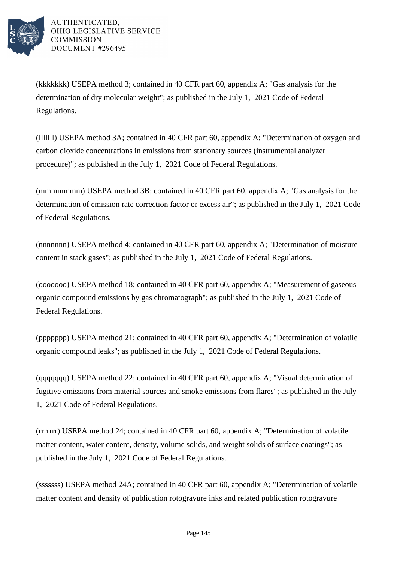

AUTHENTICATED. OHIO LEGISLATIVE SERVICE **COMMISSION** DOCUMENT #296495

(kkkkkkk) USEPA method 3; contained in 40 CFR part 60, appendix A; "Gas analysis for the determination of dry molecular weight"; as published in the July 1, 2021 Code of Federal Regulations.

(lllllll) USEPA method 3A; contained in 40 CFR part 60, appendix A; "Determination of oxygen and carbon dioxide concentrations in emissions from stationary sources (instrumental analyzer procedure)"; as published in the July 1, 2021 Code of Federal Regulations.

(mmmmmmm) USEPA method 3B; contained in 40 CFR part 60, appendix A; "Gas analysis for the determination of emission rate correction factor or excess air"; as published in the July 1, 2021 Code of Federal Regulations.

(nnnnnnn) USEPA method 4; contained in 40 CFR part 60, appendix A; "Determination of moisture content in stack gases"; as published in the July 1, 2021 Code of Federal Regulations.

(ooooooo) USEPA method 18; contained in 40 CFR part 60, appendix A; "Measurement of gaseous organic compound emissions by gas chromatograph"; as published in the July 1, 2021 Code of Federal Regulations.

(ppppppp) USEPA method 21; contained in 40 CFR part 60, appendix A; "Determination of volatile organic compound leaks"; as published in the July 1, 2021 Code of Federal Regulations.

(qqqqqqq) USEPA method 22; contained in 40 CFR part 60, appendix A; "Visual determination of fugitive emissions from material sources and smoke emissions from flares"; as published in the July 1, 2021 Code of Federal Regulations.

(rrrrrrr) USEPA method 24; contained in 40 CFR part 60, appendix A; "Determination of volatile matter content, water content, density, volume solids, and weight solids of surface coatings"; as published in the July 1, 2021 Code of Federal Regulations.

(sssssss) USEPA method 24A; contained in 40 CFR part 60, appendix A; "Determination of volatile matter content and density of publication rotogravure inks and related publication rotogravure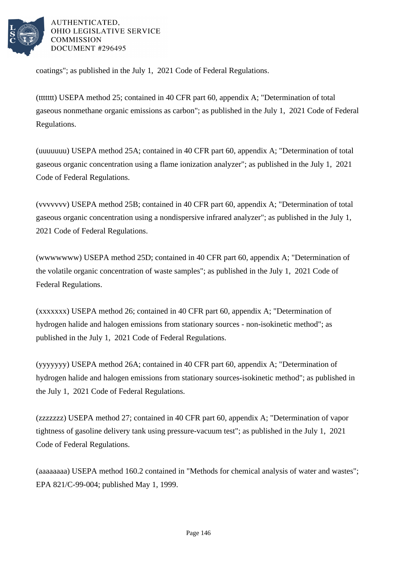

AUTHENTICATED. OHIO LEGISLATIVE SERVICE **COMMISSION** DOCUMENT #296495

coatings"; as published in the July 1, 2021 Code of Federal Regulations.

(ttttttt) USEPA method 25; contained in 40 CFR part 60, appendix A; "Determination of total gaseous nonmethane organic emissions as carbon"; as published in the July 1, 2021 Code of Federal Regulations.

(uuuuuuu) USEPA method 25A; contained in 40 CFR part 60, appendix A; "Determination of total gaseous organic concentration using a flame ionization analyzer"; as published in the July 1, 2021 Code of Federal Regulations.

(vvvvvvv) USEPA method 25B; contained in 40 CFR part 60, appendix A; "Determination of total gaseous organic concentration using a nondispersive infrared analyzer"; as published in the July 1, 2021 Code of Federal Regulations.

(wwwwwww) USEPA method 25D; contained in 40 CFR part 60, appendix A; "Determination of the volatile organic concentration of waste samples"; as published in the July 1, 2021 Code of Federal Regulations.

(xxxxxxx) USEPA method 26; contained in 40 CFR part 60, appendix A; "Determination of hydrogen halide and halogen emissions from stationary sources - non-isokinetic method"; as published in the July 1, 2021 Code of Federal Regulations.

(yyyyyyy) USEPA method 26A; contained in 40 CFR part 60, appendix A; "Determination of hydrogen halide and halogen emissions from stationary sources-isokinetic method"; as published in the July 1, 2021 Code of Federal Regulations.

(zzzzzzz) USEPA method 27; contained in 40 CFR part 60, appendix A; "Determination of vapor tightness of gasoline delivery tank using pressure-vacuum test"; as published in the July 1, 2021 Code of Federal Regulations.

(aaaaaaaa) USEPA method 160.2 contained in "Methods for chemical analysis of water and wastes"; EPA 821/C-99-004; published May 1, 1999.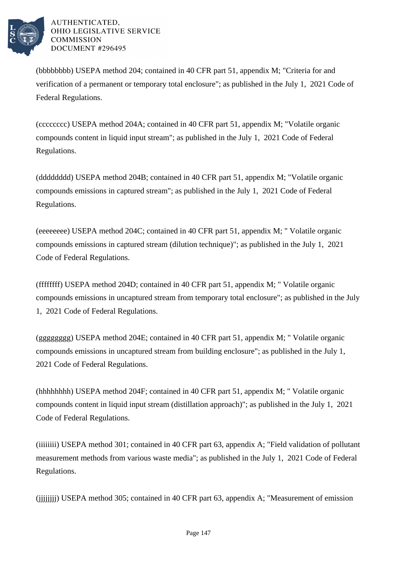

AUTHENTICATED. OHIO LEGISLATIVE SERVICE **COMMISSION** DOCUMENT #296495

(bbbbbbbb) USEPA method 204; contained in 40 CFR part 51, appendix M; "Criteria for and verification of a permanent or temporary total enclosure"; as published in the July 1, 2021 Code of Federal Regulations.

(cccccccc) USEPA method 204A; contained in 40 CFR part 51, appendix M; "Volatile organic compounds content in liquid input stream"; as published in the July 1, 2021 Code of Federal Regulations.

(dddddddd) USEPA method 204B; contained in 40 CFR part 51, appendix M; "Volatile organic compounds emissions in captured stream"; as published in the July 1, 2021 Code of Federal Regulations.

(eeeeeeee) USEPA method 204C; contained in 40 CFR part 51, appendix M; " Volatile organic compounds emissions in captured stream (dilution technique)"; as published in the July 1, 2021 Code of Federal Regulations.

(ffffffff) USEPA method 204D; contained in 40 CFR part 51, appendix M; " Volatile organic compounds emissions in uncaptured stream from temporary total enclosure"; as published in the July 1, 2021 Code of Federal Regulations.

(gggggggg) USEPA method 204E; contained in 40 CFR part 51, appendix M; " Volatile organic compounds emissions in uncaptured stream from building enclosure"; as published in the July 1, 2021 Code of Federal Regulations.

(hhhhhhhh) USEPA method 204F; contained in 40 CFR part 51, appendix M; " Volatile organic compounds content in liquid input stream (distillation approach)"; as published in the July 1, 2021 Code of Federal Regulations.

(iiiiiiii) USEPA method 301; contained in 40 CFR part 63, appendix A; "Field validation of pollutant measurement methods from various waste media"; as published in the July 1, 2021 Code of Federal Regulations.

(jjjjjjjj) USEPA method 305; contained in 40 CFR part 63, appendix A; "Measurement of emission